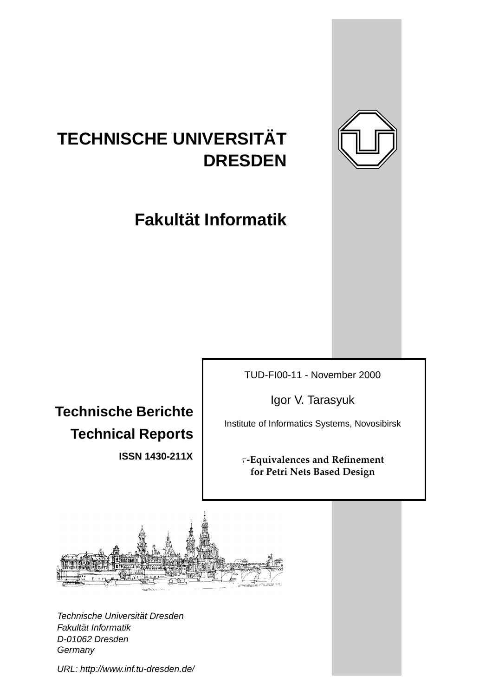

# **TECHNISCHE UNIVERSITAT¨ DRESDEN**

**Fakultat Informatik ¨**

**Technische Berichte Technical Reports**

**ISSN 1430-211X**

TUD-FI00-11 - November 2000

Igor V. Tarasyuk

Institute of Informatics Systems, Novosibirsk

τ **-Equivalences and Refinement for Petri Nets Based Design**



Technische Universität Dresden Fakultät Informatik D-01062 Dresden **Germany** 

URL: http://www.inf.tu-dresden.de/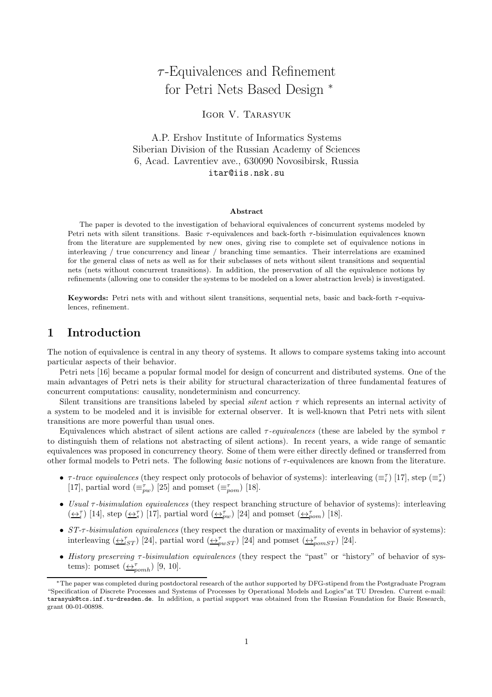## $\tau$ -Equivalences and Refinement for Petri Nets Based Design  $*$

## Igor V. Tarasyuk

A.P. Ershov Institute of Informatics Systems Siberian Division of the Russian Academy of Sciences 6, Acad. Lavrentiev ave., 630090 Novosibirsk, Russia itar@iis.nsk.su

#### Abstract

The paper is devoted to the investigation of behavioral equivalences of concurrent systems modeled by Petri nets with silent transitions. Basic  $\tau$ -equivalences and back-forth  $\tau$ -bisimulation equivalences known from the literature are supplemented by new ones, giving rise to complete set of equivalence notions in interleaving / true concurrency and linear / branching time semantics. Their interrelations are examined for the general class of nets as well as for their subclasses of nets without silent transitions and sequential nets (nets without concurrent transitions). In addition, the preservation of all the equivalence notions by refinements (allowing one to consider the systems to be modeled on a lower abstraction levels) is investigated.

Keywords: Petri nets with and without silent transitions, sequential nets, basic and back-forth  $\tau$ -equivalences, refinement.

## 1 Introduction

The notion of equivalence is central in any theory of systems. It allows to compare systems taking into account particular aspects of their behavior.

Petri nets [16] became a popular formal model for design of concurrent and distributed systems. One of the main advantages of Petri nets is their ability for structural characterization of three fundamental features of concurrent computations: causality, nondeterminism and concurrency.

Silent transitions are transitions labeled by special *silent* action  $\tau$  which represents an internal activity of a system to be modeled and it is invisible for external observer. It is well-known that Petri nets with silent transitions are more powerful than usual ones.

Equivalences which abstract of silent actions are called  $\tau$ -equivalences (these are labeled by the symbol  $\tau$ to distinguish them of relations not abstracting of silent actions). In recent years, a wide range of semantic equivalences was proposed in concurrency theory. Some of them were either directly defined or transferred from other formal models to Petri nets. The following basic notions of  $\tau$ -equivalences are known from the literature.

- $\tau$ -trace equivalences (they respect only protocols of behavior of systems): interleaving  $(\equiv_i^{\tau})$  [17], step  $(\equiv_s^{\tau})$ [17], partial word  $(\equiv_{pw}^{\tau})$  [25] and pomset  $(\equiv_{pom}^{\tau})$  [18].
- Usual τ-bisimulation equivalences (they respect branching structure of behavior of systems): interleaving  $(\underline{\leftrightarrow_i^{\tau}})$  [14], step  $(\underline{\leftrightarrow_i^{\tau}})$  [17], partial word  $(\underline{\leftrightarrow_{pw}^{\tau}})$  [24] and pomset  $(\underline{\leftrightarrow_{pow}^{\tau}})$  [18].
- ST- $\tau$ -bisimulation equivalences (they respect the duration or maximality of events in behavior of systems): interleaving  $(\underbrace{\leftrightarrow}^{\tau}_{iST})$  [24], partial word  $(\underbrace{\leftrightarrow}^{\tau}_{pwST})$  [24] and pomset  $(\underbrace{\leftrightarrow}^{\tau}_{pomsT})$  [24].
- History preserving τ-bisimulation equivalences (they respect the "past" or "history" of behavior of systems): pomset  $(\underleftarrow{\leftrightarrow}^{\tau}_{pomh})$  [9, 10].

<sup>∗</sup>The paper was completed during postdoctoral research of the author supported by DFG-stipend from the Postgraduate Program "Specification of Discrete Processes and Systems of Processes by Operational Models and Logics"at TU Dresden. Current e-mail: tarasyuk@tcs.inf.tu-dresden.de. In addition, a partial support was obtained from the Russian Foundation for Basic Research, grant 00-01-00898.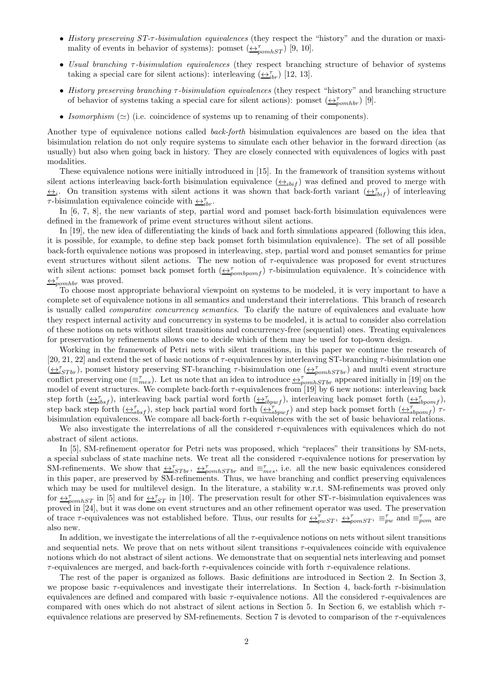- History preserving ST- $\tau$ -bisimulation equivalences (they respect the "history" and the duration or maximality of events in behavior of systems): pomset  $(\triangle^{\tau}_{pomhST})$  [9, 10].
- Usual branching τ-bisimulation equivalences (they respect branching structure of behavior of systems taking a special care for silent actions): interleaving  $(\underbrace{\leftrightarrow}_{i}^{\tau} )$  [12, 13].
- History preserving branching  $\tau$ -bisimulation equivalences (they respect "history" and branching structure of behavior of systems taking a special care for silent actions): pomset  $(\triangle_{pomhbr}^{\tau})$  [9].
- Isomorphism  $(\simeq)$  (i.e. coincidence of systems up to renaming of their components).

Another type of equivalence notions called back-forth bisimulation equivalences are based on the idea that bisimulation relation do not only require systems to simulate each other behavior in the forward direction (as usually) but also when going back in history. They are closely connected with equivalences of logics with past modalities.

These equivalence notions were initially introduced in [15]. In the framework of transition systems without silent actions interleaving back-forth bisimulation equivalence  $(\triangle_{i\{bit\}})$  was defined and proved to merge with  $\leftrightarrow_i$ . On transition systems with silent actions it was shown that back-forth variant  $(\leftrightarrow_{i}^{\tau}$  of interleaving  $\tau$ -bisimulation equivalence coincide with  $\leftrightarrow_{ibr}^{\tau}$ .

In [6, 7, 8], the new variants of step, partial word and pomset back-forth bisimulation equivalences were defined in the framework of prime event structures without silent actions.

In [19], the new idea of differentiating the kinds of back and forth simulations appeared (following this idea, it is possible, for example, to define step back pomset forth bisimulation equivalence). The set of all possible back-forth equivalence notions was proposed in interleaving, step, partial word and pomset semantics for prime event structures without silent actions. The new notion of  $\tau$ -equivalence was proposed for event structures with silent actions: pomset back pomset forth  $(\bigoplus_{pombpom f}^{\tau})$   $\tau$ -bisimulation equivalence. It's coincidence with  $\leftrightarrow_{\text{pomhbr}}^{\tau}$  was proved.

To choose most appropriate behavioral viewpoint on systems to be modeled, it is very important to have a complete set of equivalence notions in all semantics and understand their interrelations. This branch of research is usually called *comparative concurrency semantics*. To clarify the nature of equivalences and evaluate how they respect internal activity and concurrency in systems to be modeled, it is actual to consider also correlation of these notions on nets without silent transitions and concurrency-free (sequential) ones. Treating equivalences for preservation by refinements allows one to decide which of them may be used for top-down design.

Working in the framework of Petri nets with silent transitions, in this paper we continue the research of [20, 21, 22] and extend the set of basic notions of  $\tau$ -equivalences by interleaving ST-branching  $\tau$ -bisimulation one  $(\underbrace{\leftrightarrow_{i}}_{STr}^{\tau})$ , pomset history preserving ST-branching  $\tau$ -bisimulation one  $(\underbrace{\leftrightarrow_{pomh}}_{STr})$  and multi event structure conflict preserving one  $(\equiv_{mes}^{\tau})$ . Let us note that an idea to introduce  $\leftrightarrow_{pomhSTbr}^{\tau}$  appeared initially in [19] on the model of event structures. We complete back-forth  $\tau$ -equivalences from [19] by 6 new notions: interleaving back step forth  $(\underbrace{\leftrightarrow_{ibsf}^{\tau}})$ , interleaving back partial word forth  $(\underbrace{\leftrightarrow_{ibpwf}^{\tau}})$ , interleaving back pomset forth  $(\underbrace{\leftrightarrow_{ibpomf}^{\tau}})$ , step back step forth  $(\underbrace{\leftrightarrow}_{sbsf}^{\tau})$ , step back partial word forth  $(\underbrace{\leftrightarrow}_{sbpwf}^{\tau})$  and step back pomset forth  $(\underbrace{\leftrightarrow}_{sbpomf}^{\tau})$   $\tau$ bisimulation equivalences. We compare all back-forth  $\tau$ -equivalences with the set of basic behavioral relations.

We also investigate the interrelations of all the considered  $\tau$ -equivalences with equivalences which do not abstract of silent actions.

In [5], SM-refinement operator for Petri nets was proposed, which "replaces" their transitions by SM-nets, a special subclass of state machine nets. We treat all the considered  $\tau$ -equivalence notions for preservation by SM-refinements. We show that  $\leftrightarrow_{iSTbr}^{\tau}$ ,  $\leftrightarrow_{pomhSTbr}^{\tau}$  and  $\equiv_{mes}^{\tau}$ , i.e. all the new basic equivalences considered in this paper, are preserved by SM-refinements. Thus, we have branching and conflict preserving equivalences which may be used for multilevel design. In the literature, a stability w.r.t. SM-refinements was proved only for  $\leftrightarrow_{\text{p}omhST}^{\tau}$  in [5] and for  $\leftrightarrow_{iST}^{\tau}$  in [10]. The preservation result for other ST- $\tau$ -bisimulation equivalences was proved in [24], but it was done on event structures and an other refinement operator was used. The preservation of trace  $\tau$ -equivalences was not established before. Thus, our results for  $\overline{\leftrightarrow}_{pwST}^{\tau}$ ,  $\overline{\leftrightarrow}_{powST}^{\tau}$ ,  $\equiv_{pw}^{\tau}$  and  $\equiv_{pom}^{\tau}$  are also new.

In addition, we investigate the interrelations of all the  $\tau$ -equivalence notions on nets without silent transitions and sequential nets. We prove that on nets without silent transitions τ-equivalences coincide with equivalence notions which do not abstract of silent actions. We demonstrate that on sequential nets interleaving and pomset  $\tau$ -equivalences are merged, and back-forth  $\tau$ -equivalences coincide with forth  $\tau$ -equivalence relations.

The rest of the paper is organized as follows. Basic definitions are introduced in Section 2. In Section 3, we propose basic  $\tau$ -equivalences and investigate their interrelations. In Section 4, back-forth  $\tau$ -bisimulation equivalences are defined and compared with basic  $\tau$ -equivalence notions. All the considered  $\tau$ -equivalences are compared with ones which do not abstract of silent actions in Section 5. In Section 6, we establish which  $\tau$ equivalence relations are preserved by SM-refinements. Section 7 is devoted to comparison of the  $\tau$ -equivalences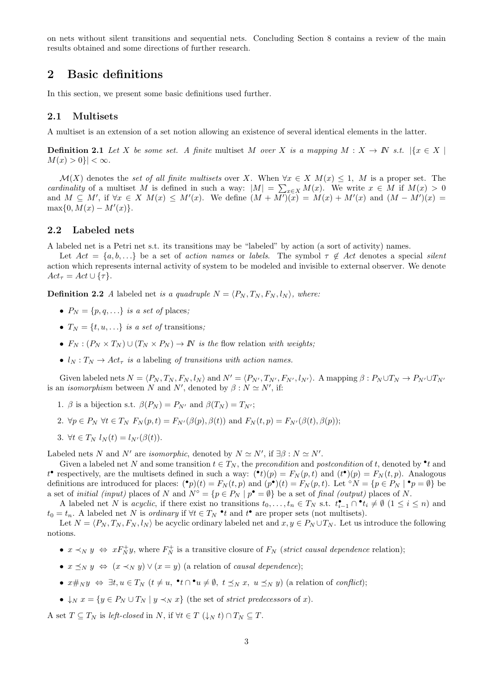on nets without silent transitions and sequential nets. Concluding Section 8 contains a review of the main results obtained and some directions of further research.

## 2 Basic definitions

In this section, we present some basic definitions used further.

#### 2.1 Multisets

A multiset is an extension of a set notion allowing an existence of several identical elements in the latter.

**Definition 2.1** Let X be some set. A finite multiset M over X is a mapping M :  $X \to \mathbb{N}$  s.t.  $\{x \in X \mid X \in \mathbb{N}\}$  $M(x) > 0$ }  $| < \infty$ .

 $\mathcal{M}(X)$  denotes the set of all finite multisets over X. When  $\forall x \in X$   $M(x) \leq 1$ , M is a proper set. The cardinality of a multiset M is defined in such a way:  $|M| = \sum_{x \in X} M(x)$ . We write  $x \in M$  if  $M(x) > 0$ and  $M \subseteq M'$ , if  $\forall x \in X$   $M(x) \leq M'(x)$ . We define  $(M + \overline{M'})(x) = M(x) + M'(x)$  and  $(M - \overline{M'})(x) =$  $\max\{0, M(x) - M'(x)\}.$ 

#### 2.2 Labeled nets

A labeled net is a Petri net s.t. its transitions may be "labeled" by action (a sort of activity) names.

Let  $Act = \{a, b, \ldots\}$  be a set of action names or labels. The symbol  $\tau \notin Act$  denotes a special silent action which represents internal activity of system to be modeled and invisible to external observer. We denote  $Act_{\tau} = Act \cup {\tau}.$ 

**Definition 2.2** A labeled net is a quadruple  $N = \langle P_N, T_N, F_N, l_N \rangle$ , where:

- $P_N = \{p, q, \ldots\}$  is a set of places;
- $T_N = \{t, u, ...\}$  is a set of transitions;
- $F_N$ :  $(P_N \times T_N) \cup (T_N \times P_N) \rightarrow \mathbb{N}$  is the flow relation with weights;
- $l_N : T_N \to Act_\tau$  is a labeling of transitions with action names.

Given labeled nets  $N = \langle P_N, T_N, F_N, l_N \rangle$  and  $N' = \langle P_{N'}, T_{N'}, F_{N'}, l_{N'} \rangle$ . A mapping  $\beta : P_N \cup T_N \rightarrow P_{N'} \cup T_{N'}$ is an *isomorphism* between N and N', denoted by  $\beta : N \simeq N'$ , if:

- 1. β is a bijection s.t.  $\beta(P_N) = P_{N'}$  and  $\beta(T_N) = T_{N'}$ ;
- 2.  $\forall p \in P_N \ \forall t \in T_N \ F_N(p,t) = F_{N'}(\beta(p), \beta(t))$  and  $F_N(t, p) = F_{N'}(\beta(t), \beta(p));$
- 3.  $\forall t \in T_N$   $l_N(t) = l_{N'}(\beta(t)).$

Labeled nets N and N' are isomorphic, denoted by  $N \simeq N'$ , if  $\exists \beta : N \simeq N'$ .

Given a labeled net N and some transition  $t \in T_N$ , the precondition and postcondition of t, denoted by  $\bullet t$  and  $t^{\bullet}$  respectively, are the multisets defined in such a way:  $({}^{\bullet}t)(p) = F_N(p,t)$  and  $(t^{\bullet})(p) = F_N(t,p)$ . Analogous definitions are introduced for places:  $(\bullet p)(t) = F_N(t, p)$  and  $(p^{\bullet})(t) = F_N(p, t)$ . Let °N = { $p \in P_N | \bullet p = \emptyset$ } be a set of *initial (input)* places of N and  $N^{\circ} = \{p \in P_N \mid p^{\bullet} = \emptyset\}$  be a set of final *(output)* places of N.

A labeled net N is acyclic, if there exist no transitions  $t_0, \ldots, t_n \in T_N$  s.t.  $t_{i-1}^{\bullet} \cap t_i \neq \emptyset$   $(1 \leq i \leq n)$  and  $t_0 = t_n$ . A labeled net N is *ordinary* if  $\forall t \in T_N$  •t and t• are proper sets (not multisets).

Let  $N = \langle P_N, T_N, F_N, l_N \rangle$  be acyclic ordinary labeled net and  $x, y \in P_N \cup T_N$ . Let us introduce the following notions.

- $x \prec_N y \Leftrightarrow x F_N^+ y$ , where  $F_N^+$  is a transitive closure of  $F_N$  (strict causal dependence relation);
- $x \preceq_N y \Leftrightarrow (x \prec_N y) \vee (x = y)$  (a relation of causal dependence);
- $x \#_N y \Leftrightarrow \exists t, u \in T_N$   $(t \neq u, \neg t \cap \neg u \neq \emptyset, t \preceq_N x, u \preceq_N y)$  (a relation of *conflict*);
- $\downarrow_N x = \{y \in P_N \cup T_N \mid y \prec_N x\}$  (the set of strict predecessors of x).

A set  $T \subseteq T_N$  is left-closed in N, if  $\forall t \in T \ (\downarrow_N t) \cap T_N \subseteq T$ .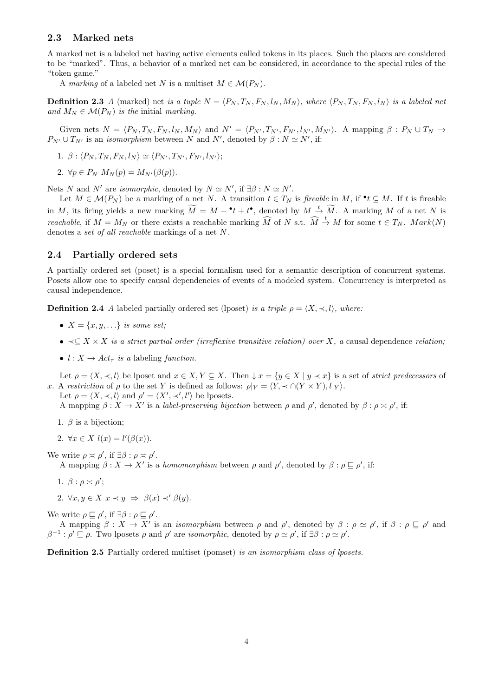#### 2.3 Marked nets

A marked net is a labeled net having active elements called tokens in its places. Such the places are considered to be "marked". Thus, a behavior of a marked net can be considered, in accordance to the special rules of the "token game."

A marking of a labeled net N is a multiset  $M \in \mathcal{M}(P_N)$ .

**Definition 2.3** A (marked) net is a tuple  $N = \langle P_N, T_N, F_N, l_N, M_N \rangle$ , where  $\langle P_N, T_N, F_N, l_N \rangle$  is a labeled net and  $M_N \in \mathcal{M}(P_N)$  is the initial marking.

Given nets  $N = \langle P_N, T_N, F_N, l_N, M_N \rangle$  and  $N' = \langle P_{N'}, T_{N'}, F_{N'}, l_{N'}, M_{N'} \rangle$ . A mapping  $\beta : P_N \cup T_N \rightarrow$  $P_{N'} \cup T_{N'}$  is an *isomorphism* between N and N', denoted by  $\beta : N \simeq N'$ , if:

1. 
$$
\beta
$$
:  $\langle P_N, T_N, F_N, l_N \rangle \simeq \langle P_{N'}, T_{N'}, F_{N'}, l_{N'} \rangle;$ 

2.  $\forall p \in P_N$   $M_N(p) = M_{N'}(\beta(p)).$ 

Nets N and N' are isomorphic, denoted by  $N \simeq N'$ , if  $\exists \beta : N \simeq N'$ .

Let  $M \in \mathcal{M}(P_N)$  be a marking of a net N. A transition  $t \in T_N$  is fireable in M, if  $\bullet t \subseteq M$ . If t is fireable in M, its firing yields a new marking  $\widetilde{M} = M - t + t^{\bullet}$ , denoted by  $M \stackrel{t}{\rightarrow} \widetilde{M}$ . A marking M of a net N is *reachable*, if  $M = M_N$  or there exists a reachable marking  $\widehat{M}$  of N s.t.  $\widehat{M} \stackrel{t}{\rightarrow} M$  for some  $t \in T_N$ .  $Mark(N)$ denotes a set of all reachable markings of a net N.

#### 2.4 Partially ordered sets

A partially ordered set (poset) is a special formalism used for a semantic description of concurrent systems. Posets allow one to specify causal dependencies of events of a modeled system. Concurrency is interpreted as causal independence.

**Definition 2.4** A labeled partially ordered set (lposet) is a triple  $\rho = \langle X, \prec, l \rangle$ , where:

- $X = \{x, y, \ldots\}$  is some set;
- $\prec \subset X \times X$  is a strict partial order (irreflexive transitive relation) over X, a causal dependence relation;
- $l : X \rightarrow Act_{\tau}$  is a labeling function.

Let  $\rho = \langle X, \prec, l \rangle$  be lposet and  $x \in X, Y \subseteq X$ . Then  $\downarrow x = \{y \in X \mid y \prec x\}$  is a set of strict predecessors of x. A restriction of  $\rho$  to the set Y is defined as follows:  $\rho|_Y = \langle Y, \prec \cap (Y \times Y), l|_Y \rangle$ . Let  $\rho = \langle X, \prec, l \rangle$  and  $\rho' = \langle X', \prec', l' \rangle$  be lposets.

A mapping  $\beta: X \to X'$  is a *label-preserving bijection* between  $\rho$  and  $\rho'$ , denoted by  $\beta: \rho \ge \rho'$ , if:

- 1.  $\beta$  is a bijection;
- 2.  $\forall x \in X \; l(x) = l'(\beta(x)).$

We write  $\rho \asymp \rho'$ , if  $\exists \beta : \rho \asymp \rho'$ .

A mapping  $\beta: X \to X'$  is a *homomorphism* between  $\rho$  and  $\rho'$ , denoted by  $\beta: \rho \sqsubseteq \rho'$ , if:

- 1.  $\beta$  :  $\rho \asymp \rho'$ ;
- 2.  $\forall x, y \in X \ x \prec y \ \Rightarrow \ \beta(x) \prec' \beta(y).$

We write  $\rho \sqsubseteq \rho'$ , if  $\exists \beta : \rho \sqsubseteq \rho'$ .

A mapping  $\beta: X \to X'$  is an *isomorphism* between  $\rho$  and  $\rho'$ , denoted by  $\beta: \rho \simeq \rho'$ , if  $\beta: \rho \sqsubseteq \rho'$  and  $\beta^{-1}$ :  $\rho' \sqsubseteq \rho$ . Two lposets  $\rho$  and  $\rho'$  are *isomorphic*, denoted by  $\rho \simeq \rho'$ , if  $\exists \beta : \rho \simeq \rho'$ .

Definition 2.5 Partially ordered multiset (pomset) is an isomorphism class of lposets.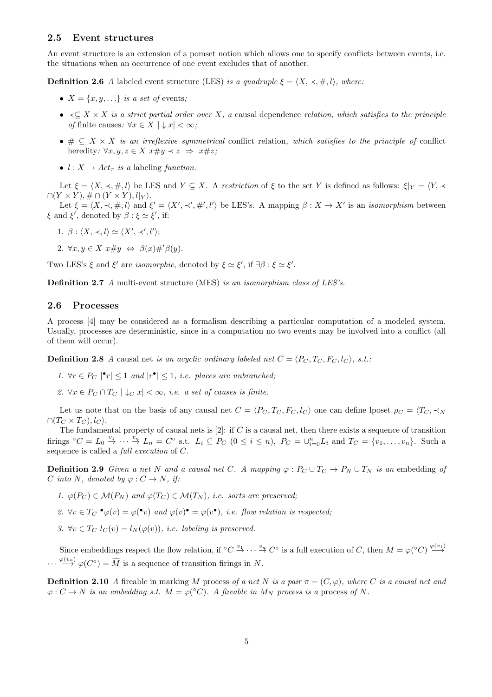#### 2.5 Event structures

An event structure is an extension of a pomset notion which allows one to specify conflicts between events, i.e. the situations when an occurrence of one event excludes that of another.

**Definition 2.6** A labeled event structure (LES) is a quadruple  $\xi = \langle X, \prec, \#, l \rangle$ , where:

- $X = \{x, y, \ldots\}$  is a set of events;
- $\prec \subseteq X \times X$  is a strict partial order over X, a causal dependence relation, which satisfies to the principle of finite causes:  $\forall x \in X \mid x \in \infty$ ;
- $\# \subseteq X \times X$  is an irreflexive symmetrical conflict relation, which satisfies to the principle of conflict heredity:  $\forall x, y, z \in X \; x \# y \prec z \Rightarrow x \# z;$
- $l : X \rightarrow Act_{\tau}$  is a labeling function.

Let  $\xi = \langle X, \prec, \#, l \rangle$  be LES and  $Y \subseteq X$ . A restriction of  $\xi$  to the set Y is defined as follows:  $\xi|_Y = \langle Y, \prec$  $\bigcap (Y \times Y), \# \bigcap (Y \times Y), l|_{Y}$ .

Let  $\xi = \langle X, \prec, \#, l \rangle$  and  $\xi' = \langle X', \prec', \#', l' \rangle$  be LES's. A mapping  $\beta : X \to X'$  is an *isomorphism* between  $\xi$  and  $\xi'$ , denoted by  $\beta : \xi \simeq \xi'$ , if:

- 1.  $\beta$  :  $\langle X, \prec, l \rangle \simeq \langle X', \prec', l' \rangle;$
- 2.  $\forall x, y \in X \ x \# y \Leftrightarrow \beta(x) \#' \beta(y)$ .

Two LES's  $\xi$  and  $\xi'$  are *isomorphic*, denoted by  $\xi \simeq \xi'$ , if  $\exists \beta : \xi \simeq \xi'$ .

Definition 2.7 A multi-event structure (MES) is an isomorphism class of LES's.

#### 2.6 Processes

A process [4] may be considered as a formalism describing a particular computation of a modeled system. Usually, processes are deterministic, since in a computation no two events may be involved into a conflict (all of them will occur).

**Definition 2.8** A causal net is an acyclic ordinary labeled net  $C = \langle P_C, T_C, F_C, I_C \rangle$ , s.t.:

- 1.  $\forall r \in P_C \mid \mathbf{r} \leq 1$  and  $|\mathbf{r} \bullet| \leq 1$ , i.e. places are unbranched;
- 2.  $\forall x \in P_C \cap T_C \mid \downarrow_C x \mid \leq \infty$ , *i.e.* a set of causes is finite.

Let us note that on the basis of any causal net  $C = \langle P_C, T_C, F_C, l_C \rangle$  one can define lposet  $\rho_C = \langle T_C, \prec_N \rangle$  $\cap (T_C \times T_C), l_C$ .

The fundamental property of causal nets is  $[2]$ : if C is a causal net, then there exists a sequence of transition firings  ${}^{\circ}C = L_0 \stackrel{v_1}{\rightarrow} \cdots \stackrel{v_n}{\rightarrow} L_n = C^{\circ}$  s.t.  $L_i \subseteq P_C$   $(0 \leq i \leq n)$ ,  $P_C = \bigcup_{i=0}^n L_i$  and  $T_C = \{v_1, \ldots, v_n\}$ . Such a sequence is called a full execution of C.

**Definition 2.9** Given a net N and a causal net C. A mapping  $\varphi : P_C \cup T_C \to P_N \cup T_N$  is an embedding of C into N, denoted by  $\varphi: C \to N$ , if:

1.  $\varphi(P_C) \in \mathcal{M}(P_N)$  and  $\varphi(T_C) \in \mathcal{M}(T_N)$ , i.e. sorts are preserved;

2.  $\forall v \in T_C \cdot \varphi(v) = \varphi(v)$  and  $\varphi(v) \cdot \varphi(v)$ , i.e. flow relation is respected;

3.  $\forall v \in T_C$   $l_C(v) = l_N(\varphi(v))$ , i.e. labeling is preserved.

Since embeddings respect the flow relation, if  ${}^{\circ}C \stackrel{v_1}{\rightarrow} \cdots \stackrel{v_n}{\rightarrow} C^{\circ}$  is a full execution of C, then  $M = \varphi({}^{\circ}C) \stackrel{\varphi(v_1)}{\rightarrow} C^{\circ}$  $\cdots \stackrel{\varphi(v_n)}{\longrightarrow} \varphi(C^{\circ}) = \widetilde{M}$  is a sequence of transition firings in N.

**Definition 2.10** A fireable in marking M process of a net N is a pair  $\pi = (C, \varphi)$ , where C is a causal net and  $\varphi: C \to N$  is an embedding s.t.  $M = \varphi({}^{\circ}C)$ . A fireable in  $M_N$  process is a process of N.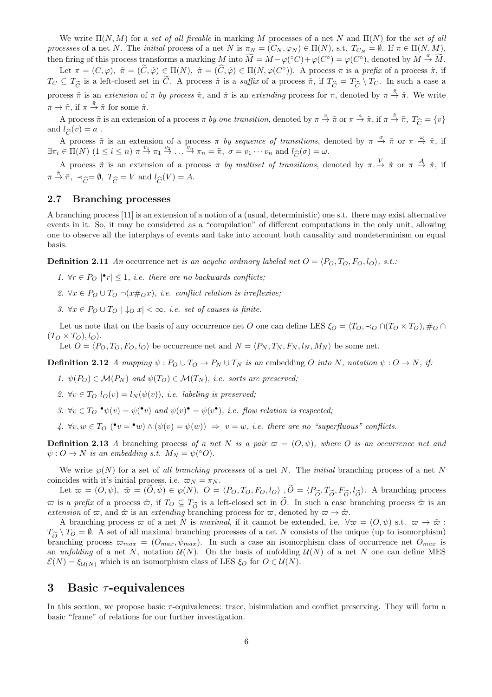We write  $\Pi(N, M)$  for a set of all fireable in marking M processes of a net N and  $\Pi(N)$  for the set of all processes of a net N. The *initial* process of a net N is  $\pi_N = (C_N, \varphi_N) \in \Pi(N)$ , s.t.  $T_{C_N} = \emptyset$ . If  $\pi \in \Pi(N, M)$ , then firing of this process transforms a marking M into  $\widetilde{M} = M - \varphi({\circ}C) + \varphi(C^{\circ}) = \varphi(C^{\circ})$ , denoted by  $M \stackrel{\pi}{\to} \widetilde{M}$ .

Let  $\pi = (C, \varphi), \; \tilde{\pi} = (\tilde{C}, \tilde{\varphi}) \in \Pi(N), \; \hat{\pi} = (\hat{C}, \hat{\varphi}) \in \Pi(N, \varphi(C^{\circ})).$  A process  $\pi$  is a prefix of a process  $\tilde{\pi}$ , if  $T_C \subseteq T_{\widetilde{C}}$  is a left-closed set in C. A process  $\hat{\pi}$  is a suffix of a process  $\tilde{\pi}$ , if  $T_{\widehat{C}} = T_{\widetilde{C}} \setminus T_C$ . In such a case a process  $\tilde{\pi}$  is an extension of  $\pi$  by process  $\hat{\pi}$ , and  $\hat{\pi}$  is an extending process for  $\pi$ , denoted by  $\pi \stackrel{\hat{\pi}}{\to} \tilde{\pi}$ . We write  $\pi \to \tilde{\pi}$ , if  $\pi \stackrel{\hat{\pi}}{\to} \tilde{\pi}$  for some  $\hat{\pi}$ .

A process  $\tilde{\pi}$  is an extension of a process  $\pi$  by one transition, denoted by  $\pi \stackrel{v}{\to} \tilde{\pi}$  or  $\pi \stackrel{a}{\to} \tilde{\pi}$ , if  $\pi \stackrel{\hat{\pi}}{\to} \tilde{\pi}$ ,  $T_{\widehat{C}} = \{v\}$ <br> $|l_{\widehat{C}}(v)| = a$ . and  $l_{\widehat{C}}(v) = a$ .

A process  $\tilde{\pi}$  is an extension of a process  $\pi$  by sequence of transitions, denoted by  $\pi \stackrel{\sigma}{\to} \tilde{\pi}$  or  $\pi \stackrel{\omega}{\to} \tilde{\pi}$ , if  $\exists \pi_i \in \Pi(N) \ (1 \leq i \leq n) \ \pi \stackrel{v_1}{\rightarrow} \pi_1 \stackrel{v_2}{\rightarrow} \ldots \stackrel{v_n}{\rightarrow} \pi_n = \tilde{\pi}, \ \sigma = v_1 \cdots v_n \text{ and } l_{\widehat{C}}(\sigma) = \omega.$ 

A process  $\tilde{\pi}$  is an extension of a process  $\pi$  by multiset of transitions, denoted by  $\pi \stackrel{V}{\to} \tilde{\pi}$  or  $\pi \stackrel{A}{\to} \tilde{\pi}$ , if  $\pi \stackrel{\hat{\pi}}{\rightarrow} \tilde{\pi}, \prec_{\widehat{C}} = \emptyset, T_{\widehat{C}} = V \text{ and } l_{\widehat{C}}(V) = A.$ 

#### 2.7 Branching processes

A branching process [11] is an extension of a notion of a (usual, deterministic) one s.t. there may exist alternative events in it. So, it may be considered as a "compilation" of different computations in the only unit, allowing one to observe all the interplays of events and take into account both causality and nondeterminism on equal basis.

**Definition 2.11** An occurrence net is an acyclic ordinary labeled net  $O = \langle P_O, T_O, F_O, I_O \rangle$ , s.t.:

- 1.  $\forall r \in P_O \mid \mathbf{P}_r \mid \leq 1$ , *i.e. there are no backwards conflicts*;
- 2.  $\forall x \in P_O \cup T_O \neg (x \#_O x),$  i.e. conflict relation is irreflexive;
- 3.  $\forall x \in P_O \cup T_O \mid \downarrow_O x \mid \leq \infty$ , *i.e. set of causes is finite.*

Let us note that on the basis of any occurrence net O one can define LES  $\xi_O = \langle T_O, \prec_O \cap (T_O \times T_O), \#_O \cap$  $(T_O \times T_O), l_O\rangle.$ 

Let  $O = \langle P_O, T_O, F_O, l_O \rangle$  be occurrence net and  $N = \langle P_N, T_N, F_N, l_N, M_N \rangle$  be some net.

**Definition 2.12** A mapping  $\psi : P_O \cup T_O \to P_N \cup T_N$  is an embedding O into N, notation  $\psi : O \to N$ , if:

- 1.  $\psi(P_O) \in \mathcal{M}(P_N)$  and  $\psi(T_O) \in \mathcal{M}(T_N)$ , i.e. sorts are preserved;
- 2.  $\forall v \in T_O$   $l_O(v) = l_N(\psi(v))$ , *i.e. labeling is preserved*;
- 3.  $\forall v \in T_O \bullet \psi(v) = \psi(\bullet v)$  and  $\psi(v) \bullet = \psi(v \bullet)$ , i.e. flow relation is respected;

4.  $\forall v, w \in T_O$   $(\bullet v = \bullet w) \land (\psi(v) = \psi(w)) \Rightarrow v = w$ , i.e. there are no "superfluous" conflicts.

**Definition 2.13** A branching process of a net N is a pair  $\varpi = (O, \psi)$ , where O is an occurrence net and  $\psi: O \to N$  is an embedding s.t.  $M_N = \psi({}^{\circ}O)$ .

We write  $\wp(N)$  for a set of all branching processes of a net N. The initial branching process of a net N coincides with it's initial process, i.e.  $\varpi_N = \pi_N$ .

Let  $\varpi = (O, \psi)$ ,  $\tilde{\varpi} = (\tilde{O}, \tilde{\psi}) \in \wp(N)$ ,  $O = \langle P_O, T_O, F_O, l_O \rangle$ ,  $\tilde{O} = \langle P_{\tilde{O}}, T_{\tilde{O}}, F_{\tilde{O}}, l_{\tilde{O}} \rangle$ . A branching process  $\overline{\omega}$  is a prefix of a process  $\tilde{\omega}$ , if  $T_O \subseteq T_{\tilde{O}}$  is a left-closed set in O. In such a case branching process  $\tilde{\omega}$  is an extending branching process for  $\overline{\omega}$  denoted by  $\overline{\omega} \to \tilde{\omega}$ extension of  $\varpi$ , and  $\hat{\varpi}$  is an extending branching process for  $\varpi$ , denoted by  $\varpi \to \tilde{\varpi}$ .

A branching process  $\varpi$  of a net N is maximal, if it cannot be extended, i.e.  $\forall \varpi = (O, \psi)$  s.t.  $\varpi \to \tilde{\varpi}$ :  $T_{\widetilde{O}} \setminus T_O = \emptyset$ . A set of all maximal branching processes of a net N consists of the unique (up to isomorphism)<br>branching process  $\pi_{max} = (O_{max} \psi_{max})$ . In such a case an isomorphism class of occurrence net  $O_{max}$  is branching process  $\varpi_{max} = (O_{max}, \psi_{max})$ . In such a case an isomorphism class of occurrence net  $O_{max}$  is an unfolding of a net N, notation  $\mathcal{U}(N)$ . On the basis of unfolding  $\mathcal{U}(N)$  of a net N one can define MES  $\mathcal{E}(N) = \xi_{\mathcal{U}(N)}$  which is an isomorphism class of LES  $\xi_O$  for  $O \in \mathcal{U}(N)$ .

## 3 Basic  $\tau$ -equivalences

In this section, we propose basic  $\tau$ -equivalences: trace, bisimulation and conflict preserving. They will form a basic "frame" of relations for our further investigation.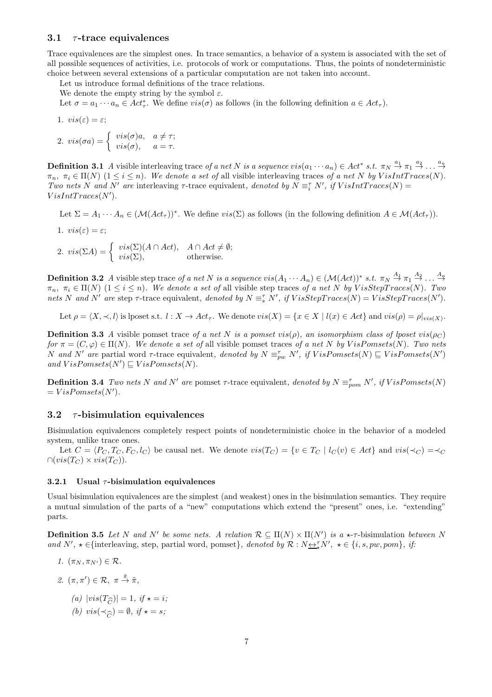#### 3.1  $\tau$ -trace equivalences

Trace equivalences are the simplest ones. In trace semantics, a behavior of a system is associated with the set of all possible sequences of activities, i.e. protocols of work or computations. Thus, the points of nondeterministic choice between several extensions of a particular computation are not taken into account.

Let us introduce formal definitions of the trace relations.

We denote the empty string by the symbol  $\varepsilon$ .

Let  $\sigma = a_1 \cdots a_n \in Act^*_\tau$ . We define  $vis(\sigma)$  as follows (in the following definition  $a \in Act_\tau$ ).

1. 
$$
vis(\varepsilon) = \varepsilon;
$$

2. 
$$
vis(\sigma a) = \begin{cases} vis(\sigma)a, & a \neq \tau; \\ vis(\sigma), & a = \tau. \end{cases}
$$

**Definition 3.1** A visible interleaving trace of a net N is a sequence  $vis(a_1 \cdots a_n) \in Act^* s.t. \pi_N \stackrel{a_1}{\rightarrow} \pi_1 \stackrel{a_2}{\rightarrow} \ldots \stackrel{a_n}{\rightarrow}$  $\pi_n, \pi_i \in \Pi(N)$   $(1 \leq i \leq n)$ . We denote a set of all visible interleaving traces of a net N by VisIntTraces(N). Two nets N and N' are interleaving  $\tau$ -trace equivalent, denoted by  $N \equiv_i^{\tau} N'$ , if  $VisIntTraces(N) =$  $VisIntTraces(N').$ 

Let  $\Sigma = A_1 \cdots A_n \in (\mathcal{M}(Act_{\tau}))^*$ . We define  $vis(\Sigma)$  as follows (in the following definition  $A \in \mathcal{M}(Act_{\tau}))$ .

1.  $vis(\varepsilon) = \varepsilon$ ;

2.  $vis(\Sigma A) = \begin{cases} vis(\Sigma)(A \cap Act), & A \cap Act \neq \emptyset; \\ vis(\Sigma) & \text{otherwise} \end{cases}$  $vis(\Sigma)$ , otherwise.

**Definition 3.2** A visible step trace of a net N is a sequence  $vis(A_1 \cdots A_n) \in (\mathcal{M}(Act))^*$  s.t.  $\pi_N \stackrel{A_1}{\rightarrow} \pi_1 \stackrel{A_2}{\rightarrow} \ldots \stackrel{A_n}{\rightarrow}$  $\pi_n, \pi_i \in \Pi(N)$   $(1 \leq i \leq n)$ . We denote a set of all visible step traces of a net N by  $VisStepTrace(N)$ . Two nets N and N' are step  $\tau$ -trace equivalent, denoted by  $N \equiv_{s}^{\tau} N'$ , if  $VisStepTrace(N) = VisStepTrace(N')$ .

Let  $\rho = \langle X, \prec, l \rangle$  is lposet s.t.  $l : X \to Act_\tau$ . We denote  $vis(X) = \{x \in X \mid l(x) \in Act\}$  and  $vis(\rho) = \rho|_{vis(X)}$ .

**Definition 3.3** A visible pomset trace of a net N is a pomset vis( $\rho$ ), an isomorphism class of lposet vis( $\rho_C$ ) for  $\pi = (C, \varphi) \in \Pi(N)$ . We denote a set of all visible pomset traces of a net N by VisPomsets(N). Two nets N and N' are partial word  $\tau$ -trace equivalent, denoted by  $N \equiv_{pw} N'$ , if  $VisPomsets(N) \sqsubseteq VisPomsets(N')$ and  $VisPomsets(N') \sqsubseteq VisPomsets(N)$ .

**Definition 3.4** Two nets N and N' are pomset  $\tau$ -trace equivalent, denoted by  $N \equiv_{\text{pom}}^{\tau} N'$ , if  $VisPomsets(N)$  $= VisPomsets(N').$ 

#### 3.2  $\tau$ -bisimulation equivalences

Bisimulation equivalences completely respect points of nondeterministic choice in the behavior of a modeled system, unlike trace ones.

Let  $C = \langle P_C, T_C, F_C, l_C \rangle$  be causal net. We denote  $vis(T_C) = \{v \in T_C \mid l_C(v) \in Act\}$  and  $vis(\prec_C) = \prec_C$  $\cap (vis(T_C) \times vis(T_C)).$ 

#### 3.2.1 Usual  $\tau$ -bisimulation equivalences

Usual bisimulation equivalences are the simplest (and weakest) ones in the bisimulation semantics. They require a mutual simulation of the parts of a "new" computations which extend the "present" ones, i.e. "extending" parts.

**Definition 3.5** Let N and N' be some nets. A relation  $\mathcal{R} \subseteq \Pi(N) \times \Pi(N')$  is a  $\star$ - $\tau$ -bisimulation between N and  $N'$ ,  $\star \in \{\text{interleaving, step, partial word, pomset}\}\$ , denoted by  $\mathcal{R}: N \rightarrow \infty$ ,  $N'$ ,  $\star \in \{i, s, pw, pom\}$ , if:

- 1.  $(\pi_N, \pi_{N'}) \in \mathcal{R}$ .
- 2.  $(\pi, \pi') \in \mathcal{R}, \ \pi \stackrel{\hat{\pi}}{\rightarrow} \tilde{\pi},$ 
	- (a)  $|vis(T_{\widehat{C}})| = 1, if \star = i;$
	- (b)  $vis(\prec_{\widehat{C}}) = \emptyset$ , if  $\star = s$ ;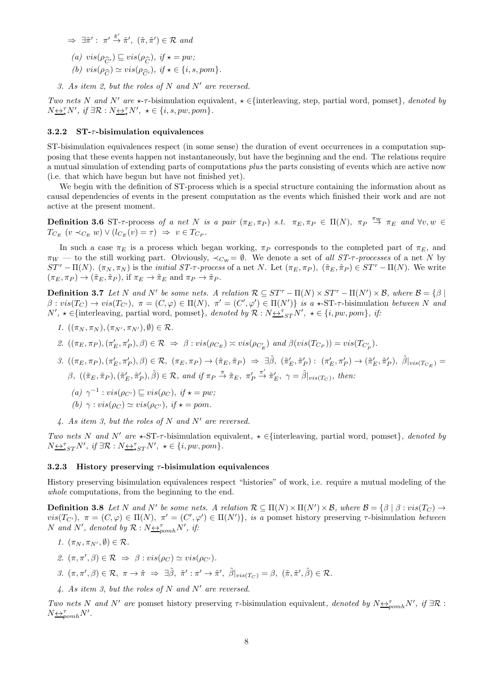- $\Rightarrow \exists \tilde{\pi}' : \pi' \stackrel{\hat{\pi}'}{\rightarrow} \tilde{\pi}', \ (\tilde{\pi}, \tilde{\pi}') \in \mathcal{R} \text{ and}$
- (a)  $vis(\rho_{\widehat{\alpha}}) \sqsubseteq vis(\rho_{\widehat{\alpha}}), \text{ if } \star = pw;$
- (*a*)  $vis(p_{\widehat{C}}^i) \subseteq vis(p_{\widehat{C}}^i)$ ,  $y \neq -pw$ ,<br>
(*b*)  $vis(p_{\widehat{C}}^i) \simeq vis(p_{\widehat{C}}^i)$ , if  $\star \in \{i, s, pom\}$ .
- 3. As item 2, but the roles of N and N' are reversed.

Two nets N and N' are  $\star$ - $\tau$ -bisimulation equivalent,  $\star \in$ {interleaving, step, partial word, pomset}, denoted by  $N_{\underbrace{\leftrightarrow^{\tau}_{\star}}N'}$ , if  $\exists \mathcal{R}: N_{\underbrace{\leftrightarrow^{\tau}_{\star}}N'}$ ,  $\star \in \{i, s, pw, pom\}$ .

#### 3.2.2  $ST-\tau$ -bisimulation equivalences

ST-bisimulation equivalences respect (in some sense) the duration of event occurrences in a computation supposing that these events happen not instantaneously, but have the beginning and the end. The relations require a mutual simulation of extending parts of computations plus the parts consisting of events which are active now (i.e. that which have begun but have not finished yet).

We begin with the definition of ST-process which is a special structure containing the information about as causal dependencies of events in the present computation as the events which finished their work and are not active at the present moment.

**Definition 3.6** ST- $\tau$ -process of a net N is a pair  $(\pi_E, \pi_P)$  s.t.  $\pi_E, \pi_P \in \Pi(N)$ ,  $\pi_P \stackrel{\pi_W}{\to} \pi_E$  and  $\forall v, w \in$  $T_{C_E}$   $(v \prec_{C_E} w) \vee (l_{C_E}(v) = \tau) \Rightarrow v \in T_{C_P}.$ 

In such a case  $\pi_E$  is a process which began working,  $\pi_P$  corresponds to the completed part of  $\pi_E$ , and  $\pi_W$  — to the still working part. Obviously,  $\prec_{C_W} = \emptyset$ . We denote a set of all ST- $\tau$ -processes of a net N by  $ST^{\tau} - \Pi(N)$ .  $(\pi_N, \pi_N)$  is the *initial ST-* $\tau$ -process of a net N. Let  $(\pi_E, \pi_P)$ ,  $(\tilde{\pi}_E, \tilde{\pi}_P) \in ST^{\tau} - \Pi(N)$ . We write  $(\pi_E, \pi_P) \rightarrow (\tilde{\pi}_E, \tilde{\pi}_P)$ , if  $\pi_E \rightarrow \tilde{\pi}_E$  and  $\pi_P \rightarrow \tilde{\pi}_P$ .

**Definition 3.7** Let N and N' be some nets. A relation  $\mathcal{R} \subseteq ST^{\tau} - \Pi(N) \times ST^{\tau} - \Pi(N') \times \mathcal{B}$ , where  $\mathcal{B} = \{\beta \mid$  $\beta: vis(T_C) \to vis(T_{C'}), \pi = (C, \varphi) \in \Pi(N), \pi' = (C', \varphi') \in \Pi(N')\}$  is a  $\star$ -ST- $\tau$ -bisimulation between N and  $N', \star \in \{\text{interleaving, partial word, pomset}\},\ denoted by \mathcal{R}: N \leftrightarrow \tau_{\star ST} N', \star \in \{i, pw, pom\},\ if:$ 

- 1.  $((\pi_N, \pi_N), (\pi_{N'}, \pi_{N'}), \emptyset) \in \mathcal{R}$ .
- 2.  $((\pi_E, \pi_P), (\pi'_E, \pi'_P), \beta) \in \mathcal{R} \Rightarrow \beta : vis(\rho_{C_E}) \approx vis(\rho_{C'_E})$  and  $\beta(vis(T_{C_P})) = vis(T_{C'_P})$ .
- $\label{eq:3.1} \begin{array}{ll} \beta. \ \left((\pi_E, \pi_P), (\pi_E', \pi_P'), \beta\right) \in \mathcal{R}, \ \left(\pi_E, \pi_P\right) \rightarrow \left(\tilde{\pi}_E, \tilde{\pi}_P\right) \ \Rightarrow \ \exists \tilde{\beta}, \ \left(\tilde{\pi}_E', \tilde{\pi}_P'\right) \colon \ \left(\pi_E', \pi_P'\right) \rightarrow \left(\tilde{\pi}_E', \tilde{\pi}_P'\right), \ \tilde{\beta}\vert_{vis\left(T_{C_E}\right)} = \end{array}$  $\beta$ ,  $((\tilde{\pi}_E, \tilde{\pi}_P), (\tilde{\pi}'_E, \tilde{\pi}'_P), \tilde{\beta}) \in \mathcal{R}$ , and if  $\pi_P \stackrel{\pi}{\rightarrow} \tilde{\pi}_E$ ,  $\pi'_F$  $\stackrel{\pi'}{\rightarrow} \tilde{\pi}'_E$ ,  $\gamma = \tilde{\beta}|_{vis(T_C)}$ , then:
	- (a)  $\gamma^{-1}$ :  $vis(\rho_{C'}) \sqsubseteq vis(\rho_C)$ , if  $\star = pw$ ;
	- (b)  $\gamma : vis(\rho_C) \simeq vis(\rho_{C'})$ , if  $\star = pom$ .
- 4. As item 3, but the roles of N and N' are reversed.

Two nets N and N' are  $\star$ -ST- $\tau$ -bisimulation equivalent,  $\star \in$ {interleaving, partial word, pomset}, denoted by  $N\underline{\leftrightarrow}_{*ST}^{\tau}N'$ , if  $\exists \mathcal{R}: N\underline{\leftrightarrow}_{*ST}^{\tau}N'$ ,  $\star \in \{i, pw, pom\}$ .

#### 3.2.3 History preserving  $\tau$ -bisimulation equivalences

History preserving bisimulation equivalences respect "histories" of work, i.e. require a mutual modeling of the whole computations, from the beginning to the end.

**Definition 3.8** Let N and N' be some nets. A relation  $\mathcal{R} \subseteq \Pi(N) \times \Pi(N') \times \mathcal{B}$ , where  $\mathcal{B} = \{\beta \mid \beta : vis(T_C) \rightarrow \Pi(N') \times \Pi(N') \times \mathcal{B} \}$  $vis(T_{C'}), \pi = (C, \varphi) \in \Pi(N), \pi' = (C', \varphi') \in \Pi(N')\},\$  is a pomset history preserving  $\tau$ -bisimulation between N and N', denoted by  $\mathcal{R}: N \underline{\leftrightarrow}_{pomh}^{\tau} N'$ , if:

- 1.  $(\pi_N, \pi_{N'}, \emptyset) \in \mathcal{R}$ .
- 2.  $(\pi, \pi', \beta) \in \mathcal{R} \Rightarrow \beta : vis(\rho_C) \simeq vis(\rho_{C'})$ .
- $\beta$ .  $(\pi, \pi', \beta) \in \mathcal{R}, \ \pi \to \tilde{\pi} \Rightarrow \exists \tilde{\beta}, \ \tilde{\pi}' : \pi' \to \tilde{\pi}', \ \tilde{\beta}|_{vis(T_{C})} = \beta, \ (\tilde{\pi}, \tilde{\pi}', \tilde{\beta}) \in \mathcal{R}.$
- 4. As item 3, but the roles of N and N′ are reversed.

Two nets N and N' are pomset history preserving  $\tau$ -bisimulation equivalent, denoted by  $N \leftrightarrow_{pcmh} N'$ , if  $\exists \mathcal{R}$ :  $N \underline{\leftrightarrow}_{pomh}^{\tau} N'$ .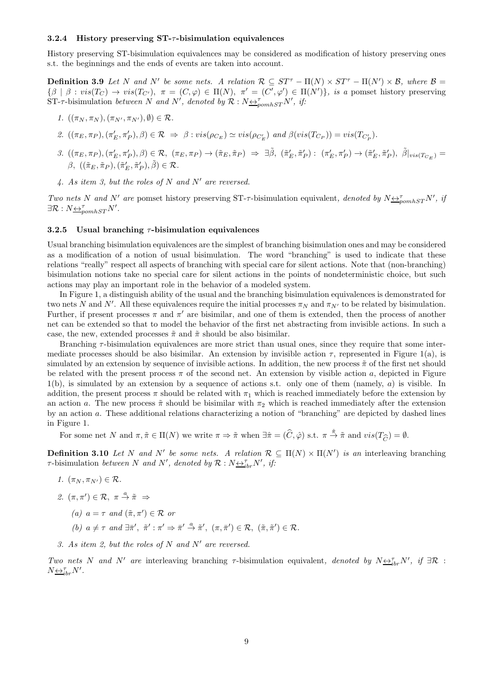#### 3.2.4 History preserving ST-τ-bisimulation equivalences

History preserving ST-bisimulation equivalences may be considered as modification of history preserving ones s.t. the beginnings and the ends of events are taken into account.

**Definition 3.9** Let N and N' be some nets. A relation  $\mathcal{R} \subseteq ST^{\tau} - \Pi(N) \times ST^{\tau} - \Pi(N') \times \mathcal{B}$ , where  $\mathcal{B} =$  $\{\beta \mid \beta : vis(T_C) \to vis(T_{C'}), \pi = (C, \varphi) \in \Pi(N), \pi' = (C', \varphi') \in \Pi(N')\},\$ is a pomset history preserving ST- $\tau$ -bisimulation between N and N', denoted by  $\mathcal{R}: N \leftrightarrow_{\text{pomhST}} N'$ , if:

- 1.  $((\pi_N, \pi_N), (\pi_{N'}, \pi_{N'}), \emptyset) \in \mathcal{R}$ .
- 2.  $((\pi_E, \pi_P), (\pi'_E, \pi'_P), \beta) \in \mathcal{R} \Rightarrow \beta : vis(\rho_{C_E}) \simeq vis(\rho_{C'_E})$  and  $\beta (vis(T_{C_P})) = vis(T_{C'_P})$ .
- $\label{eq:3.1} \begin{array}{ll} \beta. \ \left((\pi_E, \pi_P), (\pi_E', \pi_P'), \beta\right) \in \mathcal{R}, \ \left(\pi_E, \pi_P\right) \rightarrow \left(\tilde{\pi}_E, \tilde{\pi}_P\right) \ \Rightarrow \ \exists \tilde{\beta}, \ \left(\tilde{\pi}_E', \tilde{\pi}_P'\right) \colon \ \left(\pi_E', \pi_P'\right) \rightarrow \left(\tilde{\pi}_E', \tilde{\pi}_P'\right), \ \tilde{\beta}\vert_{vis(T_{C_E})} = \end{array}$  $\beta, \; ((\tilde{\pi}_E, \tilde{\pi}_P),(\tilde{\pi}'_E, \tilde{\pi}'_P), \tilde{\beta}) \in \mathcal{R}.$
- 4. As item 3, but the roles of N and N' are reversed.

Two nets N and N' are pomset history preserving ST- $\tau$ -bisimulation equivalent, denoted by  $N \leftrightarrow_{\rho o m hST}^{\tau} N'$ , if  $\exists \mathcal{R}: N \underleftarrow{\leftrightarrow}_{pomhST}^{\tau} N'.$ 

#### 3.2.5 Usual branching  $\tau$ -bisimulation equivalences

Usual branching bisimulation equivalences are the simplest of branching bisimulation ones and may be considered as a modification of a notion of usual bisimulation. The word "branching" is used to indicate that these relations "really" respect all aspects of branching with special care for silent actions. Note that (non-branching) bisimulation notions take no special care for silent actions in the points of nondeterministic choice, but such actions may play an important role in the behavior of a modeled system.

In Figure 1, a distinguish ability of the usual and the branching bisimulation equivalences is demonstrated for two nets N and N'. All these equivalences require the initial processes  $\pi_N$  and  $\pi_{N'}$  to be related by bisimulation. Further, if present processes  $\pi$  and  $\pi'$  are bisimilar, and one of them is extended, then the process of another net can be extended so that to model the behavior of the first net abstracting from invisible actions. In such a case, the new, extended processes  $\tilde{\pi}$  and  $\tilde{\pi}$  should be also bisimilar.

Branching τ-bisimulation equivalences are more strict than usual ones, since they require that some intermediate processes should be also bisimilar. An extension by invisible action  $\tau$ , represented in Figure 1(a), is simulated by an extension by sequence of invisible actions. In addition, the new process  $\tilde{\pi}$  of the first net should be related with the present process  $\pi$  of the second net. An extension by visible action a, depicted in Figure  $1(b)$ , is simulated by an extension by a sequence of actions s.t. only one of them (namely, a) is visible. In addition, the present process  $\pi$  should be related with  $\pi_1$  which is reached immediately before the extension by an action a. The new process  $\tilde{\pi}$  should be bisimilar with  $\pi_2$  which is reached immediately after the extension by an action a. These additional relations characterizing a notion of "branching" are depicted by dashed lines in Figure 1.

For some net N and  $\pi, \tilde{\pi} \in \Pi(N)$  we write  $\pi \Rightarrow \tilde{\pi}$  when  $\exists \hat{\pi} = (\hat{C}, \hat{\varphi})$  s.t.  $\pi \stackrel{\hat{\pi}}{\to} \tilde{\pi}$  and  $vis(T_{\widehat{C}}) = \emptyset$ .

**Definition 3.10** Let N and N' be some nets. A relation  $\mathcal{R} \subseteq \Pi(N) \times \Pi(N')$  is an interleaving branching  $\tau$ -bisimulation between N and N', denoted by  $\mathcal{R}: N \rightarrow_{ibr}^{\tau} N'$ , if:

- 1.  $(\pi_N, \pi_{N'}) \in \mathcal{R}$ .
- 2.  $(\pi, \pi') \in \mathcal{R}, \pi \stackrel{a}{\rightarrow} \tilde{\pi} \Rightarrow$ 
	- (a)  $a = \tau$  and  $(\tilde{\pi}, \pi') \in \mathcal{R}$  or
	- (b)  $a \neq \tau$  and  $\exists \bar{\pi}', \tilde{\pi}' : \pi' \Rightarrow \bar{\pi}' \stackrel{a}{\rightarrow} \tilde{\pi}', (\pi, \bar{\pi}') \in \mathcal{R}, (\tilde{\pi}, \tilde{\pi}') \in \mathcal{R}.$
- 3. As item 2, but the roles of N and N' are reversed.

Two nets N and N' are interleaving branching  $\tau$ -bisimulation equivalent, denoted by  $N \leq_{ibr}^{\tau} N'$ , if  $\exists \mathcal{R}$ :  $N\underline{\leftrightarrow}_{ibr}^{\tau}N'$ .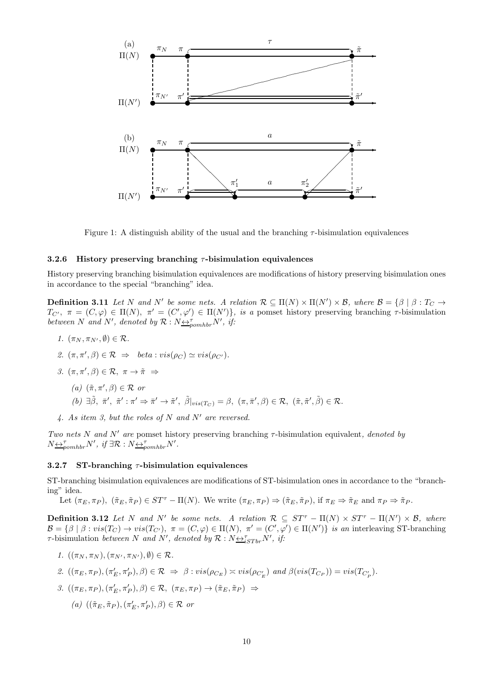

Figure 1: A distinguish ability of the usual and the branching  $\tau$ -bisimulation equivalences

#### 3.2.6 History preserving branching  $\tau$ -bisimulation equivalences

History preserving branching bisimulation equivalences are modifications of history preserving bisimulation ones in accordance to the special "branching" idea.

**Definition 3.11** Let N and N' be some nets. A relation  $\mathcal{R} \subseteq \Pi(N) \times \Pi(N') \times \mathcal{B}$ , where  $\mathcal{B} = \{\beta \mid \beta : T_{C} \rightarrow \mathcal{B} \}$  $T_{C'}$ ,  $\pi = (C, \varphi) \in \Pi(N)$ ,  $\pi' = (C', \varphi') \in \Pi(N')$ , is a pomset history preserving branching  $\tau$ -bisimulation between N and N', denoted by  $\mathcal{R}: N_{\frac{\leftrightarrow}{2}^{r}p o m h b r} N'$ , if:

- 1.  $(\pi_N, \pi_{N'}, \emptyset) \in \mathcal{R}$ .
- 2.  $(\pi, \pi', \beta) \in \mathcal{R} \Rightarrow beta : vis(\rho_C) \simeq vis(\rho_{C'}).$
- 3.  $(\pi, \pi', \beta) \in \mathcal{R}, \pi \to \tilde{\pi} \Rightarrow$ 
	- (a)  $(\tilde{\pi}, \pi', \beta) \in \mathcal{R}$  or
	- $(b) \exists \tilde{\beta}, \bar{\pi}', \tilde{\pi}' : \pi' \Rightarrow \bar{\pi}' \rightarrow \tilde{\pi}', \tilde{\beta}|_{vis(T_C)} = \beta, (\pi, \bar{\pi}', \beta) \in \mathcal{R}, (\tilde{\pi}, \tilde{\pi}', \tilde{\beta}) \in \mathcal{R}.$
- 4. As item 3, but the roles of N and N′ are reversed.

Two nets N and N' are pomset history preserving branching  $\tau$ -bisimulation equivalent, denoted by  $N \triangleq_{pomhbr}^{\tau} N'$ , if  $\exists \mathcal{R}: N \triangleq_{pomhbr}^{\tau} N'$ .

#### 3.2.7 ST-branching  $\tau$ -bisimulation equivalences

ST-branching bisimulation equivalences are modifications of ST-bisimulation ones in accordance to the "branching" idea.

Let  $(\pi_E, \pi_P)$ ,  $(\tilde{\pi}_E, \tilde{\pi}_P) \in ST^{\tau} - \Pi(N)$ . We write  $(\pi_E, \pi_P) \Rightarrow (\tilde{\pi}_E, \tilde{\pi}_P)$ , if  $\pi_E \Rightarrow \tilde{\pi}_E$  and  $\pi_P \Rightarrow \tilde{\pi}_P$ .

**Definition 3.12** Let N and N' be some nets. A relation  $\mathcal{R} \subseteq ST^{\tau} - \Pi(N) \times ST^{\tau} - \Pi(N') \times \mathcal{B}$ , where  $\mathcal{B} = \{\beta \mid \beta : vis(T_C) \to vis(T_{C'}), \pi = (C, \varphi) \in \Pi(N), \pi' = (C', \varphi') \in \Pi(N')\}$  is an interleaving ST-branching  $\tau$ -bisimulation between N and N', denoted by  $\mathcal{R}: N \rightarrow_{iSTbr} N'$ , if:

- 1.  $((\pi_N, \pi_N), (\pi_{N'}, \pi_{N'}), \emptyset) \in \mathcal{R}$ .
- 2.  $((\pi_E, \pi_P), (\pi'_E, \pi'_P), \beta) \in \mathcal{R} \Rightarrow \beta : vis(\rho_{C_E}) \approx vis(\rho_{C'_E})$  and  $\beta (vis(T_{C_P})) = vis(T_{C'_P})$ .
- 3.  $((\pi_E, \pi_P), (\pi'_E, \pi'_P), \beta) \in \mathcal{R}, (\pi_E, \pi_P) \rightarrow (\tilde{\pi}_E, \tilde{\pi}_P) \Rightarrow$ 
	- (a)  $((\tilde{\pi}_E, \tilde{\pi}_P), (\pi'_E, \pi'_P), \beta) \in \mathcal{R}$  or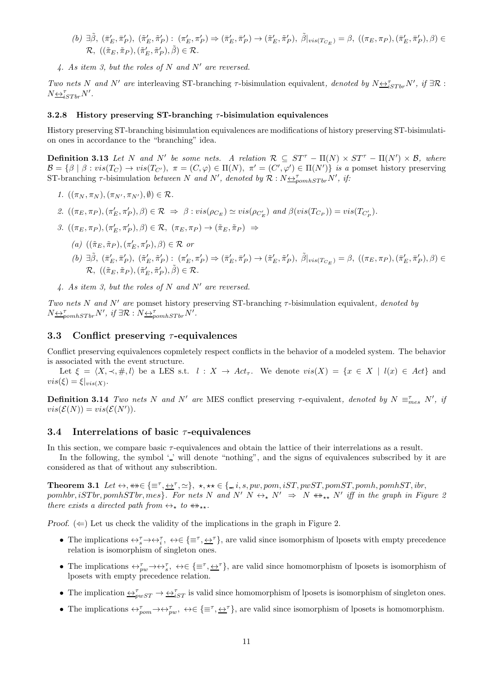- $(b) \exists \tilde{\beta}, (\bar{\pi}'_E, \bar{\pi}'_P), (\tilde{\pi}'_E, \tilde{\pi}'_P): (\pi'_E, \pi'_P) \Rightarrow (\bar{\pi}'_E, \bar{\pi}'_P) \rightarrow (\tilde{\pi}'_E, \tilde{\pi}'_P), \tilde{\beta}|_{vis(T_{C_E})} = \beta, ((\pi_E, \pi_P), (\bar{\pi}'_E, \bar{\pi}'_P), \beta) \in$  $\mathcal{R}, \; \left( (\tilde{\pi}_E, \tilde{\pi}_P),(\tilde{\pi}'_E, \tilde{\pi}'_P), \tilde{\beta} \right) \in \mathcal{R}.$
- 4. As item 3, but the roles of N and N' are reversed.

Two nets N and N' are interleaving ST-branching  $\tau$ -bisimulation equivalent, denoted by  $N \leq_{iSTbr}^{\tau} N'$ , if  $\exists \mathcal{R}$ :  $N \underline{\leftrightarrow}^{\tau}_{iSTbr} N'$ .

#### 3.2.8 History preserving ST-branching  $\tau$ -bisimulation equivalences

History preserving ST-branching bisimulation equivalences are modifications of history preserving ST-bisimulation ones in accordance to the "branching" idea.

**Definition 3.13** Let N and N' be some nets. A relation  $\mathcal{R} \subseteq ST^{\tau} - \Pi(N) \times ST^{\tau} - \Pi(N') \times \mathcal{B}$ , where  $\mathcal{B} = \{\beta \mid \beta : vis(T_C) \to vis(T_{C'}), \pi = (C, \varphi) \in \Pi(N), \pi' = (C', \varphi') \in \Pi(N')\}$  is a pomset history preserving ST-branching  $\tau$ -bisimulation between N and N', denoted by  $\mathcal{R}: N \triangleq_{pomhSTbr}^{\tau} N'$ , if:

- 1.  $((\pi_N, \pi_N), (\pi_{N'}, \pi_{N'}), \emptyset) \in \mathcal{R}$ .
- 2.  $((\pi_E, \pi_P), (\pi'_E, \pi'_P), \beta) \in \mathcal{R} \Rightarrow \beta : vis(\rho_{C_E}) \simeq vis(\rho_{C'_E})$  and  $\beta (vis(T_{C_P})) = vis(T_{C'_P})$ .
- 3.  $((\pi_E, \pi_P), (\pi'_E, \pi'_P), \beta) \in \mathcal{R}, (\pi_E, \pi_P) \rightarrow (\tilde{\pi}_E, \tilde{\pi}_P) \Rightarrow$ 
	- (a)  $((\tilde{\pi}_E, \tilde{\pi}_P), (\pi'_E, \pi'_P), \beta) \in \mathcal{R}$  or
	- $(b) \ \exists \tilde{\beta}, \ (\bar{\pi}'_E, \bar{\pi}'_P), \ (\tilde{\pi}'_E, \tilde{\pi}'_P) : \ (\pi'_E, \pi'_P) \Rightarrow (\bar{\pi}'_E, \bar{\pi}'_P) \rightarrow (\tilde{\pi}'_E, \tilde{\pi}'_P), \ \tilde{\beta}|_{vis(T_{C_E})} = \beta, \ ((\pi_E, \pi_P), (\bar{\pi}'_E, \bar{\pi}'_P), \beta) \in \mathcal{H}$  $\mathcal{R}, \; \left( (\tilde{\pi}_E, \tilde{\pi}_P),(\tilde{\pi}'_E, \tilde{\pi}'_P), \tilde{\beta} \right) \in \mathcal{R}.$
- 4. As item 3, but the roles of N and N' are reversed.

Two nets N and N' are pomset history preserving ST-branching  $\tau$ -bisimulation equivalent, denoted by  $N \underline{\leftrightarrow}_{pomhSTbr}^{\tau} N'$ , if  $\exists \mathcal{R}: N \underline{\leftrightarrow}_{pomhSTbr}^{\tau} N'$ .

#### 3.3 Conflict preserving  $\tau$ -equivalences

Conflict preserving equivalences copmletely respect conflicts in the behavior of a modeled system. The behavior is associated with the event structure.

Let  $\xi = \langle X, \prec, \#, l \rangle$  be a LES s.t.  $l : X \to Act_{\tau}$ . We denote  $vis(X) = \{x \in X \mid l(x) \in Act\}$  and  $vis(\xi) = \xi|_{vis(X)}.$ 

**Definition 3.14** Two nets N and N' are MES conflict preserving  $\tau$ -equivalent, denoted by  $N \equiv_{mes}^{\tau} N'$ , if  $vis(\mathcal{E}(N)) = vis(\mathcal{E}(N')).$ 

#### 3.4 Interrelations of basic  $\tau$ -equivalences

In this section, we compare basic τ-equivalences and obtain the lattice of their interrelations as a result.

In the following, the symbol '' will denote "nothing", and the signs of equivalences subscribed by it are considered as that of without any subscribtion.

**Theorem 3.1** Let  $\leftrightarrow$ ,  $\ast\ast \in \{\equiv^{\tau}, \pm^{\tau}, \sim\}$ ,  $\star$ ,  $\star\ast \in \{\equiv, i, s, pw, pom, iST, pwST, pomST, pomh, pomhST, ibr, var, spt, wgr, norm, spt, mgr, norm, spt, mgr, var, spt, mgr, var, spt, mgr, var, spt, mgr, var, spt, mgr, var, spt, mgr, var, spt, mgr, var, spt, mgr, var, spt, mgr, var, spt, mgr, var, spt, mgr, var, spt, mgr, var, spt, mgr, var, spt, m$  $pomhbr, iSTbr, pomhSTbr, mes. For nets N and N' N  $\leftrightarrow_{\star} N' \Rightarrow N \leftrightarrow_{\star} N' \text{ iff in the graph in Figure 2}$$ there exists a directed path from  $\leftrightarrow_{\star}$  to  $\leftrightarrow_{\star\star}$ .

Proof.  $(\Leftarrow)$  Let us check the validity of the implications in the graph in Figure 2.

- The implications  $\leftrightarrow_s^{\tau} \rightarrow \leftrightarrow_t^{\tau}$ ,  $\leftrightarrow \in \{\equiv^{\tau}, \pm^{\tau}\}$ , are valid since isomorphism of lposets with empty precedence relation is isomorphism of singleton ones.
- The implications  $\leftrightarrow_{pw}^{\tau} \rightarrow \leftrightarrow_{s}^{\tau}$ ,  $\leftrightarrow \in \{\equiv^{\tau}, \pm^{\tau}\}\$ , are valid since homomorphism of lposets is isomorphism of lposets with empty precedence relation.
- The implication  $\overline{\leftrightarrow_{pwsT}} \rightarrow \overline{\leftrightarrow_{isyT}}$  is valid since homomorphism of lposets is isomorphism of singleton ones.
- The implications  $\leftrightarrow_{\text{pom}}^{\tau} \leftrightarrow \leftrightarrow_{\text{pw}}^{\tau}$ ,  $\leftrightarrow \in \{\equiv^{\tau}, \pm^{\tau}\}$ , are valid since isomorphism of lposets is homomorphism.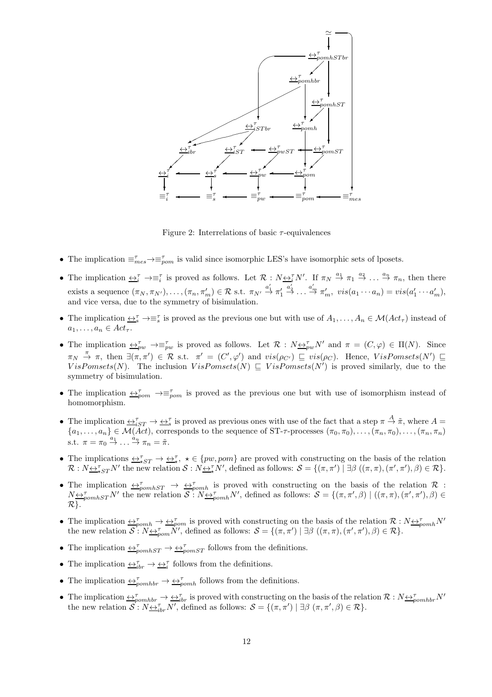

Figure 2: Interrelations of basic  $\tau$ -equivalences

- The implication  $\equiv_{mes}^{\tau} \rightarrow \equiv_{pon}^{\tau}$  is valid since isomorphic LES's have isomorphic sets of lposets.
- The implication  $\overline{\leftrightarrow_i^{\tau}} \rightarrow \equiv_i^{\tau}$  is proved as follows. Let  $\mathcal{R}: N \underline{\leftrightarrow_i^{\tau}} N'$ . If  $\pi_N \stackrel{a_1}{\rightarrow} \pi_1 \stackrel{a_2}{\rightarrow} \ldots \stackrel{a_n}{\rightarrow} \pi_n$ , then there exists a sequence  $(\pi_N, \pi_{N'}), \ldots, (\pi_n, \pi'_m) \in \mathcal{R}$  s.t.  $\pi_{N'} \stackrel{a'_1}{\rightarrow} \pi'_1$  $\stackrel{a_2'}{\rightarrow} \ldots \stackrel{a_m'}{\rightarrow} \pi'_m$ ,  $vis(a_1 \cdots a_n) = vis(a_1' \cdots a_m')$ , and vice versa, due to the symmetry of bisimulation.
- The implication  $\underline{\leftrightarrow}^{\tau}_{s} \to \equiv^{\tau}_{s}$  is proved as the previous one but with use of  $A_1, \ldots, A_n \in \mathcal{M}(Act_{\tau})$  instead of  $a_1, \ldots, a_n \in Act_\tau.$
- The implication  $\overline{\leftrightarrow}_{pw}^{\tau} \rightarrow \equiv_{pw}^{\tau}$  is proved as follows. Let  $\mathcal{R}: N \underline{\leftrightarrow}_{pw}^{\tau} N'$  and  $\pi = (C, \varphi) \in \Pi(N)$ . Since  $\pi_N \stackrel{\pi}{\to} \pi$ , then  $\exists (\pi, \pi') \in \mathcal{R}$  s.t.  $\pi' = (C', \varphi')$  and  $vis(\rho_{C'}) \sqsubseteq vis(\rho_C)$ . Hence,  $VisPomsets(N') \sqsubseteq$ VisPomsets(N). The inclusion  $VisPomsets(N) \subseteq VisPomsets(N')$  is proved similarly, due to the symmetry of bisimulation.
- The implication  $\leftrightarrow_{\text{pom}}^{\tau} \rightarrow \equiv_{\text{pom}}^{\tau}$  is proved as the previous one but with use of isomorphism instead of homomorphism.
- The implication  $\overline{\leftrightarrow}_{iST}^{\tau} \to \overline{\leftrightarrow}_{s}^{\tau}$  is proved as previous ones with use of the fact that a step  $\pi \stackrel{A}{\to} \tilde{\pi}$ , where  $A =$  ${a_1,\ldots,a_n} \in {\overline{\mathcal{M}(Act)}},$  corresponds to the sequence of ST- $\tau$ -processes  $(\pi_0,\pi_0),\ldots,(\pi_n,\pi_0),\ldots,(\pi_n,\pi_n)$ s.t.  $\pi = \pi_0 \stackrel{a_1}{\rightarrow} \dots \stackrel{a_n}{\rightarrow} \pi_n = \tilde{\pi}.$
- The implications  $\overline{\leftrightarrow_{\star}^{\tau}} \rightarrow \overline{\leftrightarrow_{\star}^{\tau}}$ ,  $\star \in \{pw, pom\}$  are proved with constructing on the basis of the relation  $\mathcal{R}: N \rightarrow_{\star}^{\tau} N'$  the new relation  $\mathcal{S}: N \rightarrow_{\star}^{\tau} N'$ , defined as follows:  $\mathcal{S} = \{(\pi, \pi') \mid \exists \beta \ ((\pi, \pi), (\pi', \pi'), \beta) \in \mathcal{R}\}.$
- The implication  $\leftrightarrow_{pomhST}^{\tau}$   $\rightarrow \leftrightarrow_{pomh}^{\tau}$  is proved with constructing on the basis of the relation R :  $N \rightarrow_{\text{pounds}T} N'$  the new relation  $S: N \rightarrow_{\text{pounds}}^T N'$ , defined as follows:  $S = \{(\pi, \pi', \beta) \mid ((\pi, \pi), (\pi', \pi'), \beta) \in$  $\mathcal{R}$ .
- The implication  $\leftrightarrow_{\text{p}omh}^{\tau} \rightarrow \leftrightarrow_{\text{p}om}^{\tau}$  is proved with constructing on the basis of the relation  $\mathcal{R}: N \leftrightarrow_{\text{p}omh}^{\tau} N'$ the new relation  $S: N \rightarrow \gamma_{\text{mon}} N'$ , defined as follows:  $S = \{(\pi, \pi') \mid \exists \beta \ ((\pi, \pi), (\pi', \pi'), \beta) \in \mathcal{R}\}.$
- The implication  $\leftrightarrow_{\text{pomhST}}^{\tau} \rightarrow \leftrightarrow_{\text{pomST}}^{\tau}$  follows from the definitions.
- The implication  $\underline{\leftrightarrow}_{ibr}^{\tau} \rightarrow \underline{\leftrightarrow}_{i}^{\tau}$  follows from the definitions.
- The implication  $\leftrightarrow_{\text{p}}^{\tau} \rightarrow \leftrightarrow_{\text{p}}^{\tau}$  follows from the definitions.
- The implication  $\leftrightarrow_{pomhbr}^{\tau} \rightarrow \leftrightarrow_{ibr}^{\tau}$  is proved with constructing on the basis of the relation  $\mathcal{R}: N \leftrightarrow_{pomhbr}^{\tau} N'$ the new relation  $S: N \underline{\leftrightarrow}_{ibr}^{\tau} N'$ , defined as follows:  $S = \{(\pi, \pi') \mid \exists \beta \ (\pi, \pi', \beta) \in \mathcal{R}\}.$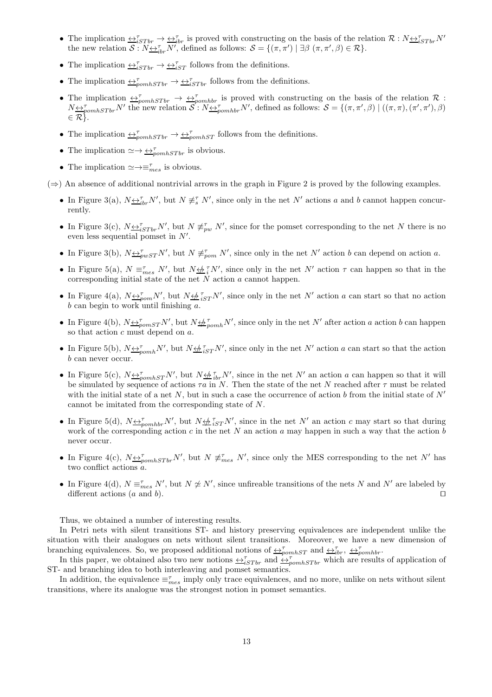- The implication  $\overline{\leftrightarrow}_{iSTbr}^{\tau} \rightarrow \overline{\leftrightarrow}_{ibr}^{\tau}$  is proved with constructing on the basis of the relation  $\mathcal{R}: N \underline{\leftrightarrow}_{iSTbr}^{\tau} N'$ the new relation  $S: N \underline{\leftrightarrow}_{ir}^{\tau} N'$ , defined as follows:  $S = \{(\pi, \pi') \mid \exists \beta \ (\pi, \pi', \beta) \in \mathcal{R}\}.$
- The implication  $\overline{\leftrightarrow_{iSTbr}^{\tau}} \rightarrow \overline{\leftrightarrow_{iST}^{\tau}}$  follows from the definitions.
- The implication  $\leftrightarrow_{\text{pomhSTbr}}^{\tau} \rightarrow \leftrightarrow_{iSTbr}^{\tau}$  follows from the definitions.
- The implication  $\leftrightarrow_{\text{pomhSTbr}}^{\tau}$   $\rightarrow \leftrightarrow_{\text{pomhbr}}^{\tau}$  is proved with constructing on the basis of the relation  $\mathcal{R}$ :  $N \rightarrow_{\text{pounds}}$  N' the new relation  $S: N \rightarrow_{\text{pounds}} N'$ , defined as follows:  $S = \{(\pi, \pi', \beta) \mid ((\pi, \pi), (\pi', \pi'), \beta) \}$  $\in \mathcal{R}$ .
- The implication  $\leftrightarrow_{\text{pomhSTbr}}^{\tau} \rightarrow \leftrightarrow_{\text{pomhST}}^{\tau}$  follows from the definitions.
- The implication  $\simeq \rightarrow \leftrightarrow_{\text{pom} hSTbr}^{\tau}$  is obvious.
- The implication  $\simeq \rightarrow \equiv_{mes}^{\tau}$  is obvious.

 $(\Rightarrow)$  An absence of additional nontrivial arrows in the graph in Figure 2 is proved by the following examples.

- In Figure 3(a),  $N \underline{\leftrightarrow}^{\tau}_{ibr} N'$ , but  $N \not\equiv^{\tau}_{s} N'$ , since only in the net  $N'$  actions a and b cannot happen concurrently.
- In Figure 3(c),  $N \underline{\leftrightarrow}^{\tau}_{iSTbr} N'$ , but  $N \not\equiv^{\tau}_{pw} N'$ , since for the pomset corresponding to the net N there is no even less sequential pomset in  $N'$ .
- In Figure 3(b),  $N \triangleq_{pwST}^T N'$ , but  $N \neq_{pom}^T N'$ , since only in the net  $N'$  action b can depend on action a.
- In Figure 5(a),  $N \equiv_{mes}^{\tau} N'$ , but  $N \nleftrightarrow \frac{7}{3} N'$ , since only in the net  $N'$  action  $\tau$  can happen so that in the corresponding initial state of the net  $N$  action  $a$  cannot happen.
- In Figure 4(a),  $N \leftrightarrow_{\text{pom}} N'$ , but  $N \leftrightarrow_{iST} N'$ , since only in the net N' action a can start so that no action  $b$  can begin to work until finishing  $a$ .
- In Figure 4(b),  $N \triangleq_{\text{pomST}}^T N'$ , but  $N \triangleq_{\text{pomh}}^T N'$ , since only in the net  $N'$  after action a action b can happen so that action  $c$  must depend on  $a$ .
- In Figure 5(b),  $N \leftrightarrow_{pcmh} N'$ , but  $N \leftrightarrow_{iST} N'$ , since only in the net N' action a can start so that the action b can never occur.
- In Figure 5(c),  $N \leftrightarrow_{\text{pomhST}} N'$ , but  $N \leftrightarrow_{\text{ibr}} N'$ , since in the net N' an action a can happen so that it will be simulated by sequence of actions  $\tau a$  in N. Then the state of the net N reached after  $\tau$  must be related with the initial state of a net N, but in such a case the occurrence of action b from the initial state of  $N'$ cannot be imitated from the corresponding state of N.
- In Figure 5(d),  $N \underline{\leftrightarrow}^{\tau}_{pomhbr} N'$ , but  $N \underline{\leftrightarrow}^{\tau}_{iST} N'$ , since in the net  $N'$  an action c may start so that during work of the corresponding action c in the net N an action a may happen in such a way that the action b never occur.
- In Figure 4(c),  $N \underline{\leftrightarrow}_{pomhSTbr}^{\tau} N'$ , but  $N \not\equiv_{mes}^{\tau} N'$ , since only the MES corresponding to the net N' has two conflict actions a.
- In Figure 4(d),  $N \equiv_{mes}^{\tau} N'$ , but  $N \not\approx N'$ , since unfireable transitions of the nets N and N' are labeled by different actions (a and b). □

Thus, we obtained a number of interesting results.

In Petri nets with silent transitions ST- and history preserving equivalences are independent unlike the situation with their analogues on nets without silent transitions. Moreover, we have a new dimension of branching equivalences. So, we proposed additional notions of  $\leftrightarrow_{\text{pomhST}}^{\tau}$  and  $\leftrightarrow_{\text{ibr}}^{\tau}$ ,  $\leftrightarrow_{\text{pomhbr}}^{\tau}$ .

In this paper, we obtained also two new notions  $\leftrightarrow_{iSTbr}^{\tau}$  and  $\leftrightarrow_{pomhSTbr}^{\tau}$  which are results of application of ST- and branching idea to both interleaving and pomset semantics.

In addition, the equivalence  $\equiv_{mes}^{\tau}$  imply only trace equivalences, and no more, unlike on nets without silent transitions, where its analogue was the strongest notion in pomset semantics.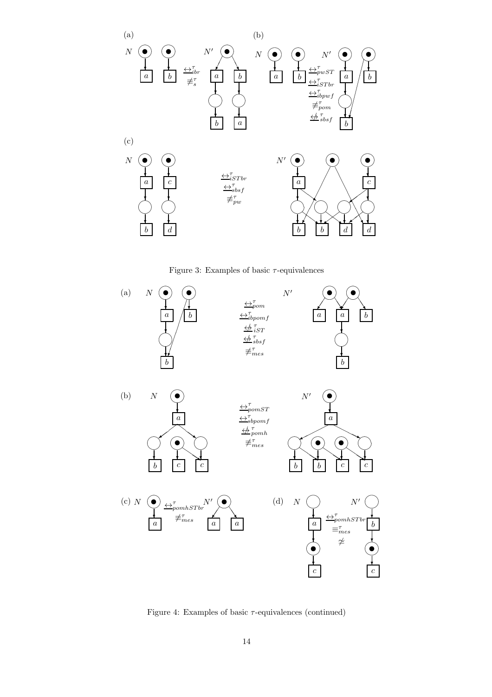





Figure 4: Examples of basic  $\tau$ -equivalences (continued)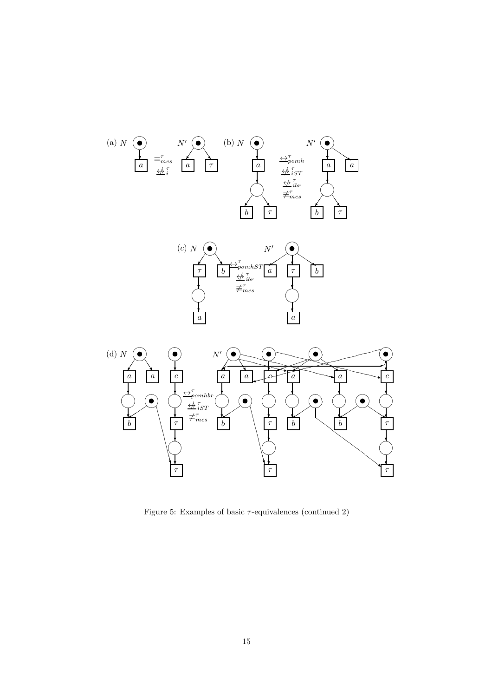



Figure 5: Examples of basic  $\tau$ -equivalences (continued 2)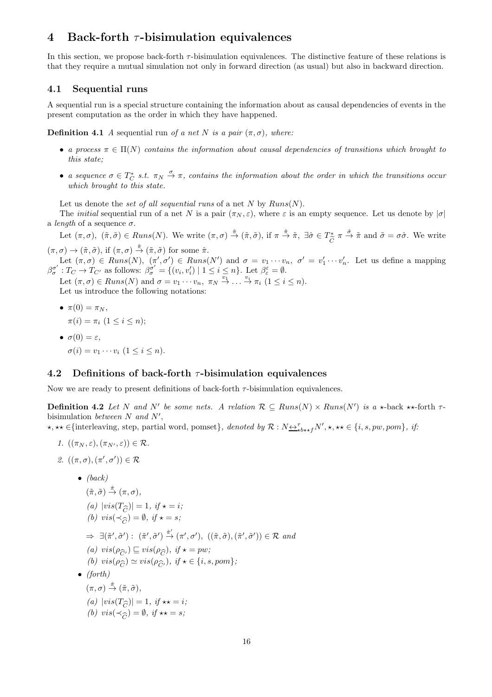## 4 Back-forth  $\tau$ -bisimulation equivalences

In this section, we propose back-forth  $\tau$ -bisimulation equivalences. The distinctive feature of these relations is that they require a mutual simulation not only in forward direction (as usual) but also in backward direction.

#### 4.1 Sequential runs

A sequential run is a special structure containing the information about as causal dependencies of events in the present computation as the order in which they have happened.

**Definition 4.1** A sequential run of a net N is a pair  $(\pi, \sigma)$ , where:

- a process  $\pi \in \Pi(N)$  contains the information about causal dependencies of transitions which brought to this state;
- a sequence  $\sigma \in T_C^*$  s.t.  $\pi_N \stackrel{\sigma}{\to} \pi$ , contains the information about the order in which the transitions occur which brought to this state.

Let us denote the set of all sequential runs of a net N by  $Runs(N)$ .

The *initial* sequential run of a net N is a pair  $(\pi_N, \varepsilon)$ , where  $\varepsilon$  is an empty sequence. Let us denote by  $|\sigma|$ a *length* of a sequence  $\sigma$ .

Let  $(\pi, \sigma)$ ,  $(\tilde{\pi}, \tilde{\sigma}) \in Runs(N)$ . We write  $(\pi, \sigma) \stackrel{\hat{\pi}}{\rightarrow} (\tilde{\pi}, \tilde{\sigma})$ , if  $\pi \stackrel{\hat{\pi}}{\rightarrow} \tilde{\pi}$ ,  $\exists \hat{\sigma} \in T_{\tilde{\sigma}}^*$  $\stackrel{\ast}{\widetilde{C}}\pi \stackrel{\hat{\sigma}}{\rightarrow} \widetilde{\pi}$  and  $\widetilde{\sigma} = \sigma \hat{\sigma}$ . We write  $(\pi,\sigma) \to (\tilde{\pi},\tilde{\sigma}),$  if  $(\pi,\sigma) \stackrel{\hat{\pi}}{\to} (\tilde{\pi},\tilde{\sigma})$  for some  $\hat{\pi}$ .

Let  $(\pi, \sigma) \in Runs(N), \ (\pi', \sigma') \in Runs(N')$  and  $\sigma = v_1 \cdots v_n, \ \sigma' = v'_1 \cdots v'_n$ . Let us define a mapping  $\beta_{\sigma}^{\sigma'}$  $\sigma'$ :  $T_C \to T_{C'}$  as follows:  $\beta_{\sigma}^{\sigma'} = \{(v_i, v'_i) \mid 1 \leq i \leq n\}$ . Let  $\beta_{\varepsilon}^{\varepsilon} = \emptyset$ .

Let  $(\pi,\sigma)\in \text{Runs}(N)$  and  $\sigma = v_1 \cdots v_n, \ \pi_N \stackrel{v_1}{\rightarrow} \ldots \stackrel{v_i}{\rightarrow} \pi_i \ (1 \leq i \leq n).$ Let us introduce the following notations:

•  $\pi(0) = \pi_N$ ,  $\pi(i) = \pi_i \ (1 \leq i \leq n);$ •  $\sigma(0) = \varepsilon$ ,  $\sigma(i) = v_1 \cdots v_i \ (1 \leq i \leq n).$ 

#### 4.2 Definitions of back-forth  $\tau$ -bisimulation equivalences

Now we are ready to present definitions of back-forth  $\tau$ -bisimulation equivalences.

**Definition 4.2** Let N and N' be some nets. A relation  $\mathcal{R} \subseteq Runs(N) \times Runs(N')$  is a  $\star$ -back  $\star \star$ -forth  $\tau$ bisimulation between  $N$  and  $N'$ ,

 $\star, \star\star \in \{\text{interleaving, step, partial word, pomset}\}\$ , denoted by  $\mathcal{R}: N \rightarrow \atop \text{other } N', \star, \star\star \in \{i, s, pw, pom\}$ , if:

- 1.  $((\pi_N, \varepsilon), (\pi_{N'}, \varepsilon)) \in \mathcal{R}$ .
- 2.  $((\pi,\sigma),(\pi',\sigma')) \in \mathcal{R}$

\n- \n
$$
(back)
$$
\n $(\tilde{\pi}, \tilde{\sigma}) \stackrel{\hat{\pi}}{\rightarrow} (\pi, \sigma),$ \n $(a) \, |\text{vis}(T_{\widehat{C}})| = 1, \, if \, \star = i;$ \n $(b) \, \text{vis}(\prec_{\widehat{C}}) = \emptyset, \, if \, \star = s;$ \n $\Rightarrow \exists (\tilde{\pi}', \tilde{\sigma}') : (\tilde{\pi}', \tilde{\sigma}') \stackrel{\hat{\pi}'}{\rightarrow} (\pi', \sigma'), \, ((\tilde{\pi}, \tilde{\sigma}), (\tilde{\pi}', \tilde{\sigma}')) \in \mathcal{R} \text{ and}$ \n $(a) \, \text{vis}(\rho_{\widehat{C}'}) \sqsubseteq \text{vis}(\rho_{\widehat{C}}), \, if \, \star = pw;$ \n $(b) \, \text{vis}(\rho_{\widehat{C}}) \simeq \text{vis}(\rho_{\widehat{C}'}), \, if \, \star \in \{i, s, pom\};$ \n
\n- \n $(forth)$ \n $(\pi, \sigma) \stackrel{\hat{\pi}}{\rightarrow} (\tilde{\pi}, \tilde{\sigma}),$ \n $(a) \, |\text{vis}(T_{\widehat{C}})| = 1, \, if \, \star \star = i;$ \n $(b) \, \text{vis}(\prec_{\widehat{C}}) = \emptyset, \, if \, \star \star = s;$ \n
\n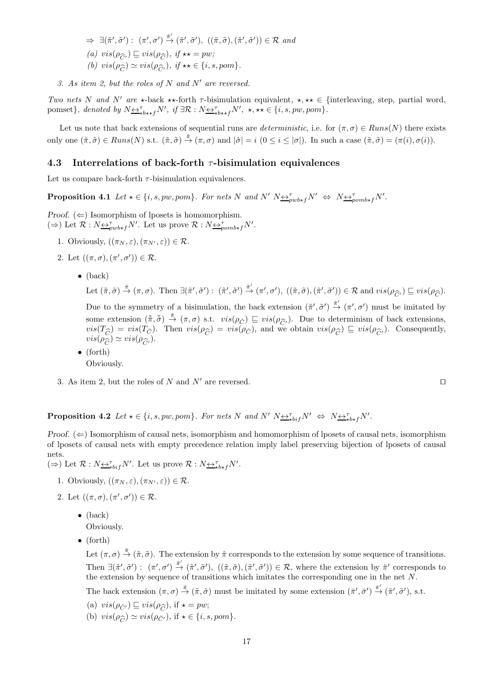- $\Rightarrow \exists (\tilde{\pi}', \tilde{\sigma}') : (\pi', \sigma') \xrightarrow{\hat{\pi}'} (\tilde{\pi}', \tilde{\sigma}'), ((\tilde{\pi}, \tilde{\sigma}), (\tilde{\pi}', \tilde{\sigma}')) \in \mathcal{R} \text{ and}$ (a)  $vis(\rho_{\widehat{C}}) \sqsubseteq vis(\rho_{\widehat{C}})$ , if  $\star\star = pw;$ <br>(b)  $vis(\rho_{\widehat{C}}) \approx vis(\rho_{\widehat{C}})$ , if  $\star\star \in [s]$ (b)  $vis(\rho_{\widehat{C}}) \simeq vis(\rho_{\widehat{C}'}), \text{ if } \star \star \in \{i, s, pom\}.$
- 3. As item 2, but the roles of N and N' are reversed.

Two nets N and N' are  $\star$ -back  $\star\star$ -forth  $\tau$ -bisimulation equivalent,  $\star, \star\star \in \{\text{interleaving, step, partial word}\}$ pomset}, denoted by  $N \underline{\leftrightarrow}^{\tau}_{\star b \star \star f} N'$ , if  $\exists \mathcal{R} : N \underline{\leftrightarrow}^{\tau}_{\star b \star \star f} N'$ ,  $\star, \star \star \in \{i, s, pw, pom\}$ .

Let us note that back extensions of sequential runs are *deterministic*, i.e. for  $(\pi, \sigma) \in Runs(N)$  there exists only one  $(\tilde{\pi}, \tilde{\sigma}) \in Runs(N)$  s.t.  $(\tilde{\pi}, \tilde{\sigma}) \stackrel{\hat{\pi}}{\rightarrow} (\pi, \sigma)$  and  $|\tilde{\sigma}| = i \ (0 \leq i \leq |\sigma|)$ . In such a case  $(\tilde{\pi}, \tilde{\sigma}) = (\pi(i), \sigma(i))$ .

#### 4.3 Interrelations of back-forth  $\tau$ -bisimulation equivalences

Let us compare back-forth  $\tau$ -bisimulation equivalences.

**Proposition 4.1** Let  $\star \in \{i, s, pw, pom\}$ . For nets N and N'  $N \nleftrightarrow_{pwb*f} N' \Leftrightarrow N \nleftrightarrow_{powb*f} N'$ .

Proof.  $(\Leftarrow)$  Isomorphism of lposets is homomorphism.  $(\Rightarrow)$  Let  $\mathcal{R}: N \underline{\leftrightarrow}^{\tau}_{\text{pub*f}} N'$ . Let us prove  $\mathcal{R}: N \underline{\leftrightarrow}^{\tau}_{\text{pomb*f}} N'$ .

- 1. Obviously,  $((\pi_N, \varepsilon),(\pi_{N'}, \varepsilon)) \in \mathcal{R}$ .
- 2. Let  $((\pi,\sigma),(\pi',\sigma')) \in \mathcal{R}$ .
	- $\bullet$  (back)

Let  $(\tilde{\pi}, \tilde{\sigma}) \stackrel{\hat{\pi}}{\rightarrow} (\pi, \sigma)$ . Then  $\exists (\tilde{\pi}', \tilde{\sigma}') : (\tilde{\pi}', \tilde{\sigma}') \stackrel{\hat{\pi}'}{\rightarrow} (\pi', \sigma')$ ,  $((\tilde{\pi}, \tilde{\sigma}), (\tilde{\pi}', \tilde{\sigma}')) \in \mathcal{R}$  and  $vis(\rho_{\widehat{C}'}) \sqsubseteq vis(\rho_{\widehat{C}})$ .

Due to the symmetry of a bisimulation, the back extension  $(\tilde{\pi}', \tilde{\sigma}') \stackrel{\hat{\pi}'}{\rightarrow} (\pi', \sigma')$  must be imitated by some extension  $(\tilde{\pi}, \tilde{\tilde{\sigma}}) \stackrel{\tilde{\pi}}{\rightarrow} (\pi, \sigma)$  s.t.  $vis(\rho_{\tilde{C}}) \sqsubseteq vis(\rho_{\widehat{C}})$ . Due to determinism of back extensions,<br> $vis(\Gamma_{\tilde{\gamma}}) = vis(\Gamma_{\tilde{\gamma}})$ . Then  $vis(\rho_{\tilde{\gamma}}) = vis(\rho_{\tilde{\gamma}})$ , and we obtain  $vis(\rho_{\tilde{\gamma}}) \sqsubset vis(\rho_{\tilde{\$  $vis(T_{\hat{C}}) = vis(T_{\hat{C}})$ . Then  $vis(\rho_{\hat{C}}) = vis(\rho_{\hat{C}})$ , and we obtain  $vis(\rho_{\hat{C}}) \subseteq vis(\rho_{\hat{C}})$ . Consequently,  $vis(\rho_{\hat{C}}) \sim vis(\rho_{\hat{C}})$ .  $vis(\rho_{\widehat{C}}) \simeq vis(\rho_{\widehat{C'}}).$ 

- (forth) Obviously.
- 3. As item 2, but the roles of N and N' are reversed. □

**Proposition 4.2** Let  $\star \in \{i, s, pw, pom\}$ . For nets N and N'  $N \underbrace{\leftrightarrow \tau}_{\star bif} N' \Leftrightarrow N \underbrace{\leftrightarrow \tau}_{\star b \star f} N'$ .

*Proof.*  $(\Leftarrow)$  Isomorphism of causal nets, isomorphism and homomorphism of lposets of causal nets, isomorphism of lposets of causal nets with empty precedence relation imply label preserving bijection of lposets of causal nets.

- $(\Rightarrow)$  Let  $\mathcal{R}: N \underline{\leftrightarrow}^{\tau}_{\star bif} N'$ . Let us prove  $\mathcal{R}: N \underline{\leftrightarrow}^{\tau}_{\star b \star f} N'$ .
	- 1. Obviously,  $((\pi_N, \varepsilon), (\pi_{N'}, \varepsilon)) \in \mathcal{R}$ .
	- 2. Let  $((\pi,\sigma),(\pi',\sigma')) \in \mathcal{R}$ .
		- $\bullet$  (back) Obviously.
		- (forth)

Let  $(\pi, \sigma) \stackrel{\hat{\pi}}{\rightarrow} (\tilde{\pi}, \tilde{\sigma})$ . The extension by  $\hat{\pi}$  corresponds to the extension by some sequence of transitions. Then  $\exists (\tilde{\pi}', \tilde{\sigma}') : (\pi', \sigma') \stackrel{\hat{\pi}'}{\rightarrow} (\tilde{\pi}', \tilde{\sigma}'), ((\tilde{\pi}, \tilde{\sigma}), (\tilde{\pi}', \tilde{\sigma}')) \in \mathcal{R}$ , where the extension by  $\hat{\pi}'$  corresponds to the extension by sequence of transitions which imitates the corresponding one in the net  $N$ .

The back extension  $(\pi, \sigma) \stackrel{\hat{\pi}}{\rightarrow} (\tilde{\pi}, \tilde{\sigma})$  must be imitated by some extension  $(\bar{\pi}', \bar{\sigma}') \stackrel{\check{\pi}'}{\rightarrow} (\tilde{\pi}', \tilde{\sigma}')$ , s.t.

- (a)  $vis(\rho_{\tilde{C}'}) \sqsubseteq vis(\rho_{\widehat{C}})$ , if  $\star = pw;$ <br>(b)  $vis(\rho_{\tilde{C}}) \approx vis(\rho_{\tilde{C}})$ , if  $\star \in \mathfrak{f}_{\tilde{C}}$
- (b)  $vis(\rho_{\widetilde{C}}) \simeq vis(\rho_{\widetilde{C}}')$ , if  $\star \in \{i, s, pom\}$ .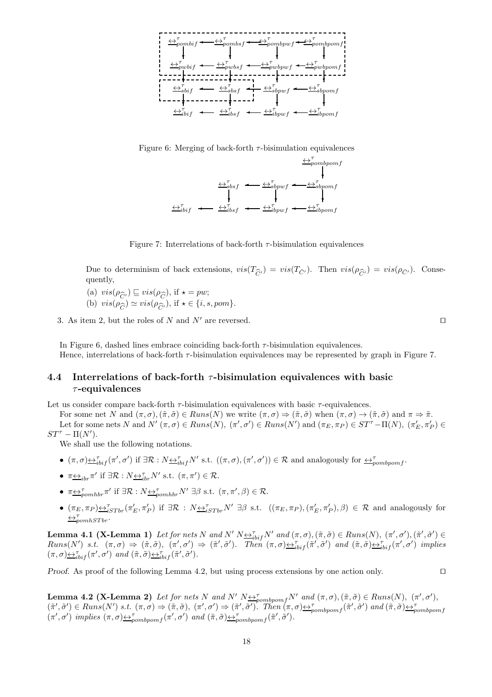

Figure 6: Merging of back-forth  $\tau$ -bisimulation equivalences



Figure 7: Interrelations of back-forth  $\tau$ -bisimulation equivalences

Due to determinism of back extensions,  $vis(T_{\hat{C}'} ) = vis(T_{\check{C}'} )$ . Then  $vis(\rho_{\hat{C}'} ) = vis(\rho_{\check{C}'} )$ . Conse-<br>quently. quently,

- (a)  $vis(\rho_{\widehat{C}}) \sqsubseteq vis(\rho_{\widehat{C}})$ , if  $\star = pw;$ <br>(b)  $vis(\rho_{\widehat{C}}) \approx vis(\rho_{\widehat{C}})$ , if  $\star \in \mathcal{S}$  is
- (b)  $vis(\rho_{\widehat{C}}') \cong vis(\rho_{\widehat{C}}')$ , if  $\star \in \{i, s, pom\}$ .

3. As item 2, but the roles of N and N' are reversed. □

In Figure 6, dashed lines embrace coinciding back-forth  $\tau$ -bisimulation equivalences. Hence, interrelations of back-forth τ-bisimulation equivalences may be represented by graph in Figure 7.

## 4.4 Interrelations of back-forth  $\tau$ -bisimulation equivalences with basic  $\tau$ -equivalences

Let us consider compare back-forth  $\tau$ -bisimulation equivalences with basic  $\tau$ -equivalences.

For some net N and  $(\pi, \sigma), (\tilde{\pi}, \tilde{\sigma}) \in Runs(N)$  we write  $(\pi, \sigma) \Rightarrow (\tilde{\pi}, \tilde{\sigma})$  when  $(\pi, \sigma) \rightarrow (\tilde{\pi}, \tilde{\sigma})$  and  $\pi \Rightarrow \tilde{\pi}$ . Let for some nets N and  $N'(\pi, \sigma) \in Runs(N), (\pi', \sigma') \in Runs(N')$  and  $(\pi_E, \pi_P) \in ST^{\tau} - \Pi(N), (\pi'_E, \pi'_P) \in$  $ST^{\tau} - \Pi(N^{\prime}).$ 

We shall use the following notations.

- $(\pi, \sigma) \leftrightarrow_{i\text{bif}}^{\tau} (\pi', \sigma')$  if  $\exists \mathcal{R} : N \leftrightarrow_{i\text{bif}}^{\tau} N'$  s.t.  $((\pi, \sigma), (\pi', \sigma')) \in \mathcal{R}$  and analogously for  $\leftrightarrow_{pombpomf}^{\tau}$ .
- $\pi \underline{\leftrightarrow}_{ibr} \pi'$  if  $\exists \mathcal{R} : N \underline{\leftrightarrow}_{ibr}^{\tau} N'$  s.t.  $(\pi, \pi') \in \mathcal{R}$ .
- $\pi \underline{\leftrightarrow}_{pomhbr}^{\tau} \pi'$  if  $\exists \mathcal{R} : N \underline{\leftrightarrow}_{pomhbr}^{\tau} N' \exists \beta \text{ s.t. } (\pi, \pi', \beta) \in \mathcal{R}$ .
- $(\pi_E, \pi_P) \leftrightarrow_{iSTbr}^{\tau} (\pi'_E, \pi'_P)$  if  $\exists \mathcal{R} : N \leftrightarrow_{iSTbr}^{\tau} N' \exists \beta \text{ s.t. } ((\pi_E, \pi_P), (\pi'_E, \pi'_P), \beta) \in \mathcal{R}$  and analogously for  $\leftrightarrow_{pomhSTbr}^{\tau}$

Lemma 4.1 (X-Lemma 1) Let for nets N and N'  $N \underline{\leftrightarrow}^{\tau}_{i\text{bif}} N'$  and  $(\pi, \sigma), (\tilde{\pi}, \tilde{\sigma}) \in Runs(N), (\pi', \sigma'), (\tilde{\pi}', \tilde{\sigma}') \in$  $Runs(N')$  s.t.  $(\pi, \sigma) \Rightarrow (\tilde{\pi}, \tilde{\sigma}), \ (\pi', \sigma') \Rightarrow (\tilde{\pi}', \tilde{\sigma}')$ . Then  $(\pi, \sigma) \leftrightarrow_{i \to i} (\tilde{\pi}', \tilde{\sigma}')$  and  $(\tilde{\pi}, \tilde{\sigma}) \leftrightarrow_{i \to i} (\pi', \sigma')$  implies  $(\pi,\sigma) \leftrightarrow \tau_{ibif}^{\tau} (\pi',\sigma')$  and  $(\tilde{\pi},\tilde{\sigma}) \leftrightarrow \tau_{ibif}^{\tau} (\tilde{\pi}',\tilde{\sigma}')$ .

Proof. As proof of the following Lemma 4.2, but using process extensions by one action only. □

**Lemma 4.2 (X-Lemma 2)** Let for nets N and N'  $N \nleftrightarrow_{pombpomf}^{\tau} N'$  and  $(\pi, \sigma), (\tilde{\pi}, \tilde{\sigma}) \in Runs(N), (\pi', \sigma'),$  $(\tilde{\pi}', \tilde{\sigma}') \in Runs(N') \text{ s.t. } (\pi, \sigma) \Rightarrow (\tilde{\pi}, \tilde{\sigma}), (\pi', \sigma') \Rightarrow (\tilde{\pi}', \tilde{\sigma}')'. \text{ Then } (\pi, \sigma) \trianglelefteq_{pombpomf} (\tilde{\pi}', \tilde{\sigma}') \text{ and } (\tilde{\pi}, \tilde{\sigma}) \trianglelefteq_{pombpomf} (\pi', \sigma') \text{ implies } (\pi, \sigma) \trianglelefteq_{pombpomf} (\pi', \sigma') \text{ and } (\tilde{\pi}, \tilde{\sigma}) \trianglelefteq_{pombpomf} (\tilde{\pi}', \tilde{\sigma}')'.$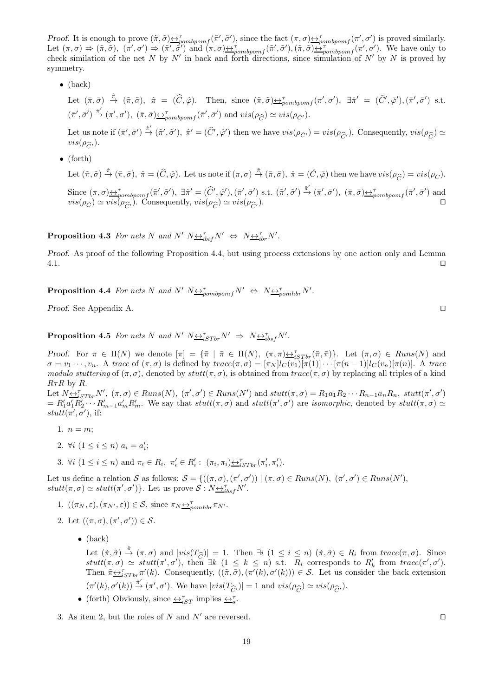Proof. It is enough to prove  $(\tilde{\pi}, \tilde{\sigma}) \triangleq_{\text{pombpom}}^{\tau}(\tilde{\pi}', \tilde{\sigma}')$ , since the fact  $(\pi, \sigma) \triangleq_{\text{pombpom}}^{\tau}(\pi', \sigma')$  is proved similarly. Let  $(\pi, \sigma) \Rightarrow (\tilde{\pi}, \tilde{\sigma})$ ,  $(\pi', \sigma') \Rightarrow (\tilde{\pi}', \tilde{\sigma}')$  and  $(\pi, \sigma) \leftrightarrow_{pombpomf} (\tilde{\pi}', \tilde{\sigma}')$ ,  $(\tilde{\pi}, \tilde{\sigma}) \leftrightarrow_{pombpomf} (\pi', \sigma')$ . We have only to check similation of the net N by N' in back and forth directions, since simulation of N' by N is proved by symmetry.

• (back)

Let  $(\bar{\pi}, \bar{\sigma}) \stackrel{\hat{\pi}}{\rightarrow} (\tilde{\pi}, \tilde{\sigma}), \hat{\pi} = (\hat{C}, \hat{\varphi})$ . Then, since  $(\tilde{\pi}, \tilde{\sigma}) \stackrel{\leftrightarrow}{\rightarrow}^{\tau}_{\text{pombpom}} f(\pi', \sigma'), \exists \tilde{\pi}' = (\check{C}', \check{\varphi}'), (\bar{\pi}', \bar{\sigma}')$  s.t.  $(\bar{\pi}', \bar{\sigma}') \xrightarrow{\check{\pi}'} (\pi', \sigma'), \ (\bar{\pi}, \bar{\sigma}) \underline{\leftrightarrow}_{pombpomf}^{\tau}(\bar{\pi}', \bar{\sigma}') \text{ and } vis(\rho_{\widehat{C}}) \simeq vis(\rho_{\check{C}'}).$ 

Let us note if  $(\bar{\pi}', \bar{\sigma}') \stackrel{\hat{\pi}'}{\rightarrow} (\tilde{\pi}', \tilde{\sigma}')$ ,  $\hat{\pi}' = (\hat{C}', \hat{\varphi}')$  then we have  $vis(\rho_{\tilde{C}'}) = vis(\rho_{\hat{C}'})$ . Consequently,  $vis(\rho_{\hat{C}}) \simeq vis(\rho_{\hat{C}})$ .  $vis(\rho_{\widehat{C}'}).$ 

• (forth)

Let  $(\tilde{\pi}, \tilde{\sigma}) \stackrel{\hat{\pi}}{\rightarrow} (\bar{\pi}, \bar{\sigma})$ ,  $\hat{\pi} = (\hat{C}, \hat{\varphi})$ . Let us note if  $(\pi, \sigma) \stackrel{\check{\pi}}{\rightarrow} (\bar{\pi}, \bar{\sigma})$ ,  $\check{\pi} = (\check{C}, \check{\varphi})$  then we have  $vis(\rho_{\hat{C}}) = vis(\rho_{\check{C}})$ .  $\overline{C}$ Since  $(\pi, \sigma) \triangleq_{pombpomf}^{\tau} (\tilde{\pi}', \tilde{\sigma}')$ ,  $\exists \hat{\pi}' = (\hat{C}', \hat{\varphi}')$ ,  $(\bar{\pi}', \bar{\sigma}')$  s.t.  $(\tilde{\pi}', \tilde{\sigma}') \stackrel{\hat{\pi}'}{\rightarrow} (\bar{\pi}', \bar{\sigma}')$ ,  $(\bar{\pi}, \bar{\sigma}) \triangleq_{pombpomf}^{\tau} (\bar{\pi}', \bar{\sigma}')$  and  $vis(\rho_{\tilde{C}}) \simeq vis(\rho_{\widehat{C}'}).$  Consequently,  $vis(\rho_{\widehat{C}}) \simeq vis(\rho_{\widehat{C}'}).$ 

**Proposition 4.3** For nets N and N'  $N \underline{\leftrightarrow}_{i}^{\tau} N' \Leftrightarrow N \underline{\leftrightarrow}_{i}^{\tau} N'$ .

Proof. As proof of the following Proposition 4.4, but using process extensions by one action only and Lemma 4.1. ⊓⊔

**Proposition 4.4** For nets N and N'  $N \leftrightarrow \gamma_{\text{pombpom}} N' \Leftrightarrow N \leftrightarrow \gamma_{\text{pombb}} N'$ .

Proof. See Appendix A. □

**Proposition 4.5** For nets N and N'  $N \leftrightarrow^{\tau}_{iSTbr} N' \Rightarrow N \leftrightarrow^{\tau}_{ibsf} N'$ .

Proof. For  $\pi \in \Pi(N)$  we denote  $[\pi] = {\{\overline{\pi} \mid \overline{\pi} \in \Pi(N), (\pi, \pi) \leftrightarrow_{iSTbr}^{\tau}(\overline{\pi}, \overline{\pi})\}}$ . Let  $(\pi, \sigma) \in Runs(N)$  and  $\sigma = v_1 \cdots, v_n$ . A trace of  $(\pi, \sigma)$  is defined by trace $(\pi, \sigma) = [\pi_N]_C(v_1)[\pi(1)] \cdots [\pi(n-1)]_C(v_n)[\pi(n)]$ . A trace modulo stuttering of  $(\pi, \sigma)$ , denoted by stutt $(\pi, \sigma)$ , is obtained from trace( $\pi, \sigma$ ) by replacing all triples of a kind  $R\tau R$  by R.

Let  $N \leq_{iSTbr}^{\pi} N'$ ,  $(\pi, \sigma) \in Runs(N)$ ,  $(\pi', \sigma') \in Runs(N')$  and  $stutt(\pi, \sigma) = R_1 a_1 R_2 \cdots R_{n-1} a_n R_n$ ,  $stutt(\pi', \sigma')$  $=R'_1a'_1R'_2\cdots R'_{m-1}a'_mR'_m$ . We say that  $stutt(\pi,\sigma)$  and  $stutt(\pi',\sigma')$  are *isomorphic*, denoted by  $stutt(\pi,\sigma) \simeq$  $stutt(\pi', \sigma')$ , if:

- 1.  $n = m$ ;
- 2.  $\forall i \ (1 \leq i \leq n) \ a_i = a'_i;$
- 3.  $\forall i \ (1 \leq i \leq n) \text{ and } \pi_i \in R_i, \ \pi'_i \in R'_i: \ (\pi_i, \pi_i) \leq \mathcal{F}_{\text{STbr}}(\pi'_i, \pi'_i).$

Let us define a relation S as follows:  $S = \{((\pi, \sigma), (\pi', \sigma')) \mid (\pi, \sigma) \in Runs(N), (\pi', \sigma') \in Runs(N')\}$  $stutt(\pi, \sigma) \simeq stutt(\pi', \sigma')\}$ . Let us prove  $\mathcal{S}: N \rightarrow_{ibsf}^{\tau} N'.$ 

- 1.  $((\pi_N, \varepsilon), (\pi_{N'}, \varepsilon)) \in \mathcal{S}$ , since  $\pi_N \underline{\leftrightarrow}_{pomhbr}^{\tau} \pi_{N'}$ .
- 2. Let  $((\pi,\sigma),(\pi',\sigma')) \in \mathcal{S}$ .
	- $\bullet$  (back)

Let  $(\tilde{\pi}, \tilde{\sigma}) \stackrel{\hat{\pi}}{\rightarrow} (\pi, \sigma)$  and  $|vis(T_{\widehat{C}})| = 1$ . Then  $\exists i \ (1 \le i \le n) \ (\tilde{\pi}, \tilde{\sigma}) \in R_i$  from  $trace(\pi, \sigma)$ . Since  $stutt(\pi, \sigma) \sim stutt(\pi', \sigma')$ , then  $\exists k \ (1 \le k \le n)$  s.t.  $R_i$  corresponds to  $R'_i$  from  $trace(\pi', \sigma')$ .  $stutt(\pi,\sigma) \simeq stutt(\pi',\sigma'),$  then  $\exists k \ (1 \leq k \leq n)$  s.t.  $R_i$  corresponds to  $R'_k$  from  $trace(\pi',\sigma').$ Then  $\tilde{\pi} \underbrace{\leftrightarrow}^{\tau}_{iSTbr} \pi'(k)$ . Consequently,  $((\tilde{\pi}, \tilde{\sigma}), (\pi'(k), \sigma'(k))) \in S$ . Let us consider the back extension  $(\pi'(k), \sigma'(k)) \stackrel{\hat{\pi}'}{\rightarrow} (\pi', \sigma')$ . We have  $|vis(T_{\widehat{C}'}|) = 1$  and  $vis(\rho_{\widehat{C}}) \simeq vis(\rho_{\widehat{C}'}).$ 

• (forth) Obviously, since  $\underline{\leftrightarrow}^{\tau}_{iST}$  implies  $\underline{\leftrightarrow}^{\tau}_{s}$ .

3. As item 2, but the roles of N and N' are reversed. □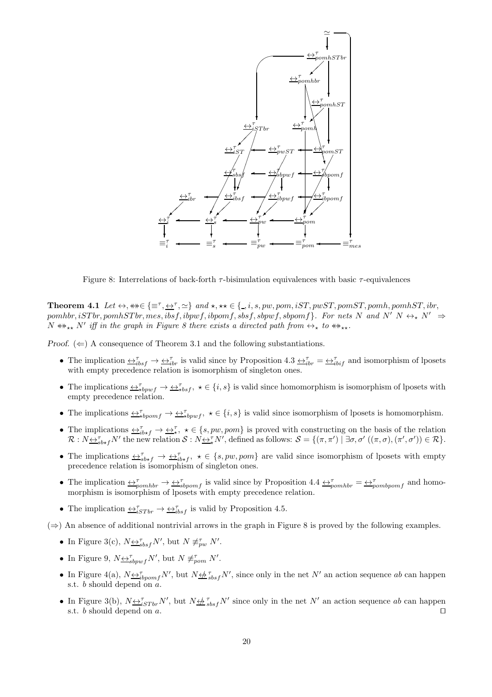

Figure 8: Interrelations of back-forth  $τ$ -bisimulation equivalences with basic  $τ$ -equivalences

Theorem 4.1 Let ↔, ↔↔∈ {≡<sup>τ</sup> , ↔<sup>τ</sup> , ≃} and ⋆, ⋆⋆ ∈ { , i, s, pw, pom, iST, pwST, pomST, pomh, pomhST, ibr,  $pomhbr, iSTbr, pomhSTbr, mes, ibsf, ibpwf, ibpomf, sbpwf, sbpomf.$  For nets N and N'  $N \leftrightarrow_N N' \Rightarrow$  $N \nleftrightarrow_{**} N'$  iff in the graph in Figure 8 there exists a directed path from  $\leftrightarrow_{*}$  to  $\leftrightarrow_{**}$ .

Proof.  $(\Leftarrow)$  A consequence of Theorem 3.1 and the following substantiations.

- The implication  $\overline{\leftrightarrow}_{ibf}^{\tau} \rightarrow \overline{\leftrightarrow}_{ibr}^{\tau}$  is valid since by Proposition 4.3  $\overline{\leftrightarrow}_{ibr}^{\tau} = \overline{\leftrightarrow}_{ibf}^{\tau}$  and isomorphism of lposets with empty precedence relation is isomorphism of singleton ones.
- The implications  $\overline{\leftrightarrow}_{\star}^{\tau}$   $\rightarrow \overline{\leftrightarrow}_{\star}^{\tau}$  bsf,  $\star \in \{i, s\}$  is valid since homomorphism is isomorphism of lposets with empty precedence relation.
- The implications  $\leftrightarrow^{\tau}_{\star}$   $\leftrightarrow^{\tau}_{\star}$   $\leftrightarrow^{\tau}_{\star}$   $\star \in \{i, s\}$  is valid since isomorphism of lposets is homomorphism.
- The implications  $\overline{\leftrightarrow}_{ib*f}^{\tau} \rightarrow \overline{\leftrightarrow}_{*}^{\tau}$ ,  $\star \in \{s, pw, pom\}$  is proved with constructing on the basis of the relation  $\mathcal{R}: N \rightarrow_{s}^{\tau} N'$  the new relation  $\mathcal{S}: N \rightarrow_{\tau}^{\tau} N'$ , defined as follows:  $\mathcal{S} = \{(\pi, \pi') \mid \exists \sigma, \sigma' ((\pi, \sigma), (\pi', \sigma')) \in \mathcal{R}\}.$
- The implications  $\leftrightarrow_{s}^{\tau} \rightarrow \leftrightarrow_{i}^{\tau}$ ,  $\star \in \{s, pw, pom\}$  are valid since isomorphism of lposets with empty precedence relation is isomorphism of singleton ones.
- The implication  $\leftrightarrow_{\text{p}}^{\tau} \rightarrow \leftrightarrow_{\text{sbpomf}}^{\tau}$  is valid since by Proposition 4.4  $\leftrightarrow_{\text{p}}^{\tau} \rightarrow \leftrightarrow_{\text{p}}^{\tau}$  and homomorphism is isomorphism of lposets with empty precedence relation.
- The implication  $\overline{\leftrightarrow}_{iSTbr}^{\tau} \rightarrow \overline{\leftrightarrow}_{ibsf}^{\tau}$  is valid by Proposition 4.5.
- $(\Rightarrow)$  An absence of additional nontrivial arrows in the graph in Figure 8 is proved by the following examples.
	- In Figure 3(c),  $N_{\underbrace{\leftrightarrow}_{sbsf}^{T}N'}$ , but  $N \not\equiv_{pw}^{r} N'$ .
	- In Figure 9,  $N \underline{\leftrightarrow}^{\tau}_{sbpwf} N'$ , but  $N \not\equiv^{\tau}_{pom} N'$ .
	- In Figure 4(a),  $N \underline{\leftrightarrow}^{\tau}_{ibpomf} N'$ , but  $N \underline{\leftrightarrow}^{\tau}_{sbsf} N'$ , since only in the net  $N'$  an action sequence ab can happen s.t.  $b$  should depend on  $a$ .
	- In Figure 3(b),  $N \underline{\leftrightarrow}^{\tau}_{iSTbr} N'$ , but  $N \underline{\leftrightarrow}^{\tau}_{sbsf} N'$  since only in the net N' an action sequence ab can happen s.t. b should depend on a. □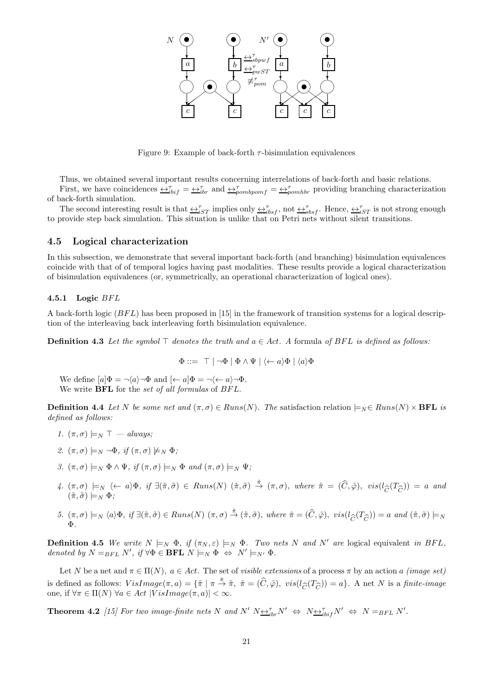

Figure 9: Example of back-forth  $\tau$ -bisimulation equivalences

Thus, we obtained several important results concerning interrelations of back-forth and basic relations. First, we have coincidences  $\overline{\leftrightarrow}_{i}^{\tau} = \overline{\leftrightarrow}_{i}^{\tau}$  and  $\overline{\leftrightarrow}_{pombpomf}^{\tau} = \overline{\leftrightarrow}_{pombbr}^{\tau}$  providing branching characterization of back-forth simulation.

The second interesting result is that  $\leftrightarrow_{iST}^{\tau}$  implies only  $\leftrightarrow_{ibsf}^{\tau}$ , not  $\leftrightarrow_{sbsf}^{\tau}$ . Hence,  $\leftrightarrow_{iST}^{\tau}$  is not strong enough to provide step back simulation. This situation is unlike that on Petri nets without silent transitions.

#### 4.5 Logical characterization

In this subsection, we demonstrate that several important back-forth (and branching) bisimulation equivalences coincide with that of of temporal logics having past modalities. These results provide a logical characterization of bisimulation equivalences (or, symmetrically, an operational characterization of logical ones).

#### 4.5.1 Logic  $BFL$

A back-forth logic ( $BFL$ ) has been proposed in [15] in the framework of transition systems for a logical description of the interleaving back interleaving forth bisimulation equivalence.

**Definition 4.3** Let the symbol ⊤ denotes the truth and  $a \in Act$ . A formula of BFL is defined as follows:

$$
\Phi ::= \top | \neg \Phi | \Phi \wedge \Psi | \langle \leftarrow a \rangle \Phi | \langle a \rangle \Phi
$$

We define  $[a]\Phi = \neg \langle a \rangle \neg \Phi$  and  $\langle \leftarrow a | \Phi = \neg \langle \leftarrow a \rangle \neg \Phi$ . We write  $BFL$  for the set of all formulas of  $BFL$ .

**Definition 4.4** Let N be some net and  $(\pi, \sigma) \in Runs(N)$ . The satisfaction relation  $\models_N \in Runs(N) \times \textbf{BFL}$  is defined as follows:

- 1.  $(\pi, \sigma) \models_N \top always$ :
- 2.  $(\pi, \sigma) \models_N \neg \Phi$ , if  $(\pi, \sigma) \not\models_N \Phi$ ;
- 3.  $(\pi, \sigma) \models_N \Phi \land \Psi$ , if  $(\pi, \sigma) \models_N \Phi$  and  $(\pi, \sigma) \models_N \Psi$ ;
- 4.  $(\pi, \sigma) \models_N \langle \leftarrow a \rangle \Phi$ , if  $\exists (\tilde{\pi}, \tilde{\sigma}) \in Runs(N)$   $(\tilde{\pi}, \tilde{\sigma}) \stackrel{\hat{\pi}}{\rightarrow} (\pi, \sigma)$ , where  $\hat{\pi} = (\widehat{C}, \hat{\varphi})$ ,  $vis(l_{\widehat{C}}(T_{\widehat{C}})) = a$  and  $(\tilde{\pi}, \tilde{\sigma}) \models_N \Phi$ :  $(\tilde{\pi},\tilde{\sigma})\models_N \Phi;$
- 5.  $(π, σ) \models_N \langle a \rangle Φ, if ∃(π, σ) ∈ Runs(N) (π, σ) <sup>â</sup>→ (π, σ), where  $π = (C, φ)$ ,  $vis(l_{\widehat{C}}(T_{\widehat{C}})) = a$  and  $(π, σ) \models_N$   
Φ.$ Φ.

**Definition 4.5** We write  $N \models_N \Phi$ , if  $(\pi_N, \varepsilon) \models_N \Phi$ . Two nets N and N' are logical equivalent in BFL, denoted by  $N =_{BFL} N'$ , if  $\forall \Phi \in \mathbf{BFL} \ N \models_N \Phi \ \Leftrightarrow \ N' \models_{N'} \Phi$ .

Let N be a net and  $\pi \in \Pi(N)$ ,  $a \in Act$ . The set of visible extensions of a process  $\pi$  by an action a (image set) is defined as follows:  $VisImage(\pi, a) = {\{\tilde{\pi} \mid \pi \stackrel{\hat{\pi}}{\to} \tilde{\pi}, \ \hat{\pi} = (\hat{C}, \hat{\varphi})\}$ ,  $vis(l_{\widehat{C}}(T_{\widehat{C}})) = a}$ . A net N is a finite-image<br>one, if  $\forall \pi \in \Pi(N)$   $\forall a \in Act$  |  $VisImage(\pi, a)$ | <  $\infty$ . one, if  $\forall \pi \in \Pi(N)$   $\forall a \in Act$   $|VisImage(\pi, a)| < \infty$ .

**Theorem 4.2** [15] For two image-finite nets N and N'  $N \underline{\leftrightarrow}^{\tau}_{ibr} N' \Leftrightarrow N \underline{\leftrightarrow}^{\tau}_{ibr} N' \Leftrightarrow N =_{BFL} N'.$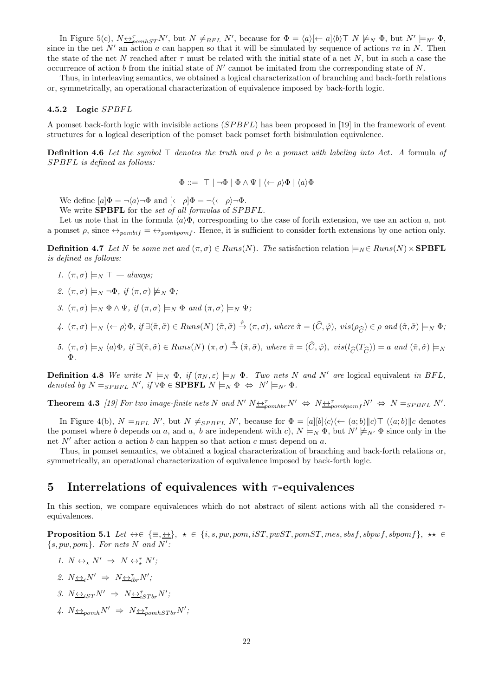In Figure 5(c),  $N \underline{\leftrightarrow}_{pomhST}^{\tau} N'$ , but  $N \neq_{BFL} N'$ , because for  $\Phi = \langle a \rangle \langle \leftarrow a] \langle b \rangle \top N \not\models_N \Phi$ , but  $N' \models_{N'} \Phi$ , since in the net N' an action a can happen so that it will be simulated by sequence of actions  $\tau a$  in N. Then the state of the net N reached after  $\tau$  must be related with the initial state of a net N, but in such a case the occurrence of action  $b$  from the initial state of  $N'$  cannot be imitated from the corresponding state of  $N$ .

Thus, in interleaving semantics, we obtained a logical characterization of branching and back-forth relations or, symmetrically, an operational characterization of equivalence imposed by back-forth logic.

#### 4.5.2 Logic SPBFL

A pomset back-forth logic with invisible actions (SPBFL) has been proposed in [19] in the framework of event structures for a logical description of the pomset back pomset forth bisimulation equivalence.

**Definition 4.6** Let the symbol ⊤ denotes the truth and  $\rho$  be a pomset with labeling into Act. A formula of  $SPBFL$  is defined as follows:

$$
\Phi ::= \top | \neg \Phi | \Phi \wedge \Psi | \langle \leftarrow \rho \rangle \Phi | \langle a \rangle \Phi
$$

We define  $[a]\Phi = \neg \langle a \rangle \neg \Phi$  and  $\langle \leftarrow \rho | \Phi = \neg \langle \leftarrow \rho \rangle \neg \Phi$ .

We write **SPBFL** for the set of all formulas of SPBFL.

Let us note that in the formula  $\langle a \rangle \Phi$ , corresponding to the case of forth extension, we use an action a, not a pomset  $\rho$ , since  $\leftrightarrow_{pombif} = \leftrightarrow_{pombpomf}$ . Hence, it is sufficient to consider forth extensions by one action only.

**Definition 4.7** Let N be some net and  $(\pi, \sigma) \in Runs(N)$ . The satisfaction relation  $\models_N \in Runs(N) \times {\rm {\bf SPBFL}}$ is defined as follows:

- 1.  $(\pi, \sigma) \models_N \top$  always;
- 2.  $(\pi, \sigma) \models_N \neg \Phi$ , if  $(\pi, \sigma) \not\models_N \Phi$ ;
- 3.  $(\pi, \sigma) \models_N \Phi \land \Psi$ , if  $(\pi, \sigma) \models_N \Phi$  and  $(\pi, \sigma) \models_N \Psi$ ;
- 4.  $(\pi, \sigma) \models_N \langle \leftarrow \rho \rangle \Phi$ , if  $\exists (\tilde{\pi}, \tilde{\sigma}) \in Runs(N) \ (\tilde{\pi}, \tilde{\sigma}) \stackrel{\hat{\pi}}{\rightarrow} (\pi, \sigma)$ , where  $\hat{\pi} = (\hat{C}, \hat{\varphi})$ ,  $vis(\rho_{\hat{C}}) \in \rho$  and  $(\tilde{\pi}, \tilde{\sigma}) \models_N \Phi$ ;
- 5.  $(π, σ) \models_N \langle a \rangle Φ, if ∃(π, σ) ∈ Runs(N) (π, σ) <sup>â</sup>→ (π, σ), where  $π = (C, φ)$ ,  $vis(l_C(T_C)) = a$  and  $(π, σ) \models_N$   
Φ.$ Φ.

**Definition 4.8** We write  $N \models_N \Phi$ , if  $(\pi_N, \varepsilon) \models_N \Phi$ . Two nets N and N' are logical equivalent in BFL, denoted by  $N =_{SPBFL} N'$ , if  $\forall \Phi \in \mathbf{SPBFL}$   $N \models_N \Phi \Leftrightarrow N' \models_{N'} \Phi$ .

**Theorem 4.3** [19] For two image-finite nets N and N'  $N \leftrightarrow N \leftrightarrow N \leftrightarrow N \leftrightarrow N'$   $\Leftrightarrow N =_{SPBFL} N'.$ 

In Figure 4(b),  $N =_{BFL} N'$ , but  $N \neq_{SPBFL} N'$ , because for  $\Phi = [a][b]\langle c \rangle \langle \leftarrow (a;b)||c \rangle \top (a;b)||c$  denotes the pomset where b depends on a, and a, b are independent with c),  $N \models_N \Phi$ , but  $N' \not\models_{N'} \Phi$  since only in the net N' after action a action b can happen so that action c must depend on a.

Thus, in pomset semantics, we obtained a logical characterization of branching and back-forth relations or, symmetrically, an operational characterization of equivalence imposed by back-forth logic.

## 5 Interrelations of equivalences with  $\tau$ -equivalences

In this section, we compare equivalences which do not abstract of silent actions with all the considered  $\tau$ equivalences.

**Proposition 5.1** Let  $\leftrightarrow \in \{\equiv, \underline{\leftrightarrow}\}, \star \in \{i, s, pw, pom, iST, pwST, pomST, mes, sbsf, sbpwf, sbpomf\}, \star \star \in$  $\{s, pw, pom\}$ . For nets N and N':

- 1.  $N \leftrightarrow_{\star} N' \Rightarrow N \leftrightarrow_{\star}^{\tau} N'$ ;
- 2.  $N \underline{\leftrightarrow}_i N' \Rightarrow N \underline{\leftrightarrow}_{i}^{\tau} N'$ ;
- 3.  $N_{\underbrace{\leftrightarrow}_{iST} N'} \Rightarrow N_{\underbrace{\leftrightarrow}_{iSTbr}^T N'}$
- 4.  $N \underline{\leftrightarrow}_{pomh} N' \Rightarrow N \underline{\leftrightarrow}_{pomhSTbr}^{\tau} N'$ ;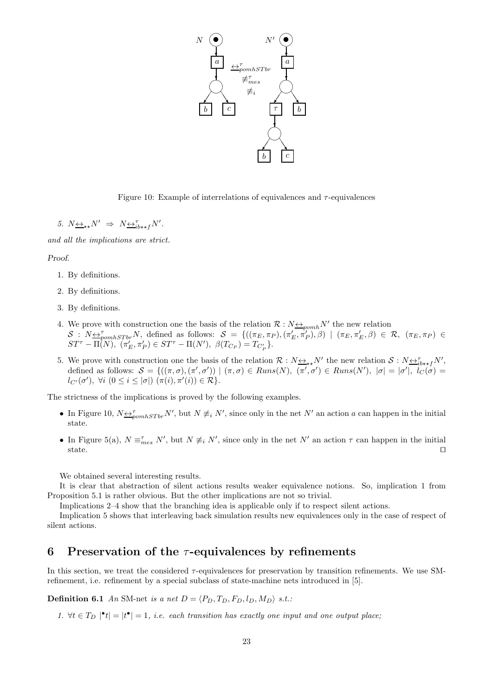

Figure 10: Example of interrelations of equivalences and  $\tau$ -equivalences

5.  $N_{\leftrightarrow\star}N' \Rightarrow N_{\leftrightarrow i}^{T}N'.$ 

and all the implications are strict.

#### Proof.

- 1. By definitions.
- 2. By definitions.
- 3. By definitions.
- 4. We prove with construction one the basis of the relation  $\mathcal{R}: N \leftrightarrow_{\text{p}omh} N'$  the new relation  $S: N \rightarrow \tau_{\text{p}omhSTbr}} N$ , defined as follows:  $S = \{((\pi_E, \pi_P), (\pi'_E, \pi'_P), \beta) \mid (\pi_E, \pi'_E, \beta) \in \mathcal{R}, (\pi_E, \pi_P) \in$  $ST^{\tau} - \Pi(N), \; (\pi'_{E}, \pi'_{P}) \in ST^{\tau} - \Pi(N'), \; \beta(T_{C_{P}}) = T_{C'_{P}}$ .
- 5. We prove with construction one the basis of the relation  $\mathcal{R}: N_{\frac{\leftrightarrow}{\pm}} N'$  the new relation  $\mathcal{S}: N_{\frac{\leftrightarrow}{\pm}} N'$ , defined as follows:  $S = \{((\pi, \sigma), (\pi', \sigma')) \mid (\pi, \sigma) \in Runs(N), (\pi', \sigma') \in Runs(N'), |\sigma| = |\sigma'|, \overline{l_C(\sigma)} =$  $l_{C'}(\sigma'), \ \forall i \ (0 \leq i \leq |\sigma|) \ (\pi(i), \pi'(i)) \in \mathcal{R} \}.$

The strictness of the implications is proved by the following examples.

- In Figure 10,  $N \leftrightarrow_{\text{pomhSTbr}}^{\tau} N'$ , but  $N \neq_{i} N'$ , since only in the net  $N'$  an action a can happen in the initial state.
- In Figure 5(a),  $N \equiv_{mes}^{\tau} N'$ , but  $N \not\equiv_i N'$ , since only in the net  $N'$  an action  $\tau$  can happen in the initial state. ⊓⊔

We obtained several interesting results.

It is clear that abstraction of silent actions results weaker equivalence notions. So, implication 1 from Proposition 5.1 is rather obvious. But the other implications are not so trivial.

Implications 2–4 show that the branching idea is applicable only if to respect silent actions.

Implication 5 shows that interleaving back simulation results new equivalences only in the case of respect of silent actions.

### 6 Preservation of the  $\tau$ -equivalences by refinements

In this section, we treat the considered τ-equivalences for preservation by transition refinements. We use SMrefinement, i.e. refinement by a special subclass of state-machine nets introduced in [5].

**Definition 6.1** An SM-net is a net  $D = \langle P_D, T_D, F_D, l_D, M_D \rangle$  s.t.:

1.  $\forall t \in T_D \mid \mathbf{t} \mid = |t^{\bullet}| = 1$ , i.e. each transition has exactly one input and one output place;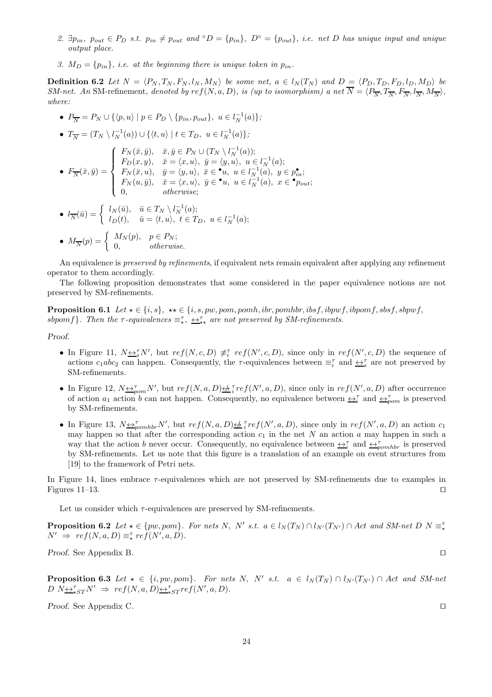- 2.  $\exists p_{in}$ ,  $p_{out} \in P_D$  s.t.  $p_{in} \neq p_{out}$  and  $\circ D = \{p_{in}\}, D^{\circ} = \{p_{out}\}, i.e.$  net D has unique input and unique output place.
- 3.  $M_D = \{p_{in}\}\$ , i.e. at the beginning there is unique token in  $p_{in}$ .

**Definition 6.2** Let  $N = \langle P_N, T_N, F_N, l_N, M_N \rangle$  be some net,  $a \in l_N(T_N)$  and  $D = \langle P_D, T_D, F_D, l_D, M_D \rangle$  be SM-net. An SM-refinement, denoted by  $ref(N, a, D)$ , is (up to isomorphism) a net  $N = \langle P_{\overline{N}}, T_{\overline{N}}, F_{\overline{N}}, I_{\overline{N}}, M_{\overline{N}} \rangle$ , where:

- $P_{\overline{N}} = P_N \cup \{ \langle p, u \rangle \mid p \in P_D \setminus \{p_{in}, p_{out}\}, u \in l_N^{-1}(a) \};$ •  $T_{\overline{N}} = (T_N \setminus l_{N}^{-1}(a)) \cup \{ \langle t, u \rangle \mid t \in T_D, u \in l_{N}^{-1}(a) \};$  $\bullet$   $F_{\overline{N}}(\bar{x},\bar{y}) =$  $\sqrt{ }$  $\Big\}$  $\overline{\mathcal{L}}$  $F_N(\bar{x}, \bar{y}), \quad \bar{x}, \bar{y} \in P_N \cup (T_N \setminus l_N^{-1}(a));$  $F_D(x, y), \quad \bar{x} = \langle x, u \rangle, \ \bar{y} = \langle y, u \rangle, \ u \in l_N^{-1}(a);$  $F_N(\bar{x}, u), \quad \bar{y} = \langle y, u \rangle, \ \ \bar{x} \in \bullet \ u, \ \ u \in l^{-1}_N(a), \ \ y \in p_{in}^\bullet;$  $F_N(u, \bar{y}), \quad \bar{x} = \langle x, u \rangle, \ \bar{y} \in \bullet u, \ u \in l_N^{-1}(a), \ x \in \bullet p_{out};$ 0, otherwise; •  $l_{\overline{N}}(\overline{u}) = \begin{cases} l_N(\overline{u}), & \overline{u} \in T_N \setminus l_N^{-1}(a); \\ l_D(t) & \overline{u} = \langle t, u \rangle, t \in T_k \end{cases}$
- $l_D(t)$ ,  $\bar{u} = \langle t, u \rangle$ ,  $t \in T_D$ ,  $u \in l_N^{-1}(a)$ ; •  $M_{\overline{N}}(p) = \begin{cases} M_N(p), & p \in P_N; \\ 0 & otherwise \end{cases}$ 0, otherwise.

An equivalence is preserved by refinements, if equivalent nets remain equivalent after applying any refinement operator to them accordingly.

The following proposition demonstrates that some considered in the paper equivalence notions are not preserved by SM-refinements.

**Proposition 6.1** Let  $\star \in \{i, s\}$ ,  $\star \star \in \{i, s, pw, pom, pomh, ibr, pomhbr, ibsf, ibpwf, ibpomf, sbsf, sbpwf,$ sbpomf}. Then the  $\tau$ -equivalences  $\equiv_{\star}^{\tau}$ ,  $\leftrightarrow_{\star\star}^{\tau}$  are not preserved by SM-refinements.

Proof.

- In Figure 11,  $N \leq S_N^{\tau} N'$ , but  $ref(N, c, D) \not\equiv_i^{\tau} ref(N', c, D)$ , since only in  $ref(N', c, D)$  the sequence of actions  $c_1abc_2$  can happen. Consequently, the  $\tau$ -equivalences between  $\equiv_i^{\tau}$  and  $\leftrightarrow_s^{\tau}$  are not preserved by SM-refinements.
- In Figure 12,  $N \leftrightarrow_{\text{pom}}^{\tau} N'$ , but  $ref(N, a, D) \leftrightarrow_{i}^{T} ref(N', a, D)$ , since only in  $ref(N', a, D)$  after occurrence of action  $a_1$  action b can not happen. Consequently, no equivalence between  $\leftrightarrow_i^{\tau}$  and  $\leftrightarrow_{\rho\text{om}}^{\tau}$  is preserved by SM-refinements.
- In Figure 13,  $N \leftrightarrow_{pcmhbr} N'$ , but  $ref(N, a, D) \leftrightarrow_{i} \text{ref}(N', a, D)$ , since only in  $ref(N', a, D)$  an action  $c_1$ may happen so that after the corresponding action  $c_1$  in the net N an action a may happen in such a way that the action b never occur. Consequently, no equivalence between  $\leftrightarrow_i^{\tau}$  and  $\leftrightarrow_{pcmhbr}^{\tau}$  is preserved by SM-refinements. Let us note that this figure is a translation of an example on event structures from [19] to the framework of Petri nets.

In Figure 14, lines embrace τ-equivalences which are not preserved by SM-refinements due to examples in Figures 11–13. ⊓⊔

Let us consider which  $\tau$ -equivalences are preserved by SM-refinements.

**Proposition 6.2** Let  $\star \in \{pw, pom\}$ . For nets N, N' s.t.  $a \in l_N(T_N) \cap l_{N'}(T_{N'}) \cap Act$  and SM-net D  $N \equiv \frac{1}{\star}$  $N' \Rightarrow \; ref(N, a, D) \equiv_{\star}^{\tau} ref(N', a, D).$ 

Proof. See Appendix B. □

**Proposition 6.3** Let  $\star \in \{i, pw, pom\}$ . For nets N, N' s.t.  $a \in l_N(T_N) \cap l_{N'}(T_{N'}) \cap Act$  and SM-net  $D N \underbrace{\leftrightarrow \tau}_{*ST} N' \Rightarrow \text{ref}(N, a, D) \underbrace{\leftrightarrow \tau}_{*ST} \text{ref}(N', a, D).$ 

Proof. See Appendix C. □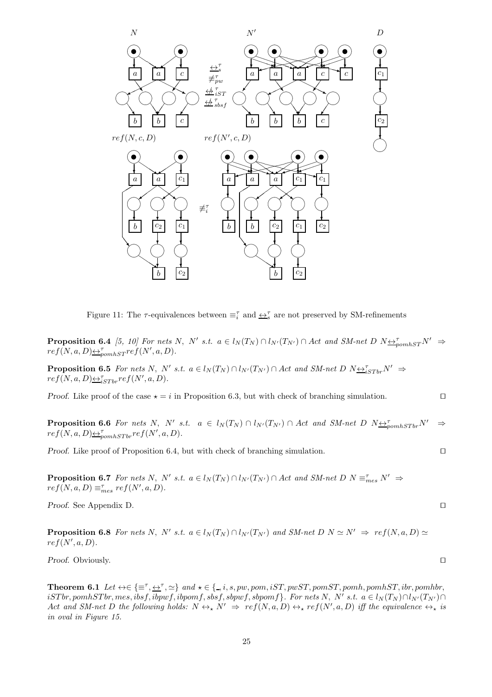

Figure 11: The  $\tau$ -equivalences between  $\equiv_i^{\tau}$  and  $\underline{\leftrightarrow}^{\tau}_s$  are not preserved by SM-refinements

**Proposition 6.4** [5, 10] For nets N, N' s.t.  $a \in l_N(T_N) \cap l_{N'}(T_{N'}) \cap Act$  and SM-net D  $N_{\frac{\leftrightarrow}{2}$ pomhs $T^{N'} \Rightarrow$  $ref(N, a, D) \triangleq_{pomhST}^{r} ref(N', a, D).$ 

**Proposition 6.5** For nets N, N' s.t.  $a \in l_N(T_N) \cap l_{N'}(T_{N'}) \cap Act$  and SM-net D  $N_{\frac{\leftrightarrow T}{\leftrightarrow S}Tbr}N' \Rightarrow$  $ref(N, a, D) \triangleq_{iSTbr}^{T} ref(N', a, D).$ 

Proof. Like proof of the case  $\star = i$  in Proposition 6.3, but with check of branching simulation. □

**Proposition 6.6** For nets N, N' s.t.  $a \in l_N(T_N) \cap l_{N'}(T_{N'}) \cap Act$  and SM-net D  $N_{\frac{\sum_{\text{p}}}{\sum_{\text{p}}}}N' \Rightarrow$  $ref(N, a, D) \triangleq_{pomhSTbr}^{T} ref(N', a, D).$ 

Proof. Like proof of Proposition 6.4, but with check of branching simulation. □

**Proposition 6.7** For nets N, N' s.t.  $a \in l_N(T_N) \cap l_{N'}(T_{N'}) \cap Act$  and SM-net D  $N \equiv_{mes}^{\tau} N' \Rightarrow$  $ref(N, a, D) \equiv_{mes}^{\tau} ref(N', a, D).$ 

Proof. See Appendix D. □

**Proposition 6.8** For nets N, N' s.t.  $a \in l_N(T_N) \cap l_{N'}(T_{N'})$  and SM-net  $D \mid N \simeq N' \Rightarrow ref(N, a, D) \simeq$  $ref(N', a, D).$ 

Proof. Obviously. □

**Theorem 6.1** Let  $\leftrightarrow \in \{\equiv^{\tau}, \underline{\leftrightarrow}^{\tau}, \simeq\}$  and  $\star \in \{., i, s, pw, pom, iST, pwST, pomST, pomh, pomhST, ibr, pomhbr, mmbr, comp.$  $isTbr, pomhSTbr, mes, ibsf, ibpomf, sbsf, sbpwf, sbpomf\}.$  For nets N, N' s.t.  $a \in l_N(T_N) \cap l_{N'}(T_{N'}) \cap l_{N'}(T_{N'})$ Act and SM-net D the following holds:  $N \leftrightarrow_{\star} N' \Rightarrow ref(N, a, D) \leftrightarrow_{\star} ref(N', a, D)$  iff the equivalence  $\leftrightarrow_{\star}$  is in oval in Figure 15.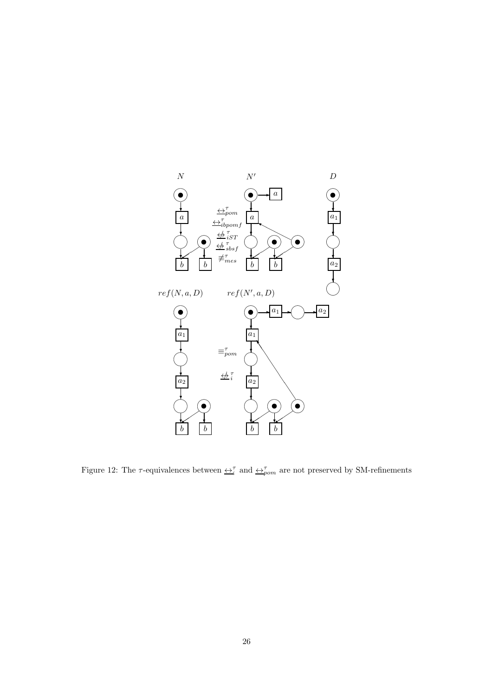

Figure 12: The  $\tau$ -equivalences between  $\leftrightarrow_{i}^{\tau}$  and  $\leftrightarrow_{pom}^{\tau}$  are not preserved by SM-refinements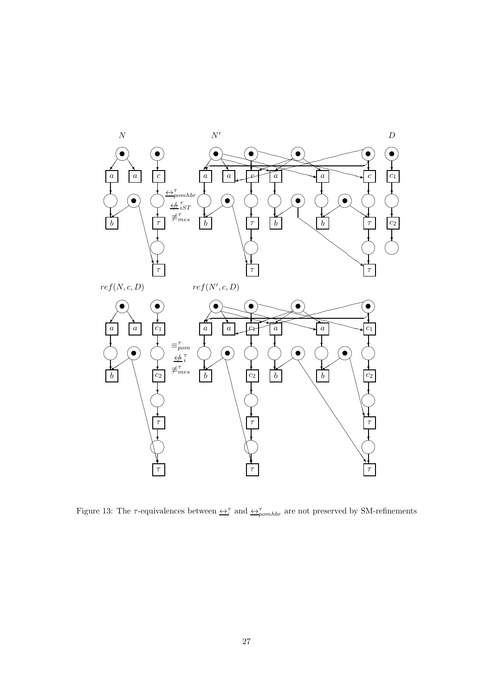

Figure 13: The  $\tau$ -equivalences between  $\underline{\leftrightarrow}^{\tau}_{i}$  and  $\underline{\leftrightarrow}^{\tau}_{pomhbr}$  are not preserved by SM-refinements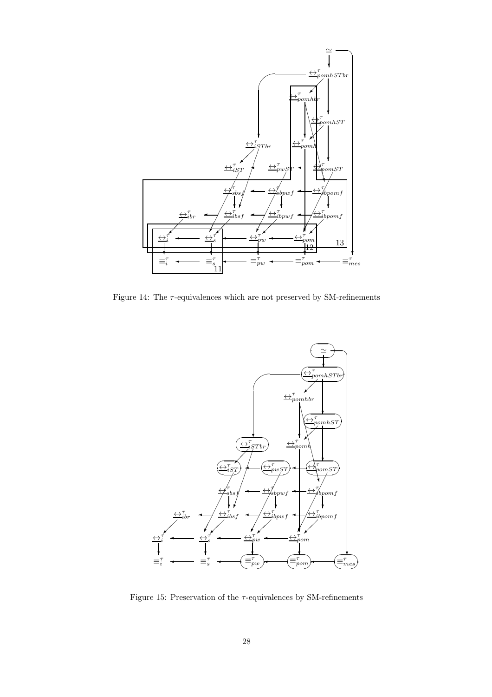

Figure 14: The  $\tau$ -equivalences which are not preserved by SM-refinements



Figure 15: Preservation of the  $\tau\text{-equivalences}$  by SM-refinements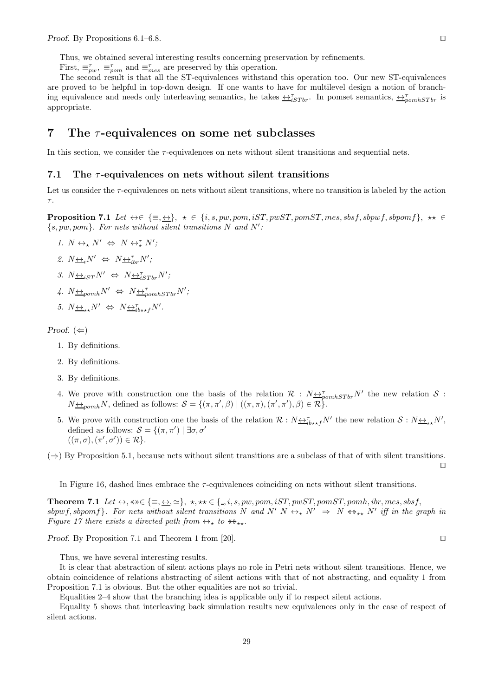Thus, we obtained several interesting results concerning preservation by refinements.

First,  $\equiv_{pw}^{\tau}$ ,  $\equiv_{pom}^{\tau}$  and  $\equiv_{mes}^{\tau}$  are preserved by this operation.

The second result is that all the ST-equivalences withstand this operation too. Our new ST-equivalences are proved to be helpful in top-down design. If one wants to have for multilevel design a notion of branching equivalence and needs only interleaving semantics, he takes  $\leftrightarrow_{iSTbr}^{\tau}$ . In pomset semantics,  $\leftrightarrow_{pomhSTbr}^{\tau}$  is appropriate.

## 7 The  $\tau$ -equivalences on some net subclasses

In this section, we consider the  $\tau$ -equivalences on nets without silent transitions and sequential nets.

#### 7.1 The  $\tau$ -equivalences on nets without silent transitions

Let us consider the  $\tau$ -equivalences on nets without silent transitions, where no transition is labeled by the action  $\tau.$ 

**Proposition 7.1** Let  $\leftrightarrow \in \{\equiv, \pm\}, \star \in \{i, s, pw, pom, iST, pwST, pomST, mes, sbsf, sbpwf, sbpomf\}, \star \in$  $\{s, pw, pom\}$ . For nets without silent transitions N and N':

1.  $N \leftrightarrow_{\star} N' \Leftrightarrow N \leftrightarrow_{\star}^{\tau} N'$ ; 2.  $N \underline{\leftrightarrow}_i N' \Leftrightarrow N \underline{\leftrightarrow}_{i}^{\tau} N'$ ; 3.  $N_{\underbrace{\leftrightarrow}_{iST} N'} \Leftrightarrow N_{\underbrace{\leftrightarrow}_{iSTbr}^T N'}$ 4.  $N \underline{\leftrightarrow}_{pomh} N' \Leftrightarrow N \underline{\leftrightarrow}_{pomhSTbr}^{\tau} N'$ ;

5. 
$$
N_{\leftrightarrow\star}N' \Leftrightarrow N_{\leftrightarrow i}^T N'.
$$

Proof.  $(\Leftarrow)$ 

- 1. By definitions.
- 2. By definitions.
- 3. By definitions.
- 4. We prove with construction one the basis of the relation  $\mathcal{R}$  :  $N_{\frac{\leftrightarrow p}{2}p o m h S T b r} N'$  the new relation  $\mathcal{S}$  :  $N_{\frac{\leftrightarrow}{2}$ pomh</sub>N, defined as follows:  $S = \{(\pi, \pi', \beta) \mid ((\pi, \pi), (\pi', \pi'), \beta) \in \mathcal{R}\}.$
- 5. We prove with construction one the basis of the relation  $\mathcal{R}: N \rightarrow_{i} N'$  the new relation  $\mathcal{S}: N \rightarrow_{\star \star} N'$ , defined as follows:  $S = \{(\pi, \pi') \mid \exists \sigma, \sigma'$  $((\pi,\sigma),(\pi',\sigma')) \in \mathcal{R}$ .

 $(\Rightarrow)$  By Proposition 5.1, because nets without silent transitions are a subclass of that of with silent transitions.

In Figure 16, dashed lines embrace the  $\tau$ -equivalences coinciding on nets without silent transitions.

**Theorem 7.1** Let  $\leftrightarrow$ ,  $\leftrightarrow \in \{\equiv, \leftrightarrow, \simeq\}, \star, \star\star \in \{\equiv, i, s, pw, pom, iST, pwST, pomST, pomh, ibr, mes, sbsf,$ sbpwf, sbpomf}. For nets without silent transitions N and N' N  $\leftrightarrow_{\star} N' \Rightarrow N \leftrightarrow_{\star\star} N'$  iff in the graph in Figure 17 there exists a directed path from  $\leftrightarrow_{\star}$  to  $\leftrightarrow_{\star\star}$ .

*Proof.* By Proposition 7.1 and Theorem 1 from [20]. □

Thus, we have several interesting results.

It is clear that abstraction of silent actions plays no role in Petri nets without silent transitions. Hence, we obtain coincidence of relations abstracting of silent actions with that of not abstracting, and equality 1 from Proposition 7.1 is obvious. But the other equalities are not so trivial.

Equalities 2–4 show that the branching idea is applicable only if to respect silent actions.

Equality 5 shows that interleaving back simulation results new equivalences only in the case of respect of silent actions.

⊓⊔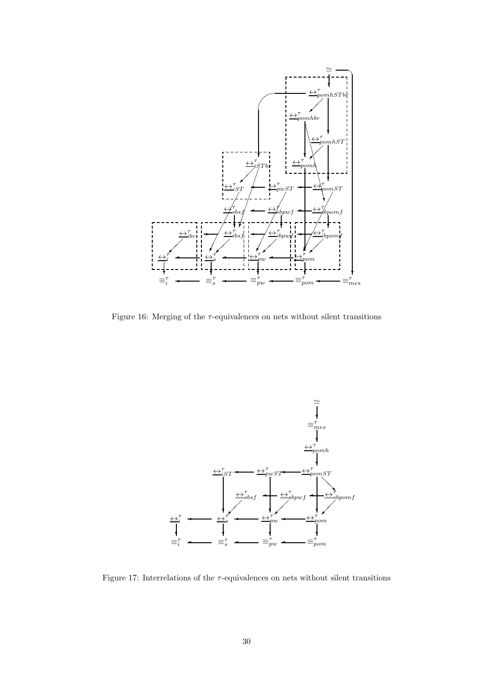

Figure 16: Merging of the  $\tau\text{-equivalence}$  on nets without silent transitions



Figure 17: Interrelations of the  $\tau$ -equivalences on nets without silent transitions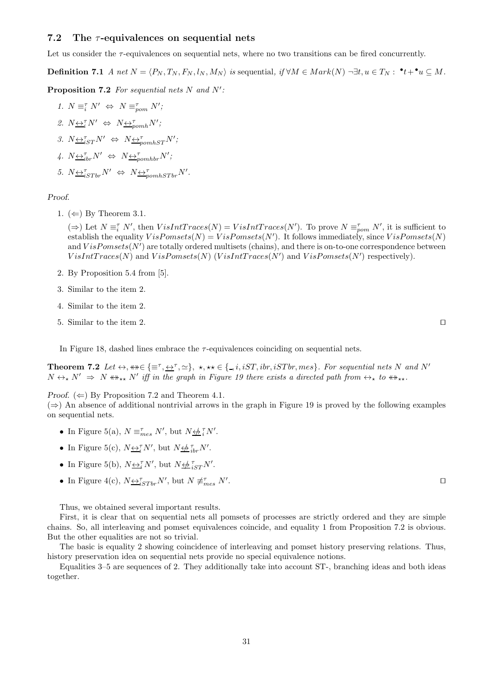#### 7.2 The  $\tau$ -equivalences on sequential nets

Let us consider the  $\tau$ -equivalences on sequential nets, where no two transitions can be fired concurrently.

**Definition 7.1** A net  $N = \langle P_N, T_N, F_N, l_N, M_N \rangle$  is sequential, if  $\forall M \in Mark(N) \neg \exists t, u \in T_N : \cdot^{\bullet} t + \cdot^{\bullet} u \subseteq M$ .

**Proposition 7.2** For sequential nets  $N$  and  $N'$ :

1.  $N \equiv_i^{\tau} N' \Leftrightarrow N \equiv_{\text{pom}}^{\tau} N';$ 2.  $N \leftrightarrow \tilde{i} N' \Leftrightarrow N \leftrightarrow \tilde{i}_{p o m h} N'$ ; 3.  $N \underbrace{\leftrightarrow}^{\tau}_{iST} N' \Leftrightarrow N \underbrace{\leftrightarrow}^{\tau}_{pomhST} N';$ 4.  $N \underbrace{\leftrightarrow}^{\tau}_{i b r} N' \Leftrightarrow N \underbrace{\leftrightarrow}^{\tau}_{p o m h b r} N';$ 5.  $N \underbrace{\leftrightarrow}_{iSTbr}^{T} N' \Leftrightarrow N \underbrace{\leftrightarrow}_{pomhSTbr}^{T} N'.$ 

Proof.

1.  $(\Leftarrow)$  By Theorem 3.1.

 $(\Rightarrow)$  Let  $N \equiv_i^r N'$ , then  $VisIntTraces(N) = VisIntTraces(N')$ . To prove  $N \equiv_{pom}^r N'$ , it is sufficient to establish the equality  $VisPomsets(N) = VisPomsets(N')$ . It follows immediately, since  $VisPomsets(N)$ and  $VisPomsets(N')$  are totally ordered multisets (chains), and there is on-to-one correspondence between  $VisIntTraces(N)$  and  $VisPomsets(N)$  ( $VisIntTraces(N')$  and  $VisPomsets(N')$  respectively).

- 2. By Proposition 5.4 from [5].
- 3. Similar to the item 2.
- 4. Similar to the item 2.
- 5. Similar to the item 2. ⊓⊔

In Figure 18, dashed lines embrace the  $\tau$ -equivalences coinciding on sequential nets.

**Theorem 7.2** Let  $\leftrightarrow$ ,  $\leftrightarrow \in \{\equiv \tau, \leftrightarrow \tau, \simeq\}$ ,  $\star$ ,  $\star \star \in \{\_, i, iST, ibr, iSTbr, mes\}$ . For sequential nets N and N'  $N \leftrightarrow_{\star} N' \Rightarrow N \leftrightarrow_{\star\star} N'$  iff in the graph in Figure 19 there exists a directed path from  $\leftrightarrow_{\star}$  to  $\leftrightarrow_{\star\star}$ .

*Proof.* ( $\Leftarrow$ ) By Proposition 7.2 and Theorem 4.1.

 $(\Rightarrow)$  An absence of additional nontrivial arrows in the graph in Figure 19 is proved by the following examples on sequential nets.

- In Figure 5(a),  $N \equiv_{mes}^{\tau} N'$ , but  $N \not\rightleftharpoons_i^{\tau} N'$ .
- In Figure 5(c),  $N \underline{\leftrightarrow_i^{\tau}} N'$ , but  $N \underline{\leftrightarrow_i^{\tau}}_{ibr} N'$ .
- In Figure 5(b),  $N \underline{\leftrightarrow_i^{\tau}} N'$ , but  $N \underline{\leftrightarrow_i^{\tau}}_{iST} N'$ .
- In Figure 4(c),  $N \underline{\leftrightarrow}^{\tau}_{iSTbr} N'$ , but  $N \not\equiv^{\tau}_{mes} N'$

Thus, we obtained several important results.

First, it is clear that on sequential nets all pomsets of processes are strictly ordered and they are simple chains. So, all interleaving and pomset equivalences coincide, and equality 1 from Proposition 7.2 is obvious. But the other equalities are not so trivial.

The basic is equality 2 showing coincidence of interleaving and pomset history preserving relations. Thus, history preservation idea on sequential nets provide no special equivalence notions.

Equalities 3–5 are sequences of 2. They additionally take into account ST-, branching ideas and both ideas together.

. ⊓⊔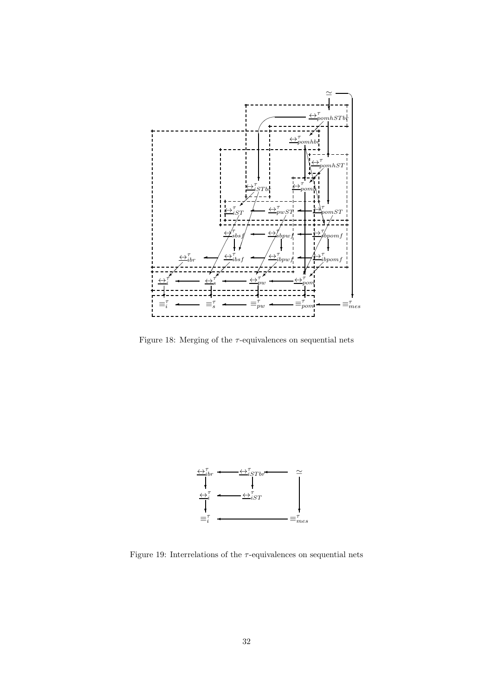

Figure 18: Merging of the  $\tau$ -equivalences on sequential nets



Figure 19: Interrelations of the  $\tau\text{-equivalences}$  on sequential nets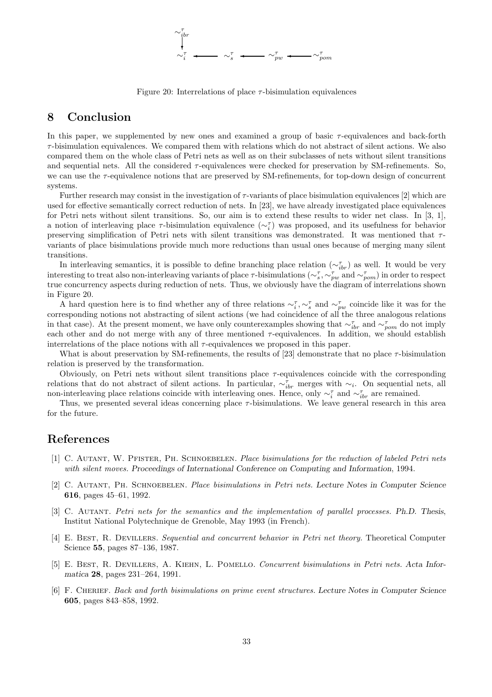

Figure 20: Interrelations of place  $\tau$ -bisimulation equivalences

## 8 Conclusion

In this paper, we supplemented by new ones and examined a group of basic  $\tau$ -equivalences and back-forth  $\tau$ -bisimulation equivalences. We compared them with relations which do not abstract of silent actions. We also compared them on the whole class of Petri nets as well as on their subclasses of nets without silent transitions and sequential nets. All the considered  $\tau$ -equivalences were checked for preservation by SM-refinements. So, we can use the  $\tau$ -equivalence notions that are preserved by SM-refinements, for top-down design of concurrent systems.

Further research may consist in the investigation of  $\tau$ -variants of place bisimulation equivalences [2] which are used for effective semantically correct reduction of nets. In [23], we have already investigated place equivalences for Petri nets without silent transitions. So, our aim is to extend these results to wider net class. In [3, 1], a notion of interleaving place  $\tau$ -bisimulation equivalence  $({\sim_i^{\tau}})$  was proposed, and its usefulness for behavior preserving simplification of Petri nets with silent transitions was demonstrated. It was mentioned that  $\tau$ variants of place bisimulations provide much more reductions than usual ones because of merging many silent transitions.

In interleaving semantics, it is possible to define branching place relation  $(\sim_{ibr}^{\tau})$  as well. It would be very interesting to treat also non-interleaving variants of place  $\tau$ -bisimulations ( $\sim_{s}^{\tau}, \sim_{pw}^{\tau}$  and  $\sim_{pop}^{\tau}$ ) in order to respect true concurrency aspects during reduction of nets. Thus, we obviously have the diagram of interrelations shown in Figure 20.

A hard question here is to find whether any of three relations  $\sim_i^{\tau}, \sim_s^{\tau}$  and  $\sim_{pw}^{\tau}$  coincide like it was for the corresponding notions not abstracting of silent actions (we had coincidence of all the three analogous relations in that case). At the present moment, we have only counterexamples showing that  $\sim_{ibr}^{\tau}$  and  $\sim_{pom}^{\tau}$  do not imply each other and do not merge with any of three mentioned  $\tau$ -equivalences. In addition, we should establish interrelations of the place notions with all τ-equivalences we proposed in this paper.

What is about preservation by SM-refinements, the results of [23] demonstrate that no place  $\tau$ -bisimulation relation is preserved by the transformation.

Obviously, on Petri nets without silent transitions place τ-equivalences coincide with the corresponding relations that do not abstract of silent actions. In particular,  $\sim_{ibr}^{\tau}$  merges with  $\sim_i$ . On sequential nets, all non-interleaving place relations coincide with interleaving ones. Hence, only  $\sim_i^{\tau}$  and  $\sim_{ibr}^{\tau}$  are remained.

Thus, we presented several ideas concerning place τ-bisimulations. We leave general research in this area for the future.

## References

- [1] C. AUTANT, W. PFISTER, PH. SCHNOEBELEN. Place bisimulations for the reduction of labeled Petri nets with silent moves. Proceedings of International Conference on Computing and Information, 1994.
- [2] C. Autant, Ph. Schnoebelen. Place bisimulations in Petri nets. Lecture Notes in Computer Science 616, pages 45–61, 1992.
- [3] C. AUTANT. Petri nets for the semantics and the implementation of parallel processes. Ph.D. Thesis, Institut National Polytechnique de Grenoble, May 1993 (in French).
- [4] E. Best, R. Devillers. Sequential and concurrent behavior in Petri net theory. Theoretical Computer Science 55, pages 87–136, 1987.
- [5] E. Best, R. Devillers, A. Kiehn, L. Pomello. Concurrent bisimulations in Petri nets. Acta Informatica 28, pages 231–264, 1991.
- [6] F. Cherief. Back and forth bisimulations on prime event structures. Lecture Notes in Computer Science 605, pages 843–858, 1992.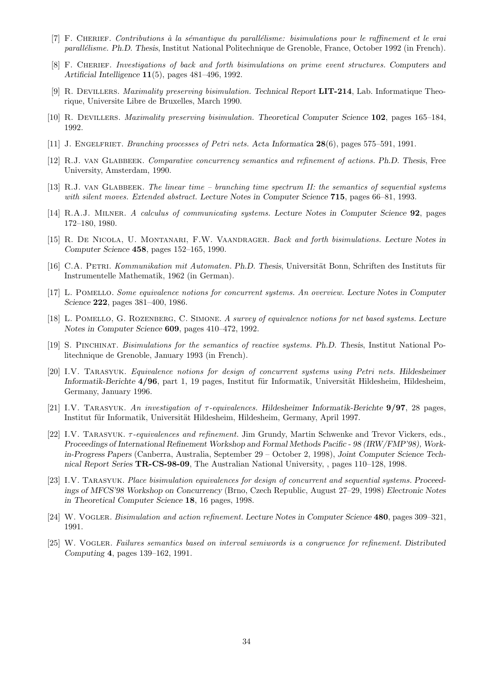- [7] F. CHERIEF. Contributions à la sémantique du parallélisme: bisimulations pour le raffinement et le vrai parallélisme. Ph.D. Thesis, Institut National Politechnique de Grenoble, France, October 1992 (in French).
- [8] F. CHERIEF. Investigations of back and forth bisimulations on prime event structures. Computers and Artificial Intelligence 11(5), pages 481–496, 1992.
- [9] R. Devillers. Maximality preserving bisimulation. Technical Report LIT-214, Lab. Informatique Theorique, Universite Libre de Bruxelles, March 1990.
- [10] R. DEVILLERS. Maximality preserving bisimulation. Theoretical Computer Science 102, pages 165–184, 1992.
- [11] J. Engelfriet. Branching processes of Petri nets. Acta Informatica 28(6), pages 575–591, 1991.
- [12] R.J. VAN GLABBEEK. Comparative concurrency semantics and refinement of actions. Ph.D. Thesis, Free University, Amsterdam, 1990.
- [13] R.J. VAN GLABBEEK. The linear time branching time spectrum II: the semantics of sequential systems with silent moves. Extended abstract. Lecture Notes in Computer Science 715, pages 66–81, 1993.
- [14] R.A.J. MILNER. A calculus of communicating systems. Lecture Notes in Computer Science 92, pages 172–180, 1980.
- [15] R. DE NICOLA, U. MONTANARI, F.W. VAANDRAGER. Back and forth bisimulations. Lecture Notes in Computer Science 458, pages 152–165, 1990.
- [16] C.A. PETRI. Kommunikation mit Automaten. Ph.D. Thesis, Universität Bonn, Schriften des Instituts für Instrumentelle Mathematik, 1962 (in German).
- [17] L. Pomello. Some equivalence notions for concurrent systems. An overview. Lecture Notes in Computer Science 222, pages 381–400, 1986.
- [18] L. POMELLO, G. ROZENBERG, C. SIMONE. A survey of equivalence notions for net based systems. Lecture Notes in Computer Science 609, pages 410–472, 1992.
- [19] S. Pinchinat. Bisimulations for the semantics of reactive systems. Ph.D. Thesis, Institut National Politechnique de Grenoble, January 1993 (in French).
- [20] I.V. Tarasyuk. Equivalence notions for design of concurrent systems using Petri nets. Hildesheimer Informatik-Berichte  $4/96$ , part 1, 19 pages, Institut für Informatik, Universität Hildesheim, Hildesheim, Germany, January 1996.
- [21] I.V. TARASYUK. An investigation of  $\tau$ -equivalences. Hildesheimer Informatik-Berichte 9/97, 28 pages, Institut für Informatik, Universität Hildesheim, Hildesheim, Germany, April 1997.
- [22] I.V. TARASYUK.  $\tau$ -equivalences and refinement. Jim Grundy, Martin Schwenke and Trevor Vickers, eds., Proceedings of International Refinement Workshop and Formal Methods Pacific - 98 (IRW/FMP'98), Workin-Progress Papers (Canberra, Australia, September 29 – October 2, 1998), Joint Computer Science Technical Report Series TR-CS-98-09, The Australian National University, , pages 110–128, 1998.
- [23] I.V. TARASYUK. Place bisimulation equivalences for design of concurrent and sequential systems. Proceedings of MFCS'98 Workshop on Concurrency (Brno, Czech Republic, August 27–29, 1998) Electronic Notes in Theoretical Computer Science 18, 16 pages, 1998.
- [24] W. VOGLER. Bisimulation and action refinement. Lecture Notes in Computer Science 480, pages 309–321, 1991.
- [25] W. Vogler. Failures semantics based on interval semiwords is a congruence for refinement. Distributed Computing 4, pages 139–162, 1991.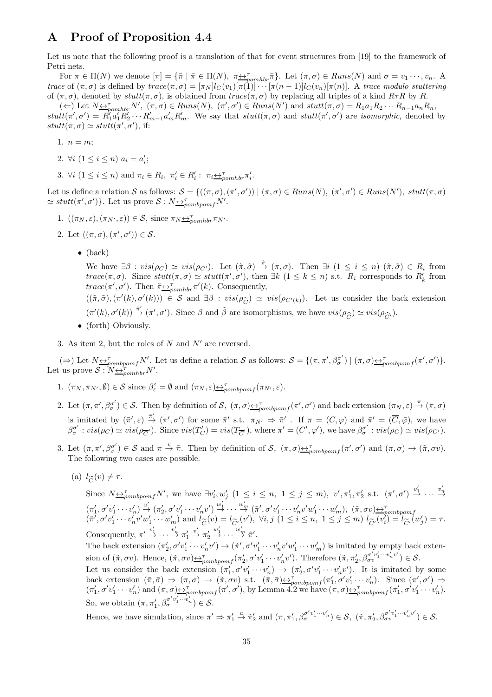## A Proof of Proposition 4.4

Let us note that the following proof is a translation of that for event structures from [19] to the framework of Petri nets.

For  $\pi \in \Pi(N)$  we denote  $[\pi] = {\{\overline{\pi} \mid \overline{\pi} \in \Pi(N), \pi \underline{\leftrightarrow}_{pomhbr}^{\tau}\}}$ . Let  $(\pi, \sigma) \in Runs(N)$  and  $\sigma = v_1 \cdots, v_n$ . A trace of  $(\pi, \sigma)$  is defined by  $trace(\pi, \sigma) = [\pi_N]_C(v_1)[\pi(1)] \cdots [\pi(n-1)]_C(v_n)[\pi(n)]$ . A trace modulo stuttering of  $(\pi, \sigma)$ , denoted by stutt $(\pi, \sigma)$ , is obtained from trace( $\pi, \sigma$ ) by replacing all triples of a kind  $R\tau R$  by R.

 $(\Leftarrow)$  Let  $N \Leftrightarrow_{\text{p}}^{\tau} N'$ ,  $(\pi, \sigma) \in \text{Runs}(N)$ ,  $(\pi', \sigma') \in \text{Runs}(N')$  and  $\text{stutt}(\pi, \sigma) = R_1 a_1 R_2 \cdots R_{n-1} a_n R_n$ ,  $stutt(\pi', \sigma') = R_1' a_1' R_2' \cdots R_{m-1}' a_m' R_m'$ . We say that  $stutt(\pi, \sigma)$  and  $stutt(\pi', \sigma')$  are *isomorphic*, denoted by  $stutt(\pi, \sigma) \simeq stutt(\pi', \sigma'),$  if:

- 1.  $n = m$ ;
- 2.  $\forall i \ (1 \leq i \leq n) \ a_i = a'_i;$
- 3.  $\forall i \ (1 \leq i \leq n) \text{ and } \pi_i \in R_i, \ \pi'_i \in R'_i : \ \pi_i \leftrightarrow_{\text{pomhbr}}^{\pi} \pi'_i.$

Let us define a relation S as follows:  $S = \{((\pi, \sigma), (\pi', \sigma')) \mid (\pi, \sigma) \in Runs(N), (\pi', \sigma') \in Runs(N'), \text{ } stuff(\pi, \sigma) \}$  $\simeq stutt(\pi', \sigma')\}$ . Let us prove  $S: N \underbrace{\leftrightarrow \tau}_{\text{pombpomf}} N'.$ 

- 1.  $((\pi_N, \varepsilon), (\pi_{N'}, \varepsilon)) \in \mathcal{S}$ , since  $\pi_N \underline{\leftrightarrow}_{pomhbr}^{\tau} \pi_{N'}$ .
- 2. Let  $((\pi,\sigma),(\pi',\sigma')) \in \mathcal{S}$ .
	- $\bullet$  (back)

We have  $\exists \beta : vis(\rho_C) \simeq vis(\rho_{C'})$ . Let  $(\tilde{\pi}, \tilde{\sigma}) \stackrel{\hat{\pi}}{\rightarrow} (\pi, \sigma)$ . Then  $\exists i \ (1 \leq i \leq n) \ (\tilde{\pi}, \tilde{\sigma}) \in R_i$  from  $trace(\pi,\sigma)$ . Since  $stutt(\pi,\sigma) \simeq stutt(\pi',\sigma')$ , then  $\exists k \ (1 \leq k \leq n)$  s.t.  $R_i$  corresponds to  $R'_k$  from  $trace(\pi', \sigma')$ . Then  $\tilde{\pi} \underline{\leftrightarrow}_{pomhbr}^{\tau} \pi'(k)$ . Consequently,

 $((\tilde{\pi}, \tilde{\sigma}), (\pi'(k), \sigma'(k))) \in S$  and  $\exists \beta : vis(\rho_{\tilde{C}}) \simeq vis(\rho_{C'(k)})$ . Let us consider the back extension  $(\pi'(k), \sigma'(k)) \stackrel{\hat{\pi}'}{\rightarrow} (\pi', \sigma')$ . Since  $\beta$  and  $\tilde{\beta}$  are isomorphisms, we have  $vis(\rho_{\widehat{C}}) \simeq vis(\rho_{\widehat{C}'})$ .

• (forth) Obviously.

3. As item 2, but the roles of N and  $N'$  are reversed.

( $\Rightarrow$ ) Let  $N \triangleq p_{\text{comp} \text{p} \text{om} f}^{\tau} N'$ . Let us define a relation S as follows:  $S = \{(\pi, \pi', \beta_{\sigma}^{\sigma'}\})$  $\sigma^{(\sigma')}$   $| (\pi, \sigma) \rightarrow_{pombpomf} (\pi', \sigma') \}.$ Let us prove  $S: N \leftrightarrow_{\text{pomhbr}}^{\text{pom}} N'$ .

- 1.  $(\pi_N, \pi_{N'}, \emptyset) \in S$  since  $\beta_{\varepsilon}^{\varepsilon} = \emptyset$  and  $(\pi_N, \varepsilon) \leftrightarrow_{pombpomf}^{\tau} (\pi_{N'}, \varepsilon)$ .
- 2. Let  $(\pi, \pi', \beta_{\sigma}^{\sigma'})$  $\sigma'$   $(\sigma) \in \mathcal{S}$ . Then by definition of  $\mathcal{S}$ ,  $(\pi, \sigma) \rightarrow_{pombpomf} (\pi', \sigma')$  and back extension  $(\pi_N, \varepsilon) \stackrel{\pi}{\rightarrow} (\pi, \sigma)$ is imitated by  $(\bar{\pi}', \varepsilon) \stackrel{\bar{\pi}'}{\rightarrow} (\pi', \sigma')$  for some  $\bar{\pi}'$  s.t.  $\pi_{N'} \Rightarrow \bar{\pi}'$ . If  $\pi = (C, \varphi)$  and  $\bar{\pi}' = (\overline{C}, \bar{\varphi})$ , we have  $\beta_{\sigma}^{\sigma'}$  $\sigma' : vis(\rho_C) \simeq vis(\rho_{\overline{C}})$ . Since  $vis(T'_C) = vis(T_{\overline{C}})$ , where  $\pi' = (C', \varphi')$ , we have  $\beta_{\sigma}^{\sigma'}$  $\sigma'$  :  $vis(\rho_C) \simeq vis(\rho_{C'})$ .
- 3. Let  $(\pi, \pi', \beta_{\sigma}^{\sigma'})$  $\sigma'(\sigma) \in S$  and  $\pi \stackrel{v}{\to} \tilde{\pi}$ . Then by definition of S,  $(\pi, \sigma) \rightarrow \pi$ <sub>pombpomf</sub> $(\pi', \sigma')$  and  $(\pi, \sigma) \rightarrow (\tilde{\pi}, \sigma v)$ . The following two cases are possible.
	- (a)  $l_{\widetilde{C}}(v) \neq \tau$ .

Since  $N_{\sum_{i=1}^{n} p_{i}} N'$ , we have  $\exists v'_{i}, w'_{j} \ (1 \leq i \leq n, 1 \leq j \leq m)$ ,  $v', \pi'_{1}, \pi'_{2}$  s.t.  $(\pi', \sigma') \stackrel{v'_{1}}{\rightarrow} \cdots \stackrel{v'_{n}}{\rightarrow}$  $(\pi'_1, \sigma' v'_1 \cdots v'_n) \stackrel{v'}{\rightarrow} (\pi'_2, \sigma' v'_1 \cdots v'_n v') \stackrel{w'_1}{\rightarrow} \cdots \stackrel{w'_m}{\rightarrow} (\tilde{\pi}', \sigma' v'_1 \cdots v'_n v' w'_1 \cdots w'_m), \ (\tilde{\pi}, \sigma v) \leftrightarrow_{\text{pombpomf}}^{\text{pombpomf}} (\tilde{\pi}', \sigma' v'_1 \cdots v'_n v' w'_1 \cdots w'_m) \text{ and } l_{\widetilde{C}}(v) = l_{\widetilde{C}'}(v'), \ \forall i, j \ (1 \leq i \leq n, \ 1 \leq j$  $\overline{C}$ Consequently,  $\pi' \stackrel{v'_1}{\rightarrow} \cdots \stackrel{v'_n}{\rightarrow} \pi'_1$  $\stackrel{v'}{\rightarrow} \pi'_2$  $\stackrel{w'_1}{\rightarrow} \cdots \stackrel{w'_m}{\rightarrow} \tilde{\pi}'$ .

The back extension  $(\pi'_2, \sigma'v'_1 \cdots v'_n v') \rightarrow (\tilde{\pi}', \sigma' v'_1 \cdots v'_n v' w'_1 \cdots w'_m)$  is imitated by empty back extension of  $(\tilde{\pi}, \sigma v)$ . Hence,  $(\tilde{\pi}, \sigma v) \leftrightarrow_{\mathcal{D}ombpomf}^{\mathcal{D}^{\sigma}} (\pi'_2, \sigma' v'_1 \cdots v'_n v')$ . Therefore  $(\tilde{\pi}, \pi'_2, \beta_{\sigma v}^{\sigma' v'_1 \cdots v'_n v'}) \in \mathcal{S}$ .

Let us consider the back extension  $(\pi'_1, \sigma' v'_1 \cdots v'_n) \to (\pi'_2, \sigma' v'_1 \cdots v'_n v')$ . It is imitated by some back extension  $(\bar{\pi}, \bar{\sigma}) \Rightarrow (\pi, \sigma) \rightarrow (\tilde{\pi}, \sigma v)$  s.t.  $(\bar{\pi}, \bar{\sigma}) \rightarrow_{\text{pombpom}f} (\pi'_1, \sigma' v'_1 \cdots v'_n)$ . Since  $(\pi', \sigma') \Rightarrow$  $(\pi'_1, \sigma'v'_1 \cdots v'_n)$  and  $(\pi, \sigma) \triangleq_{pombpomf}^{\tau} (\pi', \sigma')$ , by Lemma 4.2 we have  $(\pi, \sigma) \triangleq_{pombpomf}^{\tau} (\pi'_1, \sigma'v'_1 \cdots v'_n)$ . So, we obtain  $(\pi, \pi'_1, \beta_{\sigma}^{\sigma' v'_1 \cdots v'_n}) \in \mathcal{S}$ .

Hence, we have simulation, since  $\pi' \Rightarrow \pi'_1 \stackrel{a}{\rightarrow} \tilde{\pi}'_2$  and  $(\pi, \pi'_1, \beta_{\sigma}^{\sigma' v'_1 \cdots v'_n}) \in \mathcal{S}$ ,  $(\tilde{\pi}, \pi'_2, \beta_{\sigma}^{\sigma' v'_1 \cdots v'_n v'}) \in \mathcal{S}$ .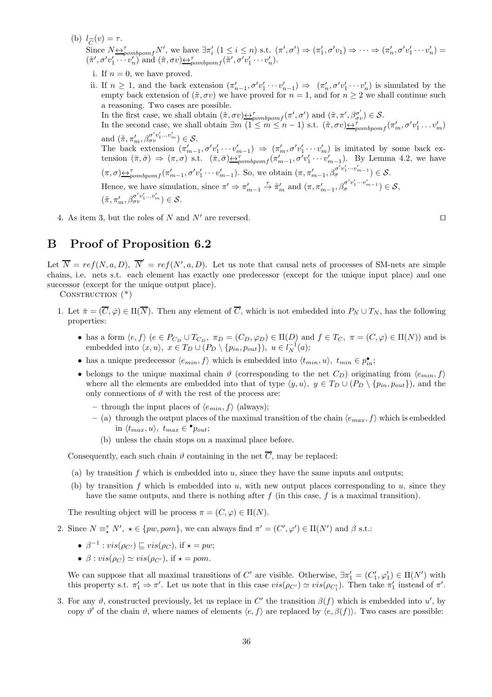(b)  $l_{\widetilde{C}}(v) = \tau$ .

Since  $N \underline{\leftrightarrow}_{pombpomf}^T N'$ , we have  $\exists \pi'_i \ (1 \leq i \leq n)$  s.t.  $(\pi', \sigma') \Rightarrow (\pi'_1, \sigma' v_1) \Rightarrow \cdots \Rightarrow (\pi'_n, \sigma' v'_1 \cdots v'_n) =$  $(\tilde{\pi}', \sigma'v'_1 \cdots v'_n)$  and  $(\tilde{\pi}, \sigma v) \rightarrow p_{\sigma mbpomf}(\tilde{\pi}', \sigma' v'_1 \cdots v'_n)$ .

- i. If  $n = 0$ , we have proved.
- ii. If  $n \geq 1$ , and the back extension  $(\pi'_{n-1}, \sigma' v'_1 \cdots v'_{n-1}) \Rightarrow (\pi'_n, \sigma' v'_1 \cdots v'_n)$  is simulated by the empty back extension of  $(\tilde{\pi}, \sigma v)$  we have proved for  $n = 1$ , and for  $n \geq 2$  we shall continue such a reasoning. Two cases are possible. In the first case, we shall obtain  $(\tilde{\pi}, \sigma v) \triangleq_{\text{pombpom}}^{\tau} f(\pi', \sigma')$  and  $(\tilde{\pi}, \pi', \beta_{\sigma v}^{\sigma'}) \in \mathcal{S}$ . In the second case, we shall obtain  $\exists m \ (1 \leq m \leq n-1) \text{ s.t. } (\pi, \sigma v) \leftrightarrow_{\text{pombpomf}}^{\pi} (\pi'_m, \sigma' v'_1 \dots v'_m)$ and  $(\tilde{\pi}, \pi'_m, \beta_{\sigma v}^{\sigma' v'_1 \dots v'_m}) \in \mathcal{S}$ . The back extension  $(\pi'_{m-1}, \sigma' v'_1 \cdots v'_{m-1}) \Rightarrow (\pi'_m, \sigma' v'_1 \cdots v'_m)$  is imitated by some back extension  $(\bar{\pi}, \bar{\sigma}) \Rightarrow (\pi, \sigma)$  s.t.  $(\bar{\pi}, \bar{\sigma}) \leftrightarrow_{\text{pombpom}}^{\tau} (\pi_{m-1}', \sigma' v'_1 \cdots v'_{m-1})$ . By Lemma 4.2, we have  $(\pi,\sigma) \leftrightarrow_{pombpomf}^{\tau} (\pi'_{m-1}, \sigma' v'_1 \cdots v'_{m-1}).$  So, we obtain  $(\pi, \pi'_{m-1}, \beta_{\sigma}^{\sigma' v'_1 \cdots v'_{m-1}}) \in \mathcal{S}.$ Hence, we have simulation, since  $\pi' \Rightarrow \pi'_{m-1} \stackrel{\tau}{\rightarrow} \tilde{\pi}'_m$  and  $(\pi, \pi'_{m-1}, \beta_{\sigma}^{\sigma' v'_1 \cdots v'_{m-1}}) \in \mathcal{S}$ ,  $(\tilde{\pi}, \pi'_m, \beta_{\sigma v}^{\sigma' v'_1 \dots v'_m}) \in \mathcal{S}.$
- 4. As item 3, but the roles of N and N' are reversed. □

## B Proof of Proposition 6.2

Let  $\overline{N} = ref(N, a, D), \overline{N}' = ref(N', a, D)$ . Let us note that causal nets of processes of SM-nets are simple chains, i.e. nets s.t. each element has exactly one predecessor (except for the unique input place) and one successor (except for the unique output place).

CONSTRUCTION  $(*)$ 

- 1. Let  $\bar{\pi} = (\overline{C}, \bar{\varphi}) \in \Pi(\overline{N})$ . Then any element of  $\overline{C}$ , which is not embedded into  $P_N \cup T_N$ , has the following properties:
	- has a form  $\langle e, f \rangle$   $(e \in P_{C_D} \cup T_{C_D}, \pi_D = (C_D, \varphi_D) \in \Pi(D)$  and  $f \in T_C, \pi = (C, \varphi) \in \Pi(N)$  and is embedded into  $\langle x, u \rangle, x \in T_D \cup (P_D \setminus \{p_{in}, p_{out}\}), u \in l_N^{-1}(a);$
	- has a unique predecessor  $\langle e_{min}, f \rangle$  which is embedded into  $\langle t_{min}, u \rangle$ ,  $t_{min} \in p_{in}^{\bullet}$ ;
	- belongs to the unique maximal chain  $\vartheta$  (corresponding to the net  $C_D$ ) originating from  $\langle e_{min}, f \rangle$ where all the elements are embedded into that of type  $\langle y, u \rangle$ ,  $y \in T_D \cup (P_D \setminus \{p_{in}, p_{out}\})$ , and the only connections of  $\vartheta$  with the rest of the process are:
		- through the input places of  $\langle e_{min}, f \rangle$  (always);
		- (a) through the output places of the maximal transition of the chain  $\langle e_{max}, f \rangle$  which is embedded in  $\langle t_{max}, u \rangle$ ,  $t_{max} \in \bullet_{\text{Pout}}$ ;
			- (b) unless the chain stops on a maximal place before.

Consequently, each such chain  $\vartheta$  containing in the net  $\overline{C}$ , may be replaced:

- (a) by transition f which is embedded into  $u$ , since they have the same inputs and outputs;
- (b) by transition f which is embedded into u, with new output places corresponding to u, since they have the same outputs, and there is nothing after  $f$  (in this case,  $f$  is a maximal transition).

The resulting object will be process  $\pi = (C, \varphi) \in \Pi(N)$ .

- 2. Since  $N \equiv_{\star} N', \star \in \{pw, pom\}$ , we can always find  $\pi' = (C', \varphi') \in \Pi(N')$  and  $\beta$  s.t.:
	- $\beta^{-1}$  :  $vis(\rho_{C'}) \sqsubseteq vis(\rho_C)$ , if  $\star = pw$ ;
	- $\beta$  :  $vis(\rho_C) \simeq vis(\rho_{C'})$ , if  $\star = pom$ .

We can suppose that all maximal transitions of C' are visible. Otherwise,  $\exists \pi'_1 = (C'_1, \varphi'_1) \in \Pi(N')$  with this property s.t.  $\pi'_1 \Rightarrow \pi'$ . Let us note that in this case  $vis(\rho_{C'}) \simeq vis(\rho_{C'_1})$ . Then take  $\pi'_1$  instead of  $\pi'$ .

3. For any  $\vartheta$ , constructed previously, let us replace in C' the transition  $\beta(f)$  which is embedded into u', by copy  $\vartheta'$  of the chain  $\vartheta$ , where names of elements  $\langle e, f \rangle$  are replaced by  $\langle e, \beta(f) \rangle$ . Two cases are possible: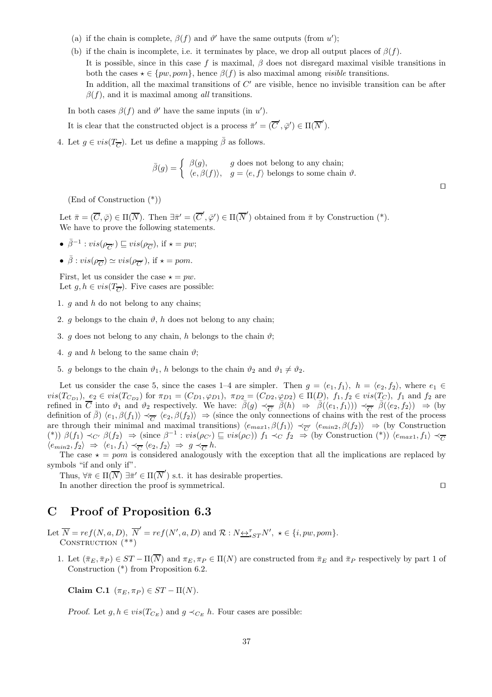- (a) if the chain is complete,  $\beta(f)$  and  $\vartheta'$  have the same outputs (from u');
- (b) if the chain is incomplete, i.e. it terminates by place, we drop all output places of  $\beta(f)$ . It is possible, since in this case f is maximal,  $\beta$  does not disregard maximal visible transitions in both the cases  $\star \in \{pw, pom\}$ , hence  $\beta(f)$  is also maximal among *visible* transitions. In addition, all the maximal transitions of  $C'$  are visible, hence no invisible transition can be after  $\beta(f)$ , and it is maximal among all transitions.

In both cases  $\beta(f)$  and  $\vartheta'$  have the same inputs (in u').

It is clear that the constructed object is a process  $\bar{\pi}' = (\overline{C}', \bar{\varphi}') \in \Pi(\overline{N}')$ .

4. Let  $g \in vis(T_{\overline{C}})$ . Let us define a mapping  $\overline{\beta}$  as follows.

$$
\bar{\beta}(g) = \begin{cases} \beta(g), & g \text{ does not belong to any chain;} \\ \langle e, \beta(f) \rangle, & g = \langle e, f \rangle \text{ belongs to some chain } \vartheta. \end{cases}
$$

(End of Construction (\*))

Let  $\bar{\pi} = (\overline{C}, \bar{\varphi}) \in \Pi(\overline{N})$ . Then  $\exists \bar{\pi}' = (\overline{C}', \bar{\varphi}') \in \Pi(\overline{N}')$  obtained from  $\bar{\pi}$  by Construction (\*). We have to prove the following statements.

- $\bar{\beta}^{-1}$ :  $vis(\rho_{\overline{C'}}) \sqsubseteq vis(\rho_{\overline{C}})$ , if  $\star = pw$ ;
- $\bar{\beta}$ :  $vis(\rho_{\overline{C}}) \simeq vis(\rho_{\overline{C}})$ , if  $\star = pom$ .

First, let us consider the case  $\star = pw$ . Let  $g, h \in vis(T_{\overline{C}})$ . Five cases are possible:

- 1.  $q$  and  $h$  do not belong to any chains;
- 2. g belongs to the chain  $\vartheta$ , h does not belong to any chain;
- 3. g does not belong to any chain, h belongs to the chain  $\vartheta$ ;
- 4. g and h belong to the same chain  $\vartheta$ ;
- 5. g belongs to the chain  $\vartheta_1$ , h belongs to the chain  $\vartheta_2$  and  $\vartheta_1 \neq \vartheta_2$ .

Let us consider the case 5, since the cases 1–4 are simpler. Then  $g = \langle e_1, f_1 \rangle$ ,  $h = \langle e_2, f_2 \rangle$ , where  $e_1 \in$  $vis(T_{C_{D1}}), e_2 \in vis(T_{C_{D2}})$  for  $\pi_{D1} = (C_{D1}, \varphi_{D1}), \pi_{D2} = (C_{D2}, \varphi_{D2}) \in \Pi(D), f_1, f_2 \in vis(T_C), f_1$  and  $f_2$  are refined in  $\overline{C}$  into  $\vartheta_1$  and  $\vartheta_2$  respectively. We have:  $\overline{\beta}(g) \prec_{\overline{C}'} \overline{\beta}(h) \Rightarrow \overline{\beta}((e_1, f_1)) \prec_{\overline{C}'} \overline{\beta}((e_2, f_2)) \Rightarrow$  (by definition of  $\bar{\beta}$ )  $\langle e_1, \beta(f_1) \rangle \prec_{\overline{C'}} \langle e_2, \beta(f_2) \rangle \Rightarrow$  (since the only connections of chains with the rest of the process are through their minimal and maximal transitions)  $\langle e_{max1}, \beta(f_1) \rangle \prec_{\overline{C'}} \langle e_{min2}, \beta(f_2) \rangle \Rightarrow$  (by Construction (\*))  $\beta(f_1) \prec_{C'} \beta(f_2) \Rightarrow (\text{since } \beta^{-1} : vis(\rho_{C'}) \sqsubseteq vis(\rho_C)) f_1 \prec_{C} f_2 \Rightarrow (\text{by Construction (*)}) \langle e_{max1}, f_1 \rangle \prec_{\overline{C}}$  $\langle e_{min2}, f_2 \rangle \Rightarrow \langle e_1, f_1 \rangle \prec_{\overline{C}} \langle e_2, f_2 \rangle \Rightarrow g \prec_{\overline{C}} h.$ 

The case  $\star = pom$  is considered analogously with the exception that all the implications are replaced by symbols "if and only if".

Thus,  $\forall \bar{\pi} \in \Pi(\overline{N}) \exists \bar{\pi}' \in \Pi(\overline{N}')$  s.t. it has desirable properties. In another direction the proof is symmetrical. ⊓⊔

## C Proof of Proposition 6.3

Let  $\overline{N} = ref(N, a, D), \overline{N}' = ref(N', a, D)$  and  $\mathcal{R} : N \underline{\leftrightarrow}^{\tau}_{\star ST} N', \star \in \{i, pw, pom\}.$ CONSTRUCTION  $(**)$ 

1. Let  $(\bar{\pi}_E, \bar{\pi}_P) \in ST - \Pi(\overline{N})$  and  $\pi_E, \pi_P \in \Pi(N)$  are constructed from  $\bar{\pi}_E$  and  $\bar{\pi}_P$  respectively by part 1 of Construction (\*) from Proposition 6.2.

Claim C.1  $(\pi_E, \pi_P) \in ST - \Pi(N)$ .

*Proof.* Let  $g, h \in vis(T_{C_E})$  and  $g \prec_{C_E} h$ . Four cases are possible:

⊓⊔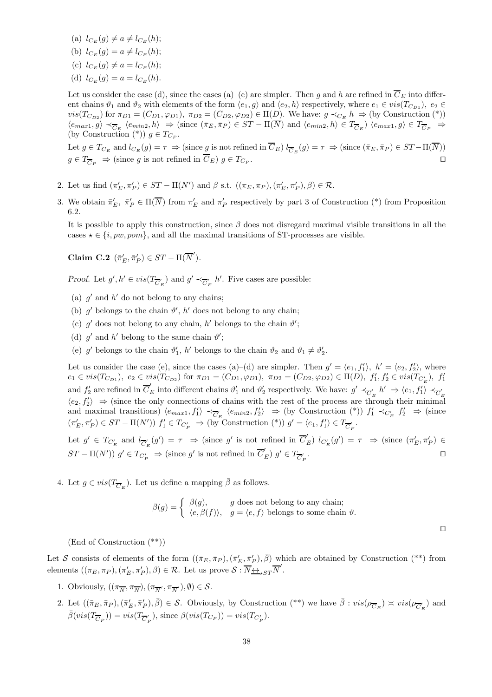- (a)  $l_{C_{F}}(q) \neq a \neq l_{C_{F}}(h);$
- (b)  $l_{C_E}(g) = a \neq l_{C_E}(h);$
- (c)  $l_{C_{E}}(q) \neq a = l_{C_{E}}(h);$
- (d)  $l_{C_F}(q) = a = l_{C_F}(h)$ .

Let us consider the case (d), since the cases (a)–(c) are simpler. Then g and h are refined in  $\overline{C}_E$  into different chains  $\vartheta_1$  and  $\vartheta_2$  with elements of the form  $\langle e_1, g \rangle$  and  $\langle e_2, h \rangle$  respectively, where  $e_1 \in vis(T_{CD_1})$ ,  $e_2 \in$  $vis(T_{C_{D2}})$  for  $\pi_{D1} = (C_{D1}, \varphi_{D1}), \pi_{D2} = (C_{D2}, \varphi_{D2}) \in \Pi(D)$ . We have:  $g \prec_{C_E} h \Rightarrow (by \text{ Construction } (*)$  $\langle e_{max1}, g \rangle \prec_{\overline{C}_E} \langle e_{min2}, h \rangle \Rightarrow (\text{since } (\overline{\pi}_E, \overline{\pi}_P) \in ST - \Pi(N) \text{ and } \langle e_{min2}, h \rangle \in T_{\overline{C}_E} \rangle \langle e_{max1}, g \rangle \in T_{\overline{C}_P} \Rightarrow$ (by Construction  $(*)$ )  $g \in T_{C_P}$ .

Let  $g \in T_{C_E}$  and  $l_{C_E}(g) = \tau \Rightarrow (\text{since } g \text{ is not refined in } C_E) l_{\overline{C}_E}(g) = \tau \Rightarrow (\text{since } (\overline{\pi}_E, \overline{\pi}_P) \in ST-\Pi(N))$  $g \in T_{\overline{C}_P} \Rightarrow$  (since g is not refined in  $\overline{C}_E$ )  $g \in T_{C_P}$ . . ⊓⊔

- 2. Let us find  $(\pi'_E, \pi'_P) \in ST \Pi(N')$  and  $\beta$  s.t.  $((\pi_E, \pi_P), (\pi'_E, \pi'_P), \beta) \in \mathcal{R}$ .
- 3. We obtain  $\bar{\pi}'_E$ ,  $\bar{\pi}'_P \in \Pi(\overline{N})$  from  $\pi'_E$  and  $\pi'_P$  respectively by part 3 of Construction (\*) from Proposition 6.2.

It is possible to apply this construction, since  $\beta$  does not disregard maximal visible transitions in all the cases  $\star \in \{i, pw, pom\}$ , and all the maximal transitions of ST-processes are visible.

Claim C.2  $(\bar{\pi}'_E, \bar{\pi}'_P) \in ST - \Pi(\overline{N}').$ 

*Proof.* Let  $g', h' \in vis(T_{\overline{C}'_E})$  and  $g' \prec_{\overline{C}'_E} h'$ . Five cases are possible:

- (a)  $g'$  and  $h'$  do not belong to any chains;
- (b)  $g'$  belongs to the chain  $\vartheta'$ , h' does not belong to any chain;
- (c)  $g'$  does not belong to any chain, h' belongs to the chain  $\vartheta'$ ;
- (d)  $g'$  and  $h'$  belong to the same chain  $\vartheta'$ ;
- (e)  $g'$  belongs to the chain  $\vartheta'_1$ ,  $h'$  belongs to the chain  $\vartheta_2$  and  $\vartheta_1 \neq \vartheta'_2$ .

Let us consider the case (e), since the cases (a)–(d) are simpler. Then  $g' = \langle e_1, f'_1 \rangle$ ,  $h' = \langle e_2, f'_2 \rangle$ , where  $e_1 \in vis(T_{C_{D1}}), e_2 \in vis(T_{C_{D2}})$  for  $\pi_{D1} = (C_{D1}, \varphi_{D1}), \pi_{D2} = (C_{D2}, \varphi_{D2}) \in \Pi(D), f'_1, f'_2 \in vis(T_{C'_E}), f'_1$ and  $f'_2$  are refined in  $\overline{C}'_E$  into different chains  $\vartheta'_1$  and  $\vartheta'_2$  respectively. We have:  $g' \prec_{\overline{C}'_E} h' \Rightarrow \langle e_1, f'_1 \rangle \prec_{\overline{C}'_E}$  $\langle e_2, f'_2 \rangle \Rightarrow$  (since the only connections of chains with the rest of the process are through their minimal and maximal transitions)  $\langle e_{max1}, f'_1 \rangle \prec_{\overline{C}'_E} \langle e_{min2}, f'_2 \rangle \Rightarrow$  (by Construction (\*))  $f'_1 \prec_{C'_E} f'_2 \Rightarrow$  (since  $(\pi'_E, \pi'_P) \in ST - \Pi(N')$   $f'_1 \in T_{C'_P} \Rightarrow (\text{by}^{\sim} \text{Construction } (*)$   $g' = \langle e_1, f'_1 \rangle \in T_{\overline{C'_P}}$ .

Let  $g' \in T_{C'_E}$  and  $l_{\overline{C}'_E}(g') = \tau \Rightarrow$  (since g' is not refined in  $\overline{C}'_E$ )  $l_{C'_E}(g') = \tau \Rightarrow$  (since  $(\pi'_E, \pi'_P) \in$  $ST - \Pi(N')\overset{\sim}{g} \in T_{C'_P} \Rightarrow (\text{since } g' \text{ is not refined in } \overline{C}'_E) g' \in T_{\overline{C}'_P}$ . ⊓⊔

4. Let  $g \in vis(T_{\overline{C}_E})$ . Let us define a mapping  $\overline{\beta}$  as follows.

$$
\bar{\beta}(g) = \begin{cases} \beta(g), & g \text{ does not belong to any chain;} \\ \langle e, \beta(f) \rangle, & g = \langle e, f \rangle \text{ belongs to some chain } \vartheta. \end{cases}
$$

⊓⊔

(End of Construction (\*\*))

Let S consists of elements of the form  $((\bar{\pi}_E, \bar{\pi}_P),(\bar{\pi}'_E, \bar{\pi}'_P), \bar{\beta})$  which are obtained by Construction (\*\*) from elements  $((\pi_E, \pi_P), (\pi'_E, \pi'_P), \beta) \in \mathcal{R}$ . Let us prove  $S: \overline{N_{\leftrightarrow} \simeq_{\star} ST} \overline{N}'$ .

- 1. Obviously,  $((\pi_{\overline{N}}, \pi_{\overline{N}}), (\pi_{\overline{N}}, \pi_{\overline{N}}), \emptyset) \in \mathcal{S}$ .
- 2. Let  $((\bar{\pi}_E, \bar{\pi}_P), (\bar{\pi}'_E, \bar{\pi}'_P), \bar{\beta}) \in \mathcal{S}$ . Obviously, by Construction  $(**)$  we have  $\bar{\beta} : vis(\rho_{\overline{C}_E}) \approx vis(\rho_{\overline{C}'_E})$  and  $\bar{\beta}(vis(T_{\overline{C}_P})) = vis(T_{\overline{C}'_P}),$  since  $\beta(vis(T_{C_P})) = vis(T_{C'_P}).$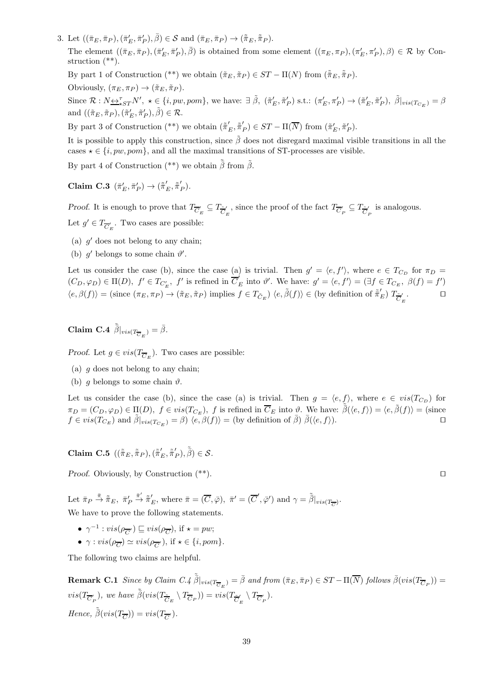3. Let  $((\bar{\pi}_E, \bar{\pi}_P), (\bar{\pi}'_E, \bar{\pi}'_P), \bar{\beta}) \in \mathcal{S}$  and  $(\bar{\pi}_E, \bar{\pi}_P) \rightarrow (\tilde{\bar{\pi}}_E, \tilde{\bar{\pi}}_P)$ .

The element  $((\bar{\pi}_E, \bar{\pi}_P), (\bar{\pi}'_E, \bar{\pi}'_P), \bar{\beta})$  is obtained from some element  $((\pi_E, \pi_P), (\pi'_E, \pi'_P), \beta) \in \mathcal{R}$  by Construction (\*\*).

By part 1 of Construction (\*\*) we obtain  $(\tilde{\pi}_E, \tilde{\pi}_P) \in ST - \Pi(N)$  from  $(\tilde{\bar{\pi}}_E, \tilde{\bar{\pi}}_P)$ .

Obviously,  $(\pi_E, \pi_P) \rightarrow (\tilde{\pi}_E, \tilde{\pi}_P)$ .

Since  $\mathcal{R}: N \rightarrow_{\star}^{\tau} N', \star \in \{i, pw, pom\}$ , we have:  $\exists \tilde{\beta}, (\tilde{\pi}'_E, \tilde{\pi}'_P) \text{ s.t.: } (\pi'_E, \pi'_P) \rightarrow (\tilde{\pi}'_E, \tilde{\pi}'_P), \tilde{\beta}|_{vis(T_{C_E})} = \beta$ and  $((\tilde{\pi}_E, \tilde{\pi}_P), (\tilde{\pi}'_E, \tilde{\pi}'_P), \tilde{\beta}) \in \mathcal{R}$ .

By part 3 of Construction (\*\*) we obtain  $(\tilde{\pi}'_E, \tilde{\pi}'_P) \in ST - \Pi(\overline{N})$  from  $(\tilde{\pi}'_E, \tilde{\pi}'_P)$ .

It is possible to apply this construction, since  $\tilde{\beta}$  does not disregard maximal visible transitions in all the cases  $\star \in \{i, pw, pom\}$ , and all the maximal transitions of ST-processes are visible.

By part 4 of Construction (\*\*) we obtain  $\tilde{\bar{\beta}}$  from  $\tilde{\beta}$ .

 $\textbf{Claim C.3} \; (\bar{\pi}'_E, \bar{\pi}'_P) \rightarrow (\tilde{\bar{\pi}}'_E, \tilde{\bar{\pi}}'_P).$ 

*Proof.* It is enough to prove that  $T_{\overline{C}'_E} \subseteq T_{\tilde{\overline{C}}}'$  $\frac{d}{dE'}$ , since the proof of the fact  $T_{\overline{C}'_P} \subseteq T_{\widetilde{C}'_P}$  $\sum_{P}$  is analogous. Let  $g' \in T_{\overline{C}'_E}$ . Two cases are possible:

- (a)  $g'$  does not belong to any chain;
- (b)  $g'$  belongs to some chain  $\vartheta'$ .

Let us consider the case (b), since the case (a) is trivial. Then  $g' = \langle e, f' \rangle$ , where  $e \in T_{C_D}$  for  $\pi_D =$  $(C_D, \varphi_D) \in \Pi(D)$ ,  $f' \in T_{C_E}$ ,  $f'$  is refined in  $\overline{C}_E'$  into  $\vartheta'$ . We have:  $g' = \langle e, f' \rangle = (\exists f \in T_{C_E}, \beta(f) = f')$  $\langle e, \beta(f) \rangle = (\text{since } (\pi_E, \pi_P) \to (\tilde{\pi}_E, \tilde{\pi}_P) \text{ implies } f \in T_{\tilde{C}_E}$   $\langle e, \tilde{\beta}(f) \rangle \in (\text{by definition of } \tilde{\pi}'_E)$   $T_{\tilde{\overline{C}}_f}$ E  $□$ 

Claim C.4  $\tilde{\bar{\beta}}|_{vis(T_{\overline{C}_E})} = \bar{\beta}$ .

*Proof.* Let  $g \in vis(T_{\overline{C}_E})$ . Two cases are possible:

- (a)  $q$  does not belong to any chain;
- (b) g belongs to some chain  $\vartheta$ .

Let us consider the case (b), since the case (a) is trivial. Then  $g = \langle e, f \rangle$ , where  $e \in vis(T_{C_D})$  for  $\pi_D = (C_D, \varphi_D) \in \Pi(D), \ f \in vis(T_{C_E}), \ f \text{ is refined in } \overline{C}_E \text{ into } \vartheta.$  We have:  $\tilde{\bar{\beta}}(\langle e, f \rangle) = \langle e, \tilde{\beta}(f) \rangle = (\text{since } \vartheta$  $f \in vis(T_{C_E})$  and  $\tilde{\beta}|_{vis(T_{C_E})} = \beta$   $\langle e, \beta(f) \rangle =$  (by definition of  $\overline{\beta}$ )  $\overline{\beta}(\langle e, f \rangle)$ .

Claim C.5  $((\tilde{\pi}_E, \tilde{\pi}_P),(\tilde{\pi}'_E, \tilde{\pi}'_P), \tilde{\bar{\beta}}) \in \mathcal{S}$ .

Proof. Obviously, by Construction (\*\*). □

Let  $\bar{\pi}_P \stackrel{\bar{\pi}}{\rightarrow} \tilde{\bar{\pi}}_E$ ,  $\bar{\pi}'_P$  $\overline{\pi}' \tilde{\pi}'_E$ , where  $\overline{\pi} = (\overline{C}, \overline{\varphi})$ ,  $\overline{\pi}' = (\overline{C}', \overline{\varphi}')$  and  $\gamma = \overline{\tilde{\beta}}|_{vis(T_{\overline{C}})}.$ We have to prove the following statements.

- $\gamma^{-1}$ :  $vis(\rho_{\overline{C'}}) \sqsubseteq vis(\rho_{\overline{C}})$ , if  $\star = pw$ ;
- $\gamma : vis(\rho_{\overline{C}}) \simeq vis(\rho_{\overline{C}}')$ , if  $\star \in \{i, pom\}$ .

The following two claims are helpful.

**Remark C.1** Since by Claim  $C.\{4}$   $\tilde{\bar{\beta}}|_{vis(T_{\overline{C}_E})} = \bar{\beta}$  and from  $(\bar{\pi}_E, \bar{\pi}_P) \in ST - \Pi(\overline{N})$  follows  $\bar{\beta}(vis(T_{\overline{C}_P})) =$  $vis(T_{\overline{C}_P}$ ), we have  $\tilde{\bar{\beta}}(vis(T_{\overline{\overline{C}}_E} \setminus T_{\overline{C}_P})) = vis(T_{\overline{\overline{C}}_E}$  $\frac{1}{E}\setminus T_{\overline{C}_P'}).$ Hence,  $\tilde{\bar{\beta}}(vis(T_{\overline{C}})) = vis(T_{\overline{C}})$ .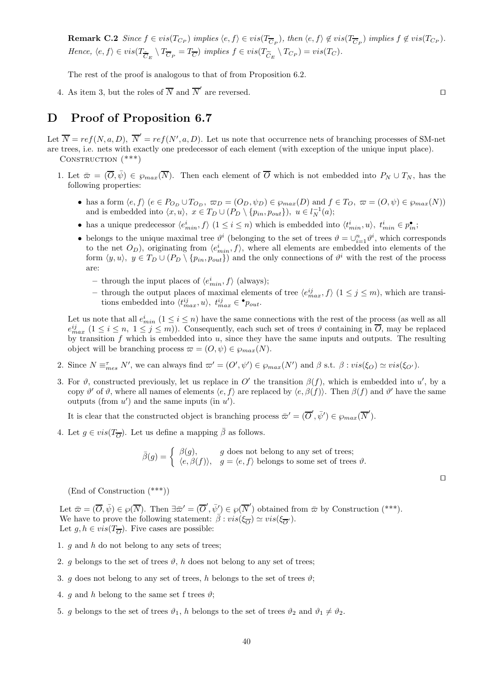**Remark C.2** Since  $f \in vis(T_{C_P})$  implies  $\langle e, f \rangle \in vis(T_{\overline{C}_P})$ , then  $\langle e, f \rangle \notin vis(T_{\overline{C}_P})$  implies  $f \notin vis(T_{C_P})$ . Hence,  $\langle e, f \rangle \in vis(T_{\overline{C}_E} \setminus T_{\overline{C}_P} = T_{\overline{C}})$  implies  $f \in vis(T_{\widetilde{C}_E} \setminus T_{C_P}) = vis(T_C)$ .

The rest of the proof is analogous to that of from Proposition 6.2.

4. As item 3, but the roles of  $\overline{N}$  and  $\overline{N}'$  are reversed. □

## D Proof of Proposition 6.7

Let  $\overline{N} = ref(N, a, D), \overline{N}' = ref(N', a, D)$ . Let us note that occurrence nets of branching processes of SM-net are trees, i.e. nets with exactly one predecessor of each element (with exception of the unique input place). CONSTRUCTION  $(***)$ 

- 1. Let  $\bar{\varpi} = (\overline{O}, \bar{\psi}) \in \wp_{max}(\overline{N})$ . Then each element of  $\overline{O}$  which is not embedded into  $P_N \cup T_N$ , has the following properties:
	- has a form  $\langle e, f \rangle$   $(e \in P_{O_D} \cup T_{O_D}, \varpi_D = (O_D, \psi_D) \in \wp_{max}(D)$  and  $f \in T_O, \varpi = (O, \psi) \in \wp_{max}(N)$ ) and is embedded into  $\langle x, u \rangle, x \in T_D \cup (P_D \setminus \{p_{in}, p_{out}\}), u \in l_N^{-1}(a);$
	- has a unique predecessor  $\langle e_{min}^i, f \rangle$   $(1 \leq i \leq n)$  which is embedded into  $\langle t_{min}^i, u \rangle$ ,  $t_{min}^i \in p_{in}^{\bullet}$ ;
	- belongs to the unique maximal tree  $\vartheta^i$  (belonging to the set of trees  $\vartheta = \cup_{i=1}^n \vartheta^i$ , which corresponds to the net  $O_D$ ), originating from  $\langle e_{min}^i, f \rangle$ , where all elements are embedded into elements of the form  $\langle y, u \rangle, y \in T_D \cup (P_D \setminus \{p_{in}, p_{out}\})$  and the only connections of  $\vartheta^i$  with the rest of the process are:
		- through the input places of  $\langle e_{min}^i, f \rangle$  (always);
		- through the output places of maximal elements of tree  $\langle e_{max}^{ij}, f \rangle$   $(1 \leq j \leq m)$ , which are transitions embedded into  $\langle t_{max}^{ij}, u \rangle, t_{max}^{ij} \in \bullet_{\text{pout}}.$

Let us note that all  $e_{min}^i$   $(1 \le i \le n)$  have the same connections with the rest of the process (as well as all  $e_{max}^{ij}$   $(1 \le i \le n, 1 \le j \le m)$ ). Consequently, each such set of trees  $\vartheta$  containing in  $\overline{O}$ , may be replaced by transition  $f$  which is embedded into  $u$ , since they have the same inputs and outputs. The resulting object will be branching process  $\varpi = (O, \psi) \in \wp_{max}(N)$ .

- 2. Since  $N \equiv_{mes}^{\tau} N'$ , we can always find  $\omega' = (O', \psi') \in \wp_{max}(N')$  and  $\beta$  s.t.  $\beta : vis(\xi_O) \simeq vis(\xi_{O'})$ .
- 3. For  $\vartheta$ , constructed previously, let us replace in O' the transition  $\beta(f)$ , which is embedded into u', by a copy  $\vartheta'$  of  $\vartheta$ , where all names of elements  $\langle e, f \rangle$  are replaced by  $\langle e, \beta(f) \rangle$ . Then  $\beta(f)$  and  $\vartheta'$  have the same outputs (from  $u'$ ) and the same inputs (in  $u'$ ).

It is clear that the constructed object is branching process  $\bar{\varpi}' = (\overline{O}', \bar{\psi}') \in \wp_{max}(\overline{N}')$ .

4. Let  $g \in vis(T_{\overline{O}})$ . Let us define a mapping  $\overline{\beta}$  as follows.

$$
\bar{\beta}(g) = \begin{cases} \beta(g), & g \text{ does not belong to any set of trees;} \\ \langle e, \beta(f) \rangle, & g = \langle e, f \rangle \text{ belongs to some set of trees } \vartheta. \end{cases}
$$

(End of Construction (\*\*\*))

Let  $\bar{\varpi} = (\overline{O}, \bar{\psi}) \in \wp(\overline{N})$ . Then  $\exists \bar{\varpi}' = (\overline{O}', \bar{\psi}') \in \wp(\overline{N}')$  obtained from  $\bar{\varpi}$  by Construction (\*\*\*). We have to prove the following statement:  $\overline{\beta}$  :  $vis(\xi_{\overline{O}}) \simeq vis(\xi_{\overline{O'}})$ . Let  $g, h \in vis(T_{\overline{O}})$ . Five cases are possible:

- 1.  $q$  and  $h$  do not belong to any sets of trees;
- 2. g belongs to the set of trees  $\vartheta$ , h does not belong to any set of trees;
- 3. g does not belong to any set of trees, h belongs to the set of trees  $\vartheta$ ;
- 4. q and h belong to the same set f trees  $\vartheta$ ;
- 5. g belongs to the set of trees  $\vartheta_1$ , h belongs to the set of trees  $\vartheta_2$  and  $\vartheta_1 \neq \vartheta_2$ .

⊓⊔